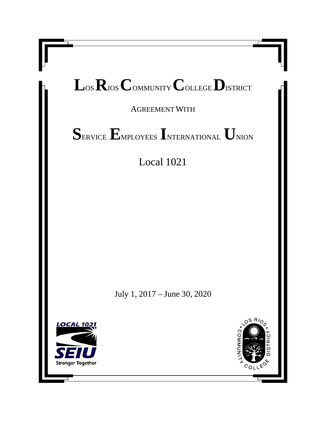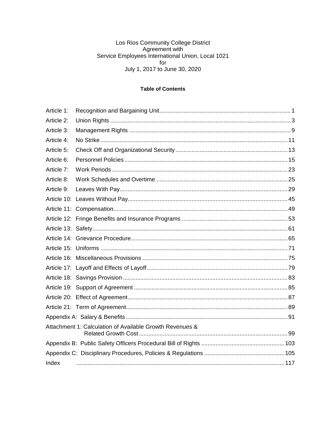### Los Rios Community College District<br>Agreement with<br>Service Employees International Union, Local 1021 for July 1, 2017 to June 30, 2020

#### **Table of Contents**

| Article 1:                                               |  |
|----------------------------------------------------------|--|
| Article 2:                                               |  |
| Article 3:                                               |  |
| Article 4:                                               |  |
| Article 5:                                               |  |
| Article 6:                                               |  |
| Article 7:                                               |  |
| Article 8:                                               |  |
| Article 9:                                               |  |
|                                                          |  |
|                                                          |  |
|                                                          |  |
|                                                          |  |
|                                                          |  |
|                                                          |  |
|                                                          |  |
|                                                          |  |
|                                                          |  |
|                                                          |  |
|                                                          |  |
|                                                          |  |
|                                                          |  |
| Attachment 1: Calculation of Available Growth Revenues & |  |
|                                                          |  |
|                                                          |  |
| Index                                                    |  |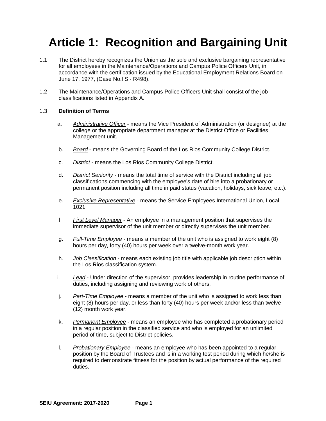### **Article 1: Recognition and Bargaining Unit**

- 1.1 The District hereby recognizes the Union as the sole and exclusive bargaining representative for all employees in the Maintenance/Operations and Campus Police Officers Unit, in accordance with the certification issued by the Educational Employment Relations Board on June 17, 1977, (Case No.l S - R498).
- 1.2 The Maintenance/Operations and Campus Police Officers Unit shall consist of the job classifications listed in Appendix A.

#### 1.3 **Definition of Terms**

- a. *Administrative Officer* means the Vice President of Administration (or designee) at the college or the appropriate department manager at the District Office or Facilities Management unit.
- b. *Board* means the Governing Board of the Los Rios Community College District.
- c. *District* means the Los Rios Community College District.
- d. *District Seniority* means the total time of service with the District including all job classifications commencing with the employee's date of hire into a probationary or permanent position including all time in paid status (vacation, holidays, sick leave, etc.).
- e. *Exclusive Representative* means the Service Employees International Union, Local 1021.
- f. *First Level Manager* An employee in a management position that supervises the immediate supervisor of the unit member or directly supervises the unit member.
- g. *Full-Time Employee* means a member of the unit who is assigned to work eight (8) hours per day, forty (40) hours per week over a twelve-month work year.
- h. *Job Classification* means each existing job title with applicable job description within the Los Rios classification system.
- i. *Lead* Under direction of the supervisor, provides leadership in routine performance of duties, including assigning and reviewing work of others.
- j. *Part-Time Employee* means a member of the unit who is assigned to work less than eight (8) hours per day, or less than forty (40) hours per week and/or less than twelve (12) month work year.
- k. *Permanent Employee* means an employee who has completed a probationary period in a regular position in the classified service and who is employed for an unlimited period of time, subject to District policies.
- l. *Probationary Employee* means an employee who has been appointed to a regular position by the Board of Trustees and is in a working test period during which he/she is required to demonstrate fitness for the position by actual performance of the required duties.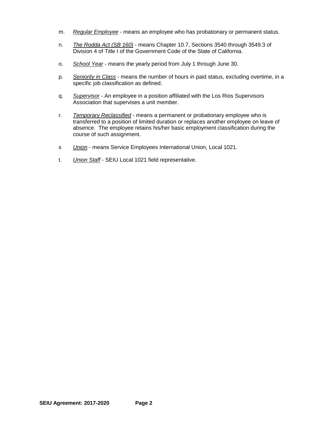- m. *Regular Employee* means an employee who has probationary or permanent status.
- n. *The Rodda Act (SB 160)* means Chapter 10.7, Sections 3540 through 3549.3 of Division 4 of Title I of the Government Code of the State of California.
- o. *School Year* means the yearly period from July 1 through June 30.
- p. *Seniority in Class* means the number of hours in paid status, excluding overtime, in a specific job classification as defined.
- q. *Supervisor* An employee in a position affiliated with the Los Rios Supervisors Association that supervises a unit member.
- r. *Temporary Reclassified* means a permanent or probationary employee who is transferred to a position of limited duration or replaces another employee on leave of absence. The employee retains his/her basic employment classification during the course of such assignment.
- s *Union* means Service Employees International Union, Local 1021.
- t. *Union Staff* SEIU Local 1021 field representative.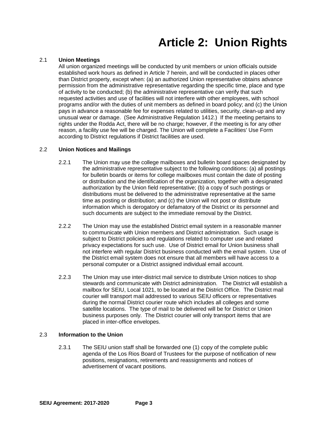# **Article 2: Union Rights**

#### 2.1 **Union Meetings**

All union organized meetings will be conducted by unit members or union officials outside established work hours as defined in Article 7 herein, and will be conducted in places other than District property, except when: (a) an authorized Union representative obtains advance permission from the administrative representative regarding the specific time, place and type of activity to be conducted; (b) the administrative representative can verify that such requested activities and use of facilities will not interfere with other employees, with school programs and/or with the duties of unit members as defined in board policy; and (c) the Union pays in advance a reasonable fee for expenses related to utilities, security, clean-up and any unusual wear or damage. (See Administrative Regulation 1412.) If the meeting pertains to rights under the Rodda Act, there will be no charge; however, if the meeting is for any other reason, a facility use fee will be charged. The Union will complete a Facilities' Use Form according to District regulations if District facilities are used.

#### 2.2 **Union Notices and Mailings**

- 2.2.1 The Union may use the college mailboxes and bulletin board spaces designated by the administrative representative subject to the following conditions: (a) all postings for bulletin boards or items for college mailboxes must contain the date of posting or distribution and the identification of the organization, together with a designated authorization by the Union field representative; (b) a copy of such postings or distributions must be delivered to the administrative representative at the same time as posting or distribution; and (c) the Union will not post or distribute information which is derogatory or defamatory of the District or its personnel and such documents are subject to the immediate removal by the District.
- 2.2.2 The Union may use the established District email system in a reasonable manner to communicate with Union members and District administration. Such usage is subject to District policies and regulations related to computer use and related privacy expectations for such use. Use of District email for Union business shall not interfere with regular District business conducted with the email system. Use of the District email system does not ensure that all members will have access to a personal computer or a District assigned individual email account.
- 2.2.3 The Union may use inter-district mail service to distribute Union notices to shop stewards and communicate with District administration. The District will establish a mailbox for SEIU, Local 1021, to be located at the District Office. The District mail courier will transport mail addressed to various SEIU officers or representatives during the normal District courier route which includes all colleges and some satellite locations. The type of mail to be delivered will be for District or Union business purposes only. The District courier will only transport items that are placed in inter-office envelopes.

#### 2.3 **Information to the Union**

2.3.1 The SEIU union staff shall be forwarded one (1) copy of the complete public agenda of the Los Rios Board of Trustees for the purpose of notification of new positions, resignations, retirements and reassignments and notices of advertisement of vacant positions.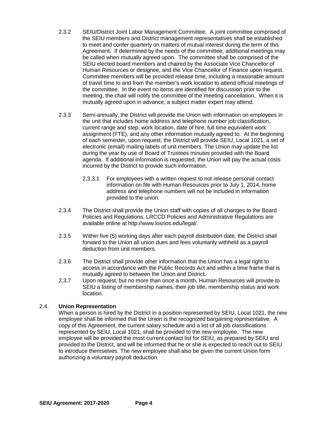- 2.3.2 SEIU/District Joint Labor Management Committee. A joint committee comprised of the SEIU members and District management representatives shall be established to meet and confer quarterly on matters of mutual interest during the term of this Agreement. If determined by the needs of the committee, additional meetings may be called when mutually agreed upon. The committee shall be comprised of the SEIU elected board members and chaired by the Associate Vice Chancellor of Human Resources or designee, and the Vice Chancellor of Finance upon request. Committee members will be provided release time, including a reasonable amount of travel time to and from the member's work location to attend official meetings of the committee. In the event no items are identified for discussion prior to the meeting, the chair will notify the committee of the meeting cancellation. When it is mutually agreed upon in advance, a subject matter expert may attend.
- 2.3.3 Semi-annually, the District will provide the Union with information on employees in the unit that includes home address and telephone number job classification, current range and step, work location, date of hire, full time equivalent work assignment (FTE), and any other information mutually agreed to. At the beginning of each semester, upon request, the District will provide SEIU, Local 1021, a set of electronic (email) mailing labels of unit members. The Union may update the list during the year by use of Board of Trustees minutes provided with the Board agenda. If additional information is requested, the Union will pay the actual costs incurred by the District to provide such information.
	- 2.3.3.1 For employees with a written request to not release personal contact information on file with Human Resources prior to July 1, 2014, home address and telephone numbers will not be included in information provided to the union.
- 2.3.4 The District shall provide the Union staff with copies of all changes to the Board Policies and Regulations. LRCCD Policies and Administrative Regulations are available online at http://www.losrios.edu/legal/.
- 2.3.5 Within five (5) working days after each payroll distribution date, the District shall forward to the Union all union dues and fees voluntarily withheld as a payroll deduction from unit members.
- 2.3.6 The District shall provide other information that the Union has a legal right to access in accordance with the Public Records Act and within a time frame that is mutually agreed to between the Union and District.
- 2.3.7 Upon request, but no more than once a month, Human Resources will provide to SEIU a listing of membership names, their job title, membership status and work location.

#### 2.4. **Union Representation**

When a person is hired by the District in a position represented by SEIU, Local 1021, the new employee shall be informed that the Union is the recognized bargaining representative. A copy of this Agreement, the current salary schedule and a list of all job classifications represented by SEIU, Local 1021, shall be provided to the new employee. The new employee will be provided the most current contact list for SEIU, as prepared by SEIU and provided to the District, and will be informed that he or she is expected to reach out to SEIU to introduce themselves. The new employee shall also be given the current Union form authorizing a voluntary payroll deduction.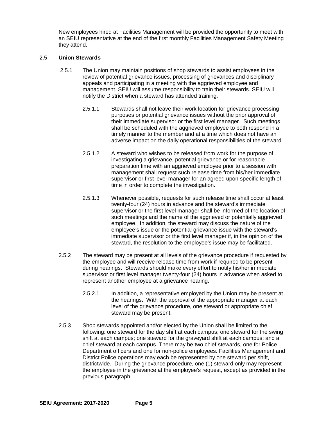New employees hired at Facilities Management will be provided the opportunity to meet with an SEIU representative at the end of the first monthly Facilities Management Safety Meeting they attend.

#### 2.5 **Union Stewards**

- 2.5.1 The Union may maintain positions of shop stewards to assist employees in the review of potential grievance issues, processing of grievances and disciplinary appeals and participating in a meeting with the aggrieved employee and management. SEIU will assume responsibility to train their stewards. SEIU will notify the District when a steward has attended training.
	- 2.5.1.1 Stewards shall not leave their work location for grievance processing purposes or potential grievance issues without the prior approval of their immediate supervisor or the first level manager. Such meetings shall be scheduled with the aggrieved employee to both respond in a timely manner to the member and at a time which does not have an adverse impact on the daily operational responsibilities of the steward.
	- 2.5.1.2 A steward who wishes to be released from work for the purpose of investigating a grievance, potential grievance or for reasonable preparation time with an aggrieved employee prior to a session with management shall request such release time from his/her immediate supervisor or first level manager for an agreed upon specific length of time in order to complete the investigation.
	- 2.5.1.3 Whenever possible, requests for such release time shall occur at least twenty-four (24) hours in advance and the steward's immediate supervisor or the first level manager shall be informed of the location of such meetings and the name of the aggrieved or potentially aggrieved employee. In addition, the steward may discuss the nature of the employee's issue or the potential grievance issue with the steward's immediate supervisor or the first level manager if, in the opinion of the steward, the resolution to the employee's issue may be facilitated.
- 2.5.2 The steward may be present at all levels of the grievance procedure if requested by the employee and will receive release time from work if required to be present during hearings. Stewards should make every effort to notify his/her immediate supervisor or first level manager twenty-four (24) hours in advance when asked to represent another employee at a grievance hearing.
	- 2.5.2.1 In addition, a representative employed by the Union may be present at the hearings. With the approval of the appropriate manager at each level of the grievance procedure, one steward or appropriate chief steward may be present.
- 2.5.3 Shop stewards appointed and/or elected by the Union shall be limited to the following: one steward for the day shift at each campus; one steward for the swing shift at each campus; one steward for the graveyard shift at each campus; and a chief steward at each campus. There may be two chief stewards, one for Police Department officers and one for non-police employees. Facilities Management and District Police operations may each be represented by one steward per shift, districtwide. During the grievance procedure, one (1) steward only may represent the employee in the grievance at the employee's request, except as provided in the previous paragraph.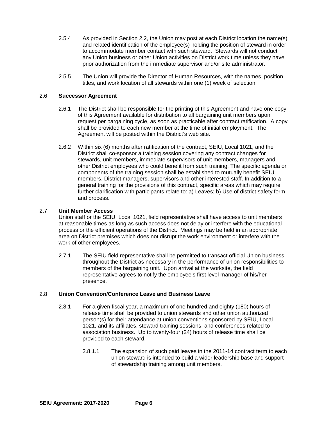- 2.5.4 As provided in Section 2.2, the Union may post at each District location the name(s) and related identification of the employee(s) holding the position of steward in order to accommodate member contact with such steward. Stewards will not conduct any Union business or other Union activities on District work time unless they have prior authorization from the immediate supervisor and/or site administrator.
- 2.5.5 The Union will provide the Director of Human Resources, with the names, position titles, and work location of all stewards within one (1) week of selection.

#### 2.6 **Successor Agreement**

- 2.6.1 The District shall be responsible for the printing of this Agreement and have one copy of this Agreement available for distribution to all bargaining unit members upon request per bargaining cycle, as soon as practicable after contract ratification. A copy shall be provided to each new member at the time of initial employment. The Agreement will be posted within the District's web site.
- 2.6.2 Within six (6) months after ratification of the contract, SEIU, Local 1021, and the District shall co-sponsor a training session covering any contract changes for stewards, unit members, immediate supervisors of unit members, managers and other District employees who could benefit from such training. The specific agenda or components of the training session shall be established to mutually benefit SEIU members, District managers, supervisors and other interested staff. In addition to a general training for the provisions of this contract, specific areas which may require further clarification with participants relate to: a) Leaves; b) Use of district safety form and process.

#### 2.7 **Unit Member Access**

Union staff or the SEIU, Local 1021, field representative shall have access to unit members at reasonable times as long as such access does not delay or interfere with the educational process or the efficient operations of the District. Meetings may be held in an appropriate area on District premises which does not disrupt the work environment or interfere with the work of other employees.

2.7.1 The SEIU field representative shall be permitted to transact official Union business throughout the District as necessary in the performance of union responsibilities to members of the bargaining unit. Upon arrival at the worksite, the field representative agrees to notify the employee's first level manager of his/her presence.

#### 2.8 **Union Convention/Conference Leave and Business Leave**

- 2.8.1 For a given fiscal year, a maximum of one hundred and eighty (180) hours of release time shall be provided to union stewards and other union authorized person(s) for their attendance at union conventions sponsored by SEIU, Local 1021, and its affiliates, steward training sessions, and conferences related to association business. Up to twenty-four (24) hours of release time shall be provided to each steward.
	- 2.8.1.1 The expansion of such paid leaves in the 2011-14 contract term to each union steward is intended to build a wider leadership base and support of stewardship training among unit members.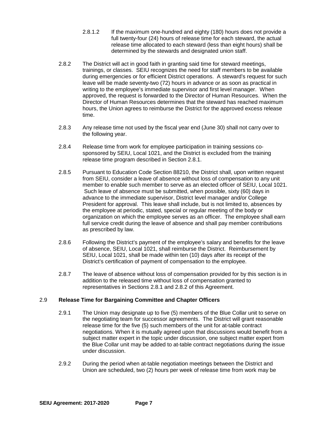- 2.8.1.2 If the maximum one-hundred and eighty (180) hours does not provide a full twenty-four (24) hours of release time for each steward, the actual release time allocated to each steward (less than eight hours) shall be determined by the stewards and designated union staff.
- 2.8.2 The District will act in good faith in granting said time for steward meetings, trainings, or classes. SEIU recognizes the need for staff members to be available during emergencies or for efficient District operations. A steward's request for such leave will be made seventy-two (72) hours in advance or as soon as practical in writing to the employee's immediate supervisor and first level manager. When approved, the request is forwarded to the Director of Human Resources. When the Director of Human Resources determines that the steward has reached maximum hours, the Union agrees to reimburse the District for the approved excess release time.
- 2.8.3 Any release time not used by the fiscal year end (June 30) shall not carry over to the following year.
- 2.8.4 Release time from work for employee participation in training sessions cosponsored by SEIU, Local 1021, and the District is excluded from the training release time program described in Section 2.8.1.
- 2.8.5 Pursuant to Education Code Section 88210, the District shall, upon written request from SEIU, consider a leave of absence without loss of compensation to any unit member to enable such member to serve as an elected officer of SEIU, Local 1021. Such leave of absence must be submitted, when possible, sixty (60) days in advance to the immediate supervisor, District level manager and/or College President for approval. This leave shall include, but is not limited to, absences by the employee at periodic, stated, special or regular meeting of the body or organization on which the employee serves as an officer. The employee shall earn full service credit during the leave of absence and shall pay member contributions as prescribed by law.
- 2.8.6 Following the District's payment of the employee's salary and benefits for the leave of absence, SEIU, Local 1021, shall reimburse the District. Reimbursement by SEIU, Local 1021, shall be made within ten (10) days after its receipt of the District's certification of payment of compensation to the employee.
- 2.8.7 The leave of absence without loss of compensation provided for by this section is in addition to the released time without loss of compensation granted to representatives in Sections 2.8.1 and 2.8.2 of this Agreement.

#### 2.9 **Release Time for Bargaining Committee and Chapter Officers**

- 2.9.1 The Union may designate up to five (5) members of the Blue Collar unit to serve on the negotiating team for successor agreements. The District will grant reasonable release time for the five (5) such members of the unit for at-table contract negotiations. When it is mutually agreed upon that discussions would benefit from a subject matter expert in the topic under discussion, one subject matter expert from the Blue Collar unit may be added to at-table contract negotiations during the issue under discussion.
- 2.9.2 During the period when at-table negotiation meetings between the District and Union are scheduled, two (2) hours per week of release time from work may be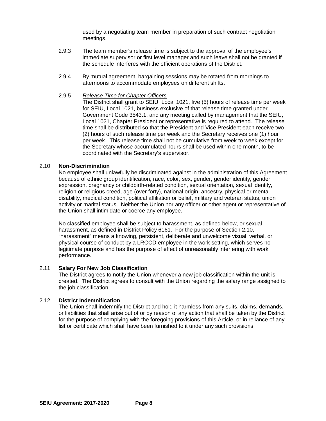used by a negotiating team member in preparation of such contract negotiation meetings.

- 2.9.3 The team member's release time is subject to the approval of the employee's immediate supervisor or first level manager and such leave shall not be granted if the schedule interferes with the efficient operations of the District.
- 2.9.4 By mutual agreement, bargaining sessions may be rotated from mornings to afternoons to accommodate employees on different shifts.

#### 2.9.5 *Release Time for Chapter Officers*

The District shall grant to SEIU, Local 1021, five (5) hours of release time per week for SEIU, Local 1021, business exclusive of that release time granted under Government Code 3543.1, and any meeting called by management that the SEIU, Local 1021, Chapter President or representative is required to attend. The release time shall be distributed so that the President and Vice President each receive two (2) hours of such release time per week and the Secretary receives one (1) hour per week. This release time shall not be cumulative from week to week except for the Secretary whose accumulated hours shall be used within one month, to be coordinated with the Secretary's supervisor.

#### 2.10 **Non-Discrimination**

No employee shall unlawfully be discriminated against in the administration of this Agreement because of ethnic group identification, race, color, sex, gender, gender identity, gender expression, pregnancy or childbirth-related condition, sexual orientation, sexual identity, religion or religious creed, age (over forty), national origin, ancestry, physical or mental disability, medical condition, political affiliation or belief, military and veteran status, union activity or marital status. Neither the Union nor any officer or other agent or representative of the Union shall intimidate or coerce any employee.

No classified employee shall be subject to harassment, as defined below, or sexual harassment, as defined in District Policy 6161. For the purpose of Section 2.10, "harassment" means a knowing, persistent, deliberate and unwelcome visual, verbal, or physical course of conduct by a LRCCD employee in the work setting, which serves no legitimate purpose and has the purpose of effect of unreasonably interfering with work performance.

#### 2.11 **Salary For New Job Classification**

The District agrees to notify the Union whenever a new job classification within the unit is created. The District agrees to consult with the Union regarding the salary range assigned to the job classification.

#### 2.12 **District Indemnification**

The Union shall indemnify the District and hold it harmless from any suits, claims, demands, or liabilities that shall arise out of or by reason of any action that shall be taken by the District for the purpose of complying with the foregoing provisions of this Article, or in reliance of any list or certificate which shall have been furnished to it under any such provisions.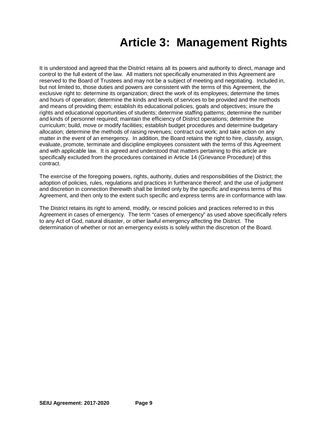## **Article 3: Management Rights**

It is understood and agreed that the District retains all its powers and authority to direct, manage and control to the full extent of the law. All matters not specifically enumerated in this Agreement are reserved to the Board of Trustees and may not be a subject of meeting and negotiating. Included in, but not limited to, those duties and powers are consistent with the terms of this Agreement, the exclusive right to: determine its organization; direct the work of its employees; determine the times and hours of operation; determine the kinds and levels of services to be provided and the methods and means of providing them; establish its educational policies, goals and objectives; insure the rights and educational opportunities of students; determine staffing patterns; determine the number and kinds of personnel required; maintain the efficiency of District operations; determine the curriculum; build, move or modify facilities; establish budget procedures and determine budgetary allocation; determine the methods of raising revenues; contract out work; and take action on any matter in the event of an emergency. In addition, the Board retains the right to hire, classify, assign, evaluate, promote, terminate and discipline employees consistent with the terms of this Agreement and with applicable law. It is agreed and understood that matters pertaining to this article are specifically excluded from the procedures contained in Article 14 (Grievance Procedure) of this contract.

The exercise of the foregoing powers, rights, authority, duties and responsibilities of the District; the adoption of policies, rules, regulations and practices in furtherance thereof; and the use of judgment and discretion in connection therewith shall be limited only by the specific and express terms of this Agreement, and then only to the extent such specific and express terms are in conformance with law.

The District retains its right to amend, modify, or rescind policies and practices referred to in this Agreement in cases of emergency. The term "cases of emergency" as used above specifically refers to any Act of God, natural disaster, or other lawful emergency affecting the District. The determination of whether or not an emergency exists is solely within the discretion of the Board.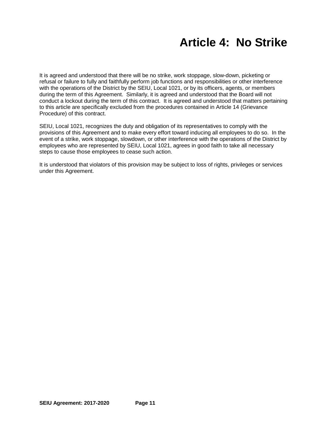### **Article 4: No Strike**

It is agreed and understood that there will be no strike, work stoppage, slow-down, picketing or refusal or failure to fully and faithfully perform job functions and responsibilities or other interference with the operations of the District by the SEIU, Local 1021, or by its officers, agents, or members during the term of this Agreement. Similarly, it is agreed and understood that the Board will not conduct a lockout during the term of this contract. It is agreed and understood that matters pertaining to this article are specifically excluded from the procedures contained in Article 14 (Grievance Procedure) of this contract.

SEIU, Local 1021, recognizes the duty and obligation of its representatives to comply with the provisions of this Agreement and to make every effort toward inducing all employees to do so. In the event of a strike, work stoppage, slowdown, or other interference with the operations of the District by employees who are represented by SEIU, Local 1021, agrees in good faith to take all necessary steps to cause those employees to cease such action.

It is understood that violators of this provision may be subject to loss of rights, privileges or services under this Agreement.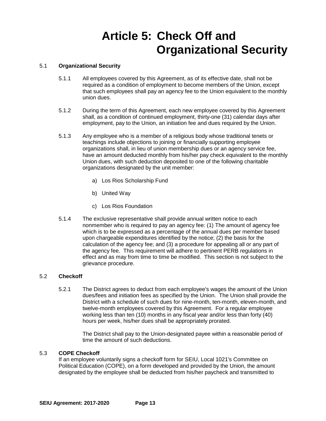### **Article 5: Check Off and Organizational Security**

#### 5.1 **Organizational Security**

- 5.1.1 All employees covered by this Agreement, as of its effective date, shall not be required as a condition of employment to become members of the Union, except that such employees shall pay an agency fee to the Union equivalent to the monthly union dues.
- 5.1.2 During the term of this Agreement, each new employee covered by this Agreement shall, as a condition of continued employment, thirty-one (31) calendar days after employment, pay to the Union, an initiation fee and dues required by the Union.
- 5.1.3 Any employee who is a member of a religious body whose traditional tenets or teachings include objections to joining or financially supporting employee organizations shall, in lieu of union membership dues or an agency service fee, have an amount deducted monthly from his/her pay check equivalent to the monthly Union dues, with such deduction deposited to one of the following charitable organizations designated by the unit member:
	- a) Los Rios Scholarship Fund
	- b) United Way
	- c) Los Rios Foundation
- 5.1.4 The exclusive representative shall provide annual written notice to each nonmember who is required to pay an agency fee: (1) The amount of agency fee which is to be expressed as a percentage of the annual dues per member based upon chargeable expenditures identified by the notice; (2) the basis for the calculation of the agency fee; and (3) a procedure for appealing all or any part of the agency fee. This requirement will adhere to pertinent PERB regulations in effect and as may from time to time be modified. This section is not subject to the grievance procedure.

#### 5.2 **Checkoff**

5.2.1 The District agrees to deduct from each employee's wages the amount of the Union dues/fees and initiation fees as specified by the Union. The Union shall provide the District with a schedule of such dues for nine-month, ten-month, eleven-month, and twelve-month employees covered by this Agreement. For a regular employee working less than ten (10) months in any fiscal year and/or less than forty (40) hours per week, his/her dues shall be appropriately prorated.

> The District shall pay to the Union-designated payee within a reasonable period of time the amount of such deductions.

#### 5.3 **COPE Checkoff**

If an employee voluntarily signs a checkoff form for SEIU, Local 1021's Committee on Political Education (COPE), on a form developed and provided by the Union, the amount designated by the employee shall be deducted from his/her paycheck and transmitted to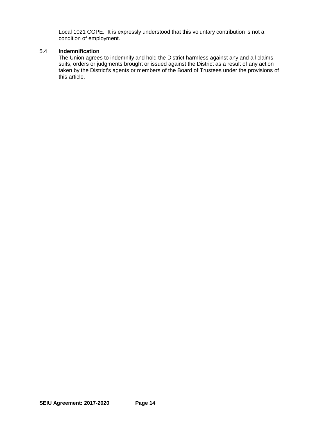Local 1021 COPE. It is expressly understood that this voluntary contribution is not a condition of employment.

#### 5.4 **Indemnification**

The Union agrees to indemnify and hold the District harmless against any and all claims, suits, orders or judgments brought or issued against the District as a result of any action taken by the District's agents or members of the Board of Trustees under the provisions of this article.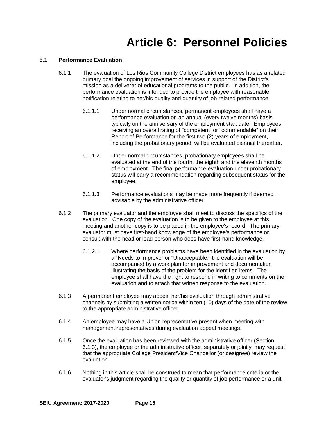### **Article 6: Personnel Policies**

#### 6.1 **Performance Evaluation**

- 6.1.1 The evaluation of Los Rios Community College District employees has as a related primary goal the ongoing improvement of services in support of the District's mission as a deliverer of educational programs to the public. In addition, the performance evaluation is intended to provide the employee with reasonable notification relating to her/his quality and quantity of job-related performance.
	- 6.1.1.1 Under normal circumstances, permanent employees shall have a performance evaluation on an annual (every twelve months) basis typically on the anniversary of the employment start date. Employees receiving an overall rating of "competent" or "commendable" on their Report of Performance for the first two (2) years of employment, including the probationary period, will be evaluated biennial thereafter.
	- 6.1.1.2 Under normal circumstances, probationary employees shall be evaluated at the end of the fourth, the eighth and the eleventh months of employment. The final performance evaluation under probationary status will carry a recommendation regarding subsequent status for the employee.
	- 6.1.1.3 Performance evaluations may be made more frequently if deemed advisable by the administrative officer.
- 6.1.2 The primary evaluator and the employee shall meet to discuss the specifics of the evaluation. One copy of the evaluation is to be given to the employee at this meeting and another copy is to be placed in the employee's record. The primary evaluator must have first-hand knowledge of the employee's performance or consult with the head or lead person who does have first-hand knowledge.
	- 6.1.2.1 Where performance problems have been identified in the evaluation by a "Needs to Improve" or "Unacceptable," the evaluation will be accompanied by a work plan for improvement and documentation illustrating the basis of the problem for the identified items. The employee shall have the right to respond in writing to comments on the evaluation and to attach that written response to the evaluation.
- 6.1.3 A permanent employee may appeal her/his evaluation through administrative channels by submitting a written notice within ten (10) days of the date of the review to the appropriate administrative officer.
- 6.1.4 An employee may have a Union representative present when meeting with management representatives during evaluation appeal meetings.
- 6.1.5 Once the evaluation has been reviewed with the administrative officer (Section 6.1.3), the employee or the administrative officer, separately or jointly, may request that the appropriate College President/Vice Chancellor (or designee) review the evaluation.
- 6.1.6 Nothing in this article shall be construed to mean that performance criteria or the evaluator's judgment regarding the quality or quantity of job performance or a unit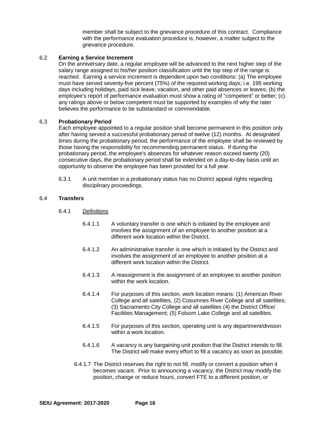member shall be subject to the grievance procedure of this contract. Compliance with the performance evaluation procedure is, however, a matter subject to the grievance procedure.

#### 6.2 **Earning a Service Increment**

On the anniversary date, a regular employee will be advanced to the next higher step of the salary range assigned to his/her position classification until the top step of the range is reached. Earning a service increment is dependent upon two conditions: (a) The employee must have served seventy-five percent (75%) of the required working days; i.e. 195 working days including holidays, paid sick leave, vacation, and other paid absences or leaves; (b) the employee's report of performance evaluation must show a rating of "competent" or better; (c) any ratings above or below competent must be supported by examples of why the rater believes the performance to be substandard or commendable.

#### 6.3 **Probationary Period**

Each employee appointed to a regular position shall become permanent in this position only after having served a successful probationary period of twelve (12) months. At designated times during the probationary period, the performance of the employee shall be reviewed by those having the responsibility for recommending permanent status. If during the probationary period, the employee's absences for whatever reason exceed twenty (20) consecutive days, the probationary period shall be extended on a day-to-day basis until an opportunity to observe the employee has been provided for a full year.

6.3.1 A unit member in a probationary status has no District appeal rights regarding disciplinary proceedings.

#### 6.4 **Transfers**

#### 6.4.1 *Definitions*

- 6.4.1.1 A voluntary transfer is one which is initiated by the employee and involves the assignment of an employee to another position at a different work location within the District.
- 6.4.1.2 An administrative transfer is one which is initiated by the District and involves the assignment of an employee to another position at a different work location within the District.
- 6.4.1.3 A reassignment is the assignment of an employee to another position within the work location.
- 6.4.1.4 For purposes of this section, work location means: (1) American River College and all satellites, (2) Cosumnes River College and all satellites; (3) Sacramento City College and all satellites (4) the District Office/ Facilities Management; (5) Folsom Lake College and all satellites.
- 6.4.1.5 For purposes of this section, operating unit is any department/division within a work location.
- 6.4.1.6 A vacancy is any bargaining unit position that the District intends to fill. The District will make every effort to fill a vacancy as soon as possible.
- 6.4.1.7 The District reserves the right to not fill, modify or convert a position when it becomes vacant. Prior to announcing a vacancy, the District may modify the position, change or reduce hours, convert FTE to a different position, or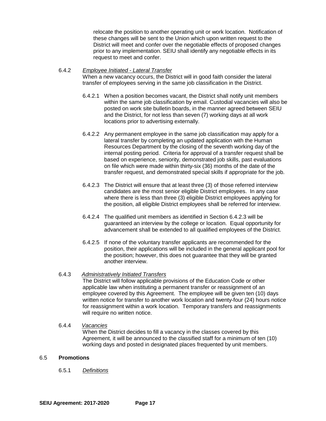relocate the position to another operating unit or work location. Notification of these changes will be sent to the Union which upon written request to the District will meet and confer over the negotiable effects of proposed changes prior to any implementation. SEIU shall identify any negotiable effects in its request to meet and confer.

#### 6.4.2 *Employee Initiated - Lateral Transfer* When a new vacancy occurs, the District will in good faith consider the lateral transfer of employees serving in the same job classification in the District.

- 6.4.2.1 When a position becomes vacant, the District shall notify unit members within the same job classification by email. Custodial vacancies will also be posted on work site bulletin boards, in the manner agreed between SEIU and the District, for not less than seven (7) working days at all work locations prior to advertising externally.
- 6.4.2.2 Any permanent employee in the same job classification may apply for a lateral transfer by completing an updated application with the Human Resources Department by the closing of the seventh working day of the internal posting period. Criteria for approval of a transfer request shall be based on experience, seniority, demonstrated job skills, past evaluations on file which were made within thirty-six (36) months of the date of the transfer request, and demonstrated special skills if appropriate for the job.
- 6.4.2.3 The District will ensure that at least three (3) of those referred interview candidates are the most senior eligible District employees. In any case where there is less than three (3) eligible District employees applying for the position, all eligible District employees shall be referred for interview.
- 6.4.2.4 The qualified unit members as identified in Section 6.4.2.3 will be guaranteed an interview by the college or location. Equal opportunity for advancement shall be extended to all qualified employees of the District.
- 6.4.2.5 If none of the voluntary transfer applicants are recommended for the position, their applications will be included in the general applicant pool for the position; however, this does not guarantee that they will be granted another interview.

#### 6.4.3 *Administratively Initiated Transfers*

The District will follow applicable provisions of the Education Code or other applicable law when instituting a permanent transfer or reassignment of an employee covered by this Agreement. The employee will be given ten (10) days written notice for transfer to another work location and twenty-four (24) hours notice for reassignment within a work location. Temporary transfers and reassignments will require no written notice.

### 6.4.4 *Vacancies*

When the District decides to fill a vacancy in the classes covered by this Agreement, it will be announced to the classified staff for a minimum of ten (10) working days and posted in designated places frequented by unit members.

#### 6.5 **Promotions**

6.5.1 *Definitions*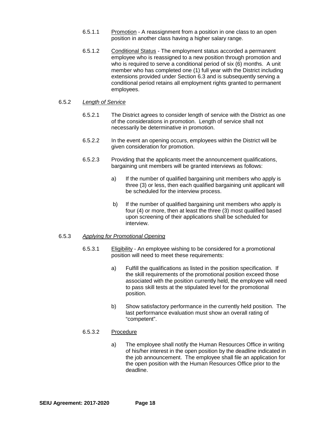- 6.5.1.1 Promotion A reassignment from a position in one class to an open position in another class having a higher salary range.
- 6.5.1.2 Conditional Status The employment status accorded a permanent employee who is reassigned to a new position through promotion and who is required to serve a conditional period of six (6) months. A unit member who has completed one (1) full year with the District including extensions provided under Section 6.3 and is subsequently serving a conditional period retains all employment rights granted to permanent employees.

#### 6.5.2 *Length of Service*

- 6.5.2.1 The District agrees to consider length of service with the District as one of the considerations in promotion. Length of service shall not necessarily be determinative in promotion.
- 6.5.2.2 In the event an opening occurs, employees within the District will be given consideration for promotion.
- 6.5.2.3 Providing that the applicants meet the announcement qualifications, bargaining unit members will be granted interviews as follows:
	- a) If the number of qualified bargaining unit members who apply is three (3) or less, then each qualified bargaining unit applicant will be scheduled for the interview process.
	- b) If the number of qualified bargaining unit members who apply is four (4) or more, then at least the three (3) most qualified based upon screening of their applications shall be scheduled for interview.

#### 6.5.3 *Applying for Promotional Opening*

- 6.5.3.1 Eligibility An employee wishing to be considered for a promotional position will need to meet these requirements:
	- a) Fulfill the qualifications as listed in the position specification. If the skill requirements of the promotional position exceed those associated with the position currently held, the employee will need to pass skill tests at the stipulated level for the promotional position.
	- b) Show satisfactory performance in the currently held position. The last performance evaluation must show an overall rating of "competent".

#### 6.5.3.2 Procedure

a) The employee shall notify the Human Resources Office in writing of his/her interest in the open position by the deadline indicated in the job announcement. The employee shall file an application for the open position with the Human Resources Office prior to the deadline.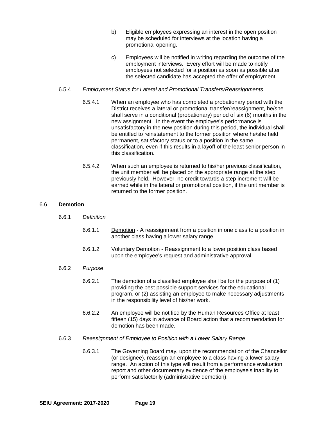- b) Eligible employees expressing an interest in the open position may be scheduled for interviews at the location having a promotional opening.
- c) Employees will be notified in writing regarding the outcome of the employment interviews. Every effort will be made to notify employees not selected for a position as soon as possible after the selected candidate has accepted the offer of employment.

#### 6.5.4 *Employment Status for Lateral and Promotional Transfers/Reassignments*

- 6.5.4.1 When an employee who has completed a probationary period with the District receives a lateral or promotional transfer/reassignment, he/she shall serve in a conditional (probationary) period of six (6) months in the new assignment. In the event the employee's performance is unsatisfactory in the new position during this period, the individual shall be entitled to reinstatement to the former position where he/she held permanent, satisfactory status or to a position in the same classification, even if this results in a layoff of the least senior person in this classification.
- 6.5.4.2 When such an employee is returned to his/her previous classification, the unit member will be placed on the appropriate range at the step previously held. However, no credit towards a step increment will be earned while in the lateral or promotional position, if the unit member is returned to the former position.

#### 6.6 **Demotion**

- 6.6.1 *Definition*
	- 6.6.1.1 Demotion A reassignment from a position in one class to a position in another class having a lower salary range.
	- 6.6.1.2 Voluntary Demotion Reassignment to a lower position class based upon the employee's request and administrative approval.

#### 6.6.2 *Purpose*

- 6.6.2.1 The demotion of a classified employee shall be for the purpose of (1) providing the best possible support services for the educational program, or (2) assisting an employee to make necessary adjustments in the responsibility level of his/her work.
- 6.6.2.2 An employee will be notified by the Human Resources Office at least fifteen (15) days in advance of Board action that a recommendation for demotion has been made.

#### 6.6.3 *Reassignment of Employee to Position with a Lower Salary Range*

6.6.3.1 The Governing Board may, upon the recommendation of the Chancellor (or designee), reassign an employee to a class having a lower salary range. An action of this type will result from a performance evaluation report and other documentary evidence of the employee's inability to perform satisfactorily (administrative demotion).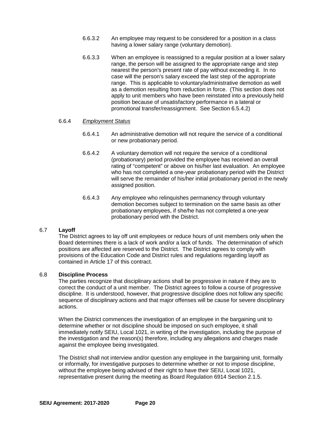- 6.6.3.2 An employee may request to be considered for a position in a class having a lower salary range (voluntary demotion).
- 6.6.3.3 When an employee is reassigned to a regular position at a lower salary range, the person will be assigned to the appropriate range and step nearest the person's present rate of pay without exceeding it. In no case will the person's salary exceed the last step of the appropriate range. This is applicable to voluntary/administrative demotion as well as a demotion resulting from reduction in force. (This section does not apply to unit members who have been reinstated into a previously held position because of unsatisfactory performance in a lateral or promotional transfer/reassignment. See Section 6.5.4.2)

#### 6.6.4 *Employment Status*

- 6.6.4.1 An administrative demotion will not require the service of a conditional or new probationary period.
- 6.6.4.2 A voluntary demotion will not require the service of a conditional (probationary) period provided the employee has received an overall rating of "competent" or above on his/her last evaluation. An employee who has not completed a one-year probationary period with the District will serve the remainder of his/her initial probationary period in the newly assigned position.
- 6.6.4.3 Any employee who relinquishes permanency through voluntary demotion becomes subject to termination on the same basis as other probationary employees, if she/he has not completed a one-year probationary period with the District.

#### 6.7 **Layoff**

The District agrees to lay off unit employees or reduce hours of unit members only when the Board determines there is a lack of work and/or a lack of funds. The determination of which positions are affected are reserved to the District. The District agrees to comply with provisions of the Education Code and District rules and regulations regarding layoff as contained in Article 17 of this contract.

#### 6.8 **Discipline Process**

The parties recognize that disciplinary actions shall be progressive in nature if they are to correct the conduct of a unit member. The District agrees to follow a course of progressive discipline. It is understood, however, that progressive discipline does not follow any specific sequence of disciplinary actions and that major offenses will be cause for severe disciplinary actions.

When the District commences the investigation of an employee in the bargaining unit to determine whether or not discipline should be imposed on such employee, it shall immediately notify SEIU, Local 1021, in writing of the investigation, including the purpose of the investigation and the reason(s) therefore, including any allegations and charges made against the employee being investigated.

The District shall not interview and/or question any employee in the bargaining unit, formally or informally, for investigative purposes to determine whether or not to impose discipline, without the employee being advised of their right to have their SEIU, Local 1021, representative present during the meeting as Board Regulation 6914 Section 2.1.5.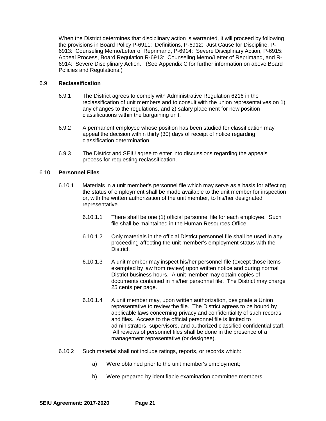When the District determines that disciplinary action is warranted, it will proceed by following the provisions in Board Policy P-6911: Definitions, P-6912: Just Cause for Discipline, P-6913: Counseling Memo/Letter of Reprimand, P-6914: Severe Disciplinary Action, P-6915: Appeal Process, Board Regulation R-6913: Counseling Memo/Letter of Reprimand, and R-6914: Severe Disciplinary Action. (See Appendix C for further information on above Board Policies and Regulations.)

#### 6.9 **Reclassification**

- 6.9.1 The District agrees to comply with Administrative Regulation 6216 in the reclassification of unit members and to consult with the union representatives on 1) any changes to the regulations, and 2) salary placement for new position classifications within the bargaining unit.
- 6.9.2 A permanent employee whose position has been studied for classification may appeal the decision within thirty (30) days of receipt of notice regarding classification determination.
- 6.9.3 The District and SEIU agree to enter into discussions regarding the appeals process for requesting reclassification.

#### 6.10 **Personnel Files**

- 6.10.1 Materials in a unit member's personnel file which may serve as a basis for affecting the status of employment shall be made available to the unit member for inspection or, with the written authorization of the unit member, to his/her designated representative.
	- 6.10.1.1 There shall be one (1) official personnel file for each employee. Such file shall be maintained in the Human Resources Office.
	- 6.10.1.2 Only materials in the official District personnel file shall be used in any proceeding affecting the unit member's employment status with the District.
	- 6.10.1.3 A unit member may inspect his/her personnel file (except those items exempted by law from review) upon written notice and during normal District business hours. A unit member may obtain copies of documents contained in his/her personnel file. The District may charge 25 cents per page.
	- 6.10.1.4 A unit member may, upon written authorization, designate a Union representative to review the file. The District agrees to be bound by applicable laws concerning privacy and confidentiality of such records and files. Access to the official personnel file is limited to administrators, supervisors, and authorized classified confidential staff. All reviews of personnel files shall be done in the presence of a management representative (or designee).
- 6.10.2 Such material shall not include ratings, reports, or records which:
	- a) Were obtained prior to the unit member's employment;
	- b) Were prepared by identifiable examination committee members;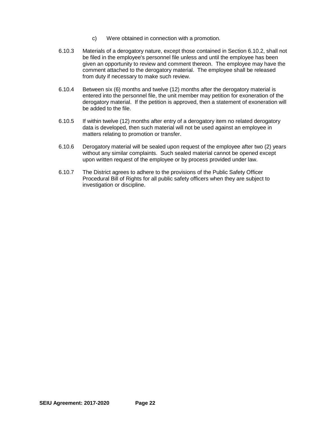- c) Were obtained in connection with a promotion.
- 6.10.3 Materials of a derogatory nature, except those contained in Section 6.10.2, shall not be filed in the employee's personnel file unless and until the employee has been given an opportunity to review and comment thereon. The employee may have the comment attached to the derogatory material. The employee shall be released from duty if necessary to make such review.
- 6.10.4 Between six (6) months and twelve (12) months after the derogatory material is entered into the personnel file, the unit member may petition for exoneration of the derogatory material. If the petition is approved, then a statement of exoneration will be added to the file.
- 6.10.5 If within twelve (12) months after entry of a derogatory item no related derogatory data is developed, then such material will not be used against an employee in matters relating to promotion or transfer.
- 6.10.6 Derogatory material will be sealed upon request of the employee after two (2) years without any similar complaints. Such sealed material cannot be opened except upon written request of the employee or by process provided under law.
- 6.10.7 The District agrees to adhere to the provisions of the Public Safety Officer Procedural Bill of Rights for all public safety officers when they are subject to investigation or discipline.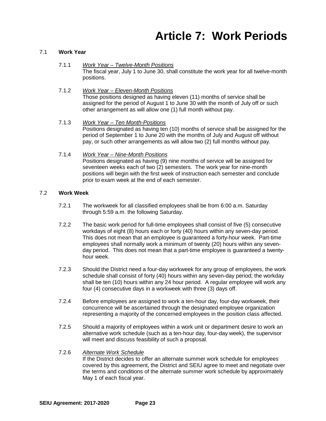### **Article 7: Work Periods**

#### 7.1 **Work Year**

- 7.1.1 *Work Year – Twelve-Month Positions* The fiscal year, July 1 to June 30, shall constitute the work year for all twelve-month positions.
- 7.1.2 *Work Year – Eleven-Month Positions* Those positions designed as having eleven (11) months of service shall be assigned for the period of August 1 to June 30 with the month of July off or such other arrangement as will allow one (1) full month without pay.
- 7.1.3 *Work Year – Ten Month-Positions* Positions designated as having ten (10) months of service shall be assigned for the period of September 1 to June 20 with the months of July and August off without pay, or such other arrangements as will allow two (2) full months without pay.
- 7.1.4 *Work Year – Nine-Month Positions* Positions designated as having (9) nine months of service will be assigned for seventeen weeks each of two (2) semesters. The work year for nine-month positions will begin with the first week of instruction each semester and conclude prior to exam week at the end of each semester.

#### 7.2 **Work Week**

- 7.2.1 The workweek for all classified employees shall be from 6:00 a.m. Saturday through 5:59 a.m. the following Saturday.
- 7.2.2 The basic work period for full-time employees shall consist of five (5) consecutive workdays of eight (8) hours each or forty (40) hours within any seven-day period. This does not mean that an employee is guaranteed a forty-hour week. Part-time employees shall normally work a minimum of twenty (20) hours within any sevenday period. This does not mean that a part-time employee is guaranteed a twentyhour week.
- 7.2.3 Should the District need a four-day workweek for any group of employees, the work schedule shall consist of forty (40) hours within any seven-day period; the workday shall be ten (10) hours within any 24 hour period. A regular employee will work any four (4) consecutive days in a workweek with three (3) days off.
- 7.2.4 Before employees are assigned to work a ten-hour day, four-day workweek, their concurrence will be ascertained through the designated employee organization representing a majority of the concerned employees in the position class affected.
- 7.2.5 Should a majority of employees within a work unit or department desire to work an alternative work schedule (such as a ten-hour day, four-day week), the supervisor will meet and discuss feasibility of such a proposal.

### 7.2.6 *Alternate Work Schedule*

If the District decides to offer an alternate summer work schedule for employees covered by this agreement, the District and SEIU agree to meet and negotiate over the terms and conditions of the alternate summer work schedule by approximately May 1 of each fiscal year.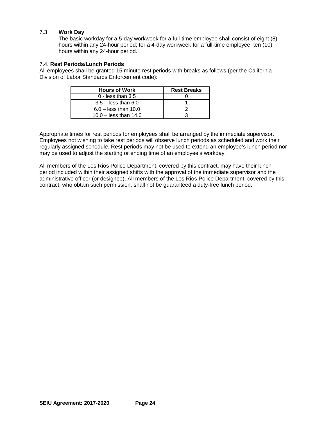#### 7.3 **Work Day**

The basic workday for a 5-day workweek for a full-time employee shall consist of eight (8) hours within any 24-hour period; for a 4-day workweek for a full-time employee, ten (10) hours within any 24-hour period.

#### 7.4. **Rest Periods/Lunch Periods**

All employees shall be granted 15 minute rest periods with breaks as follows (per the California Division of Labor Standards Enforcement code):

| <b>Hours of Work</b>    | <b>Rest Breaks</b> |
|-------------------------|--------------------|
| $0$ - less than 3.5     |                    |
| $3.5 -$ less than 6.0   |                    |
| $6.0 -$ less than 10.0  |                    |
| $10.0 -$ less than 14.0 |                    |

Appropriate times for rest periods for employees shall be arranged by the immediate supervisor. Employees not wishing to take rest periods will observe lunch periods as scheduled and work their regularly assigned schedule. Rest periods may not be used to extend an employee's lunch period nor may be used to adjust the starting or ending time of an employee's workday.

All members of the Los Rios Police Department, covered by this contract, may have their lunch period included within their assigned shifts with the approval of the immediate supervisor and the administrative officer (or designee). All members of the Los Rios Police Department, covered by this contract, who obtain such permission, shall not be guaranteed a duty-free lunch period.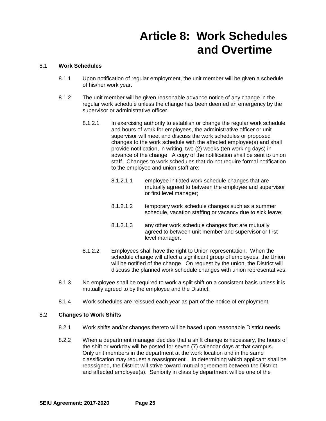## **Article 8: Work Schedules and Overtime**

#### 8.1 **Work Schedules**

- 8.1.1 Upon notification of regular employment, the unit member will be given a schedule of his/her work year.
- 8.1.2 The unit member will be given reasonable advance notice of any change in the regular work schedule unless the change has been deemed an emergency by the supervisor or administrative officer.
	- 8.1.2.1 In exercising authority to establish or change the regular work schedule and hours of work for employees, the administrative officer or unit supervisor will meet and discuss the work schedules or proposed changes to the work schedule with the affected employee(s) and shall provide notification, in writing, two (2) weeks (ten working days) in advance of the change. A copy of the notification shall be sent to union staff. Changes to work schedules that do not require formal notification to the employee and union staff are:
		- 8.1.2.1.1 employee initiated work schedule changes that are mutually agreed to between the employee and supervisor or first level manager;
		- 8.1.2.1.2 temporary work schedule changes such as a summer schedule, vacation staffing or vacancy due to sick leave;
		- 8.1.2.1.3 any other work schedule changes that are mutually agreed to between unit member and supervisor or first level manager.
	- 8.1.2.2 Employees shall have the right to Union representation. When the schedule change will affect a significant group of employees, the Union will be notified of the change. On request by the union, the District will discuss the planned work schedule changes with union representatives.
- 8.1.3 No employee shall be required to work a split shift on a consistent basis unless it is mutually agreed to by the employee and the District.
- 8.1.4 Work schedules are reissued each year as part of the notice of employment.

#### 8.2 **Changes to Work Shifts**

- 8.2.1 Work shifts and/or changes thereto will be based upon reasonable District needs.
- 8.2.2 When a department manager decides that a shift change is necessary, the hours of the shift or workday will be posted for seven (7) calendar days at that campus. Only unit members in the department at the work location and in the same classification may request a reassignment . In determining which applicant shall be reassigned, the District will strive toward mutual agreement between the District and affected employee(s). Seniority in class by department will be one of the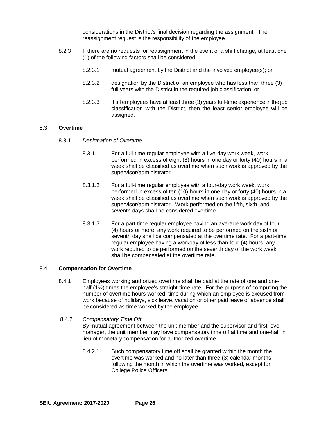considerations in the District's final decision regarding the assignment. The reassignment request is the responsibility of the employee.

- 8.2.3 If there are no requests for reassignment in the event of a shift change, at least one (1) of the following factors shall be considered:
	- 8.2.3.1 mutual agreement by the District and the involved employee(s); or
	- 8.2.3.2 designation by the District of an employee who has less than three (3) full years with the District in the required job classification; or
	- 8.2.3.3 if all employees have at least three (3) years full-time experience in the job classification with the District, then the least senior employee will be assigned.

#### 8.3 **Overtime**

- 8.3.1 *Designation of Overtime*
	- 8.3.1.1 For a full-time regular employee with a five-day work week, work performed in excess of eight (8) hours in one day or forty (40) hours in a week shall be classified as overtime when such work is approved by the supervisor/administrator.
	- 8.3.1.2 For a full-time regular employee with a four-day work week, work performed in excess of ten (10) hours in one day or forty (40) hours in a week shall be classified as overtime when such work is approved by the supervisor/administrator. Work performed on the fifth, sixth, and seventh days shall be considered overtime.
	- 8.3.1.3 For a part-time regular employee having an average work day of four (4) hours or more, any work required to be performed on the sixth or seventh day shall be compensated at the overtime rate. For a part-time regular employee having a workday of less than four (4) hours, any work required to be performed on the seventh day of the work week shall be compensated at the overtime rate.

#### 8.4 **Compensation for Overtime**

- 8.4.1 Employees working authorized overtime shall be paid at the rate of one and onehalf (1½) times the employee's straight-time rate. For the purpose of computing the number of overtime hours worked, time during which an employee is excused from work because of holidays, sick leave, vacation or other paid leave of absence shall be considered as time worked by the employee.
- 8.4.2 *Compensatory Time Off* By mutual agreement between the unit member and the supervisor and first-level manager, the unit member may have compensatory time off at time and one-half in lieu of monetary compensation for authorized overtime.
	- 8.4.2.1 Such compensatory time off shall be granted within the month the overtime was worked and no later than three (3) calendar months following the month in which the overtime was worked, except for College Police Officers.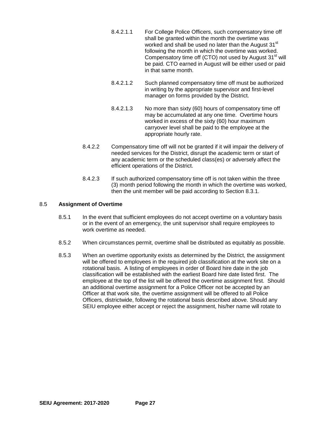- 8.4.2.1.1 For College Police Officers, such compensatory time off shall be granted within the month the overtime was worked and shall be used no later than the August 31<sup>st</sup> following the month in which the overtime was worked. Compensatory time off (CTO) not used by August 31<sup>st</sup> will be paid. CTO earned in August will be either used or paid in that same month.
- 8.4.2.1.2 Such planned compensatory time off must be authorized in writing by the appropriate supervisor and first-level manager on forms provided by the District.
- 8.4.2.1.3 No more than sixty (60) hours of compensatory time off may be accumulated at any one time. Overtime hours worked in excess of the sixty (60) hour maximum carryover level shall be paid to the employee at the appropriate hourly rate.
- 8.4.2.2 Compensatory time off will not be granted if it will impair the delivery of needed services for the District, disrupt the academic term or start of any academic term or the scheduled class(es) or adversely affect the efficient operations of the District.
- 8.4.2.3 If such authorized compensatory time off is not taken within the three (3) month period following the month in which the overtime was worked, then the unit member will be paid according to Section 8.3.1.

#### 8.5 **Assignment of Overtime**

- 8.5.1 In the event that sufficient employees do not accept overtime on a voluntary basis or in the event of an emergency, the unit supervisor shall require employees to work overtime as needed.
- 8.5.2 When circumstances permit, overtime shall be distributed as equitably as possible.
- 8.5.3 When an overtime opportunity exists as determined by the District, the assignment will be offered to employees in the required job classification at the work site on a rotational basis. A listing of employees in order of Board hire date in the job classification will be established with the earliest Board hire date listed first. The employee at the top of the list will be offered the overtime assignment first. Should an additional overtime assignment for a Police Officer not be accepted by an Officer at that work site, the overtime assignment will be offered to all Police Officers, districtwide, following the rotational basis described above. Should any SEIU employee either accept or reject the assignment, his/her name will rotate to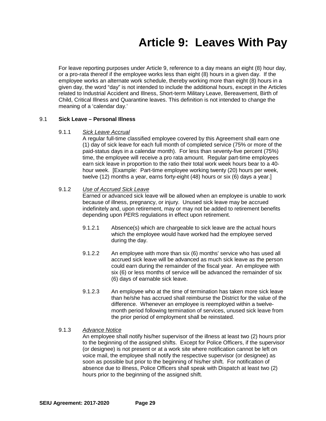### **Article 9: Leaves With Pay**

For leave reporting purposes under Article 9, reference to a day means an eight (8) hour day, or a pro-rata thereof if the employee works less than eight (8) hours in a given day. If the employee works an alternate work schedule, thereby working more than eight (8) hours in a given day, the word "day" is not intended to include the additional hours, except in the Articles related to Industrial Accident and Illness, Short-term Military Leave, Bereavement, Birth of Child, Critical Illness and Quarantine leaves. This definition is not intended to change the meaning of a 'calendar day.'

#### 9.1 **Sick Leave – Personal Illness**

#### 9.1.1 *Sick Leave Accrual*

A regular full-time classified employee covered by this Agreement shall earn one (1) day of sick leave for each full month of completed service (75% or more of the paid-status days in a calendar month). For less than seventy-five percent (75%) time, the employee will receive a pro rata amount. Regular part-time employees earn sick leave in proportion to the ratio their total work week hours bear to a 40 hour week. [Example: Part-time employee working twenty (20) hours per week, twelve (12) months a year, earns forty-eight (48) hours or six (6) days a year.]

#### 9.1.2 *Use of Accrued Sick Leave*

Earned or advanced sick leave will be allowed when an employee is unable to work because of illness, pregnancy, or injury. Unused sick leave may be accrued indefinitely and, upon retirement, may or may not be added to retirement benefits depending upon PERS regulations in effect upon retirement.

- 9.1.2.1 Absence(s) which are chargeable to sick leave are the actual hours which the employee would have worked had the employee served during the day.
- 9.1.2.2 An employee with more than six (6) months' service who has used all accrued sick leave will be advanced as much sick leave as the person could earn during the remainder of the fiscal year. An employee with six (6) or less months of service will be advanced the remainder of six (6) days of earnable sick leave.
- 9.1.2.3 An employee who at the time of termination has taken more sick leave than he/she has accrued shall reimburse the District for the value of the difference. Whenever an employee is reemployed within a twelvemonth period following termination of services, unused sick leave from the prior period of employment shall be reinstated.

#### 9.1.3 *Advance Notice*

An employee shall notify his/her supervisor of the illness at least two (2) hours prior to the beginning of the assigned shifts. Except for Police Officers, if the supervisor (or designee) is not present or at a work site where notification cannot be left on voice mail, the employee shall notify the respective supervisor (or designee) as soon as possible but prior to the beginning of his/her shift. For notification of absence due to illness, Police Officers shall speak with Dispatch at least two (2) hours prior to the beginning of the assigned shift.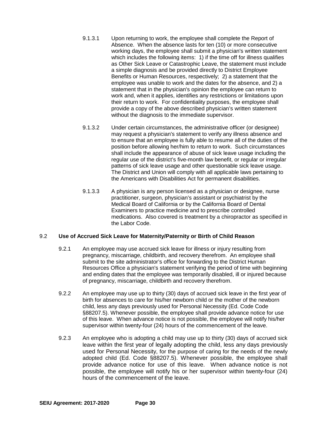- 9.1.3.1 Upon returning to work, the employee shall complete the Report of Absence. When the absence lasts for ten (10) or more consecutive working days, the employee shall submit a physician's written statement which includes the following items: 1) if the time off for illness qualifies as Other Sick Leave or Catastrophic Leave, the statement must include a simple diagnosis and be provided directly to District Employee Benefits or Human Resources, respectively; 2) a statement that the employee was unable to work and the dates for the absence, and 2) a statement that in the physician's opinion the employee can return to work and, when it applies, identifies any restrictions or limitations upon their return to work. For confidentiality purposes, the employee shall provide a copy of the above described physician's written statement without the diagnosis to the immediate supervisor.
- 9.1.3.2 Under certain circumstances, the administrative officer (or designee) may request a physician's statement to verify any illness absence and to ensure that an employee is fully able to resume all of the duties of the position before allowing her/him to return to work. Such circumstances shall include the appearance of abuse of sick leave usage including the regular use of the district's five-month law benefit, or regular or irregular patterns of sick leave usage and other questionable sick leave usage. The District and Union will comply with all applicable laws pertaining to the Americans with Disabilities Act for permanent disabilities.
- 9.1.3.3 A physician is any person licensed as a physician or designee, nurse practitioner, surgeon, physician's assistant or psychiatrist by the Medical Board of California or by the California Board of Dental Examiners to practice medicine and to prescribe controlled medications. Also covered is treatment by a chiropractor as specified in the Labor Code.

#### 9.2 **Use of Accrued Sick Leave for Maternity/Paternity or Birth of Child Reason**

- 9.2.1 An employee may use accrued sick leave for illness or injury resulting from pregnancy, miscarriage, childbirth, and recovery therefrom. An employee shall submit to the site administrator's office for forwarding to the District Human Resources Office a physician's statement verifying the period of time with beginning and ending dates that the employee was temporarily disabled, ill or injured because of pregnancy, miscarriage, childbirth and recovery therefrom.
- 9.2.2 An employee may use up to thirty (30) days of accrued sick leave in the first year of birth for absences to care for his/her newborn child or the mother of the newborn child, less any days previously used for Personal Necessity (Ed. Code Code §88207.5). Whenever possible, the employee shall provide advance notice for use of this leave. When advance notice is not possible, the employee will notify his/her supervisor within twenty-four (24) hours of the commencement of the leave.
- 9.2.3 An employee who is adopting a child may use up to thirty (30) days of accrued sick leave within the first year of legally adopting the child, less any days previously used for Personal Necessity, for the purpose of caring for the needs of the newly adopted child (Ed. Code §88207.5). Whenever possible, the employee shall provide advance notice for use of this leave. When advance notice is not possible, the employee will notify his or her supervisor within twenty-four (24) hours of the commencement of the leave.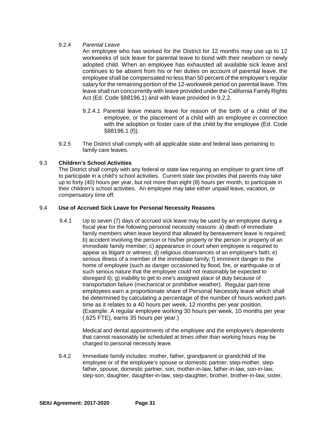#### 9.2.4 *Parental Leave*

An employee who has worked for the District for 12 months may use up to 12 workweeks of sick leave for parental leave to bond with their newborn or newly adopted child. When an employee has exhausted all available sick leave and continues to be absent from his or her duties on account of parental leave, the employee shall be compensated no less than 50 percent of the employee's regular salary for the remaining portion of the 12-workweek period on parental leave. This leave shall run concurrently with leave provided under the California Family Rights Act (Ed. Code §88196.1) and with leave provided in 9.2.2.

- 9.2.4.1 Parental leave means leave for reason of the birth of a child of the employee, or the placement of a child with an employee in connection with the adoption or foster care of the child by the employee (Ed. Code §88196.1 (f)).
- 9.2.5 The District shall comply with all applicable state and federal laws pertaining to family care leaves.

#### 9.3 **Children's School Activities**

The District shall comply with any federal or state law requiring an employer to grant time off to participate in a child's school activities. Current state law provides that parents may take up to forty (40) hours per year, but not more than eight (8) hours per month, to participate in their children's school activities. An employee may take either unpaid leave, vacation, or compensatory time off.

#### 9.4 **Use of Accrued Sick Leave for Personal Necessity Reasons**

 9.4.1 Up to seven (7) days of accrued sick leave may be used by an employee during a fiscal year for the following personal necessity reasons: a) death of immediate family members when leave beyond that allowed by bereavement leave is required; b) accident involving the person or his/her property or the person or property of an immediate family member; c) appearance in court when employee is required to appear as litigant or witness; d) religious observances of an employee's faith; e) serious illness of a member of the immediate family; f) imminent danger to the home of employee (such as danger occasioned by flood, fire, or earthquake or of such serious nature that the employee could not reasonably be expected to disregard it); g) inability to get to one's assigned place of duty because of transportation failure (mechanical or prohibitive weather). Regular part-time employees earn a proportionate share of Personal Necessity leave which shall be determined by calculating a percentage of the number of hours worked parttime as it relates to a 40 hours per week, 12 months per year position. (Example: A regular employee working 30 hours per week, 10 months per year (.625 FTE), earns 35 hours per year.)

> Medical and dental appointments of the employee and the employee's dependents that cannot reasonably be scheduled at times other than working hours may be charged to personal necessity leave.

9.4.2 Immediate family includes: mother, father, grandparent or grandchild of the employee or of the employee's spouse or domestic partner; step-mother, stepfather, spouse, domestic partner, son, mother-in-law, father-in-law, son-in-law, step-son, daughter, daughter-in-law, step-daughter, brother, brother-in-law, sister,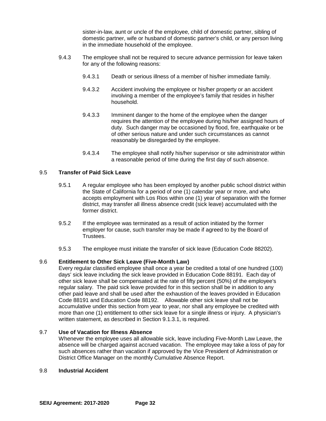sister-in-law, aunt or uncle of the employee, child of domestic partner, sibling of domestic partner, wife or husband of domestic partner's child, or any person living in the immediate household of the employee.

- 9.4.3 The employee shall not be required to secure advance permission for leave taken for any of the following reasons:
	- 9.4.3.1 Death or serious illness of a member of his/her immediate family.
	- 9.4.3.2 Accident involving the employee or his/her property or an accident involving a member of the employee's family that resides in his/her household.
	- 9.4.3.3 Imminent danger to the home of the employee when the danger requires the attention of the employee during his/her assigned hours of duty. Such danger may be occasioned by flood, fire, earthquake or be of other serious nature and under such circumstances as cannot reasonably be disregarded by the employee.
	- 9.4.3.4 The employee shall notify his/her supervisor or site administrator within a reasonable period of time during the first day of such absence.

#### 9.5 **Transfer of Paid Sick Leave**

- 9.5.1 A regular employee who has been employed by another public school district within the State of California for a period of one (1) calendar year or more, and who accepts employment with Los Rios within one (1) year of separation with the former district, may transfer all illness absence credit (sick leave) accumulated with the former district.
- 9.5.2 If the employee was terminated as a result of action initiated by the former employer for cause, such transfer may be made if agreed to by the Board of **Trustees**
- 9.5.3 The employee must initiate the transfer of sick leave (Education Code 88202).

#### 9.6 **Entitlement to Other Sick Leave (Five-Month Law)**

Every regular classified employee shall once a year be credited a total of one hundred (100) days' sick leave including the sick leave provided in Education Code 88191. Each day of other sick leave shall be compensated at the rate of fifty percent (50%) of the employee's regular salary. The paid sick leave provided for in this section shall be in addition to any other paid leave and shall be used after the exhaustion of the leaves provided in Education Code 88191 and Education Code 88192. Allowable other sick leave shall not be accumulative under this section from year to year, nor shall any employee be credited with more than one (1) entitlement to other sick leave for a single illness or injury. A physician's written statement, as described in Section 9.1.3.1, is required.

#### 9.7 **Use of Vacation for Illness Absence**

Whenever the employee uses all allowable sick, leave including Five-Month Law Leave, the absence will be charged against accrued vacation. The employee may take a loss of pay for such absences rather than vacation if approved by the Vice President of Administration or District Office Manager on the monthly Cumulative Absence Report.

#### 9.8 **Industrial Accident**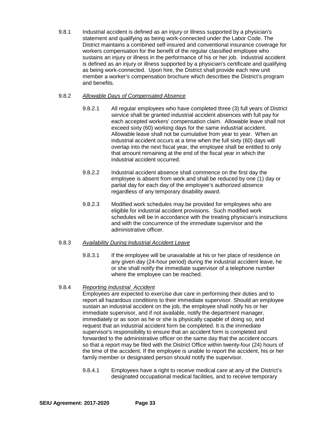9.8.1 Industrial accident is defined as an injury or illness supported by a physician's statement and qualifying as being work-connected under the Labor Code. The District maintains a combined self-insured and conventional insurance coverage for workers compensation for the benefit of the regular classified employee who sustains an injury or illness in the performance of his or her job. Industrial accident is defined as an injury or illness supported by a physician's certificate and qualifying as being work-connected. Upon hire, the District shall provide each new unit member a worker's compensation brochure which describes the District's program and benefits.

## 9.8.2 *Allowable Days of Compensated Absence*

- 9.8.2.1 All regular employees who have completed three (3) full years of District service shall be granted industrial accident absences with full pay for each accepted workers' compensation claim. Allowable leave shall not exceed sixty (60) working days for the same industrial accident. Allowable leave shall not be cumulative from year to year. When an industrial accident occurs at a time when the full sixty (60) days will overlap into the next fiscal year, the employee shall be entitled to only that amount remaining at the end of the fiscal year in which the industrial accident occurred.
- 9.8.2.2 Industrial accident absence shall commence on the first day the employee is absent from work and shall be reduced by one (1) day or partial day for each day of the employee's authorized absence regardless of any temporary disability award.
- 9.8.2.3 Modified work schedules may be provided for employees who are eligible for industrial accident provisions. Such modified work schedules will be in accordance with the treating physician's instructions and with the concurrence of the immediate supervisor and the administrative officer.

## 9.8.3 *Availability During Industrial Accident Leave*

9.8.3.1 If the employee will be unavailable at his or her place of residence on any given day (24-hour period) during the industrial accident leave, he or she shall notify the immediate supervisor of a telephone number where the employee can be reached.

## 9.8.4 *Reporting Industrial Accident*

Employees are expected to exercise due care in performing their duties and to report all hazardous conditions to their immediate supervisor. Should an employee sustain an industrial accident on the job, the employee shall notify his or her immediate supervisor, and if not available, notify the department manager, immediately or as soon as he or she is physically capable of doing so, and request that an industrial accident form be completed. It is the immediate supervisor's responsibility to ensure that an accident form is completed and forwarded to the administrative officer on the same day that the accident occurs so that a report may be filed with the District Office within twenty-four (24) hours of the time of the accident. If the employee is unable to report the accident, his or her family member or designated person should notify the supervisor.

9.8.4.1 Employees have a right to receive medical care at any of the District's designated occupational medical facilities, and to receive temporary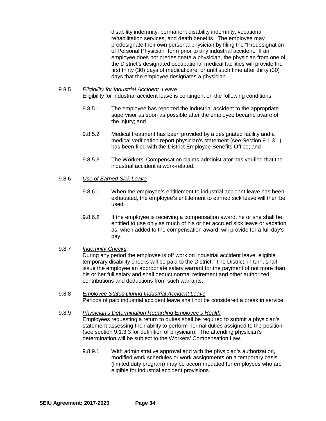disability indemnity, permanent disability indemnity, vocational rehabilitation services, and death benefits. The employee may predesignate their own personal physician by filing the "Predesignation of Personal Physician" form prior to any industrial accident. If an employee does not predesignate a physician, the physician from one of the District's designated occupational medical facilities will provide the first thirty (30) days of medical care, or until such time after thirty (30) days that the employee designates a physician.

- 9.8.5 *Eligibility for Industrial Accident Leave* Eligibility for industrial accident leave is contingent on the following conditions:
	- 9.8.5.1 The employee has reported the industrial accident to the appropriate supervisor as soon as possible after the employee became aware of the injury; and
	- 9.8.5.2 Medical treatment has been provided by a designated facility and a medical verification report physician's statement (see Section 9.1.3.1) has been filed with the District Employee Benefits Office; and
	- 9.8.5.3 The Workers' Compensation claims administrator has verified that the industrial accident is work-related.
- 9.8.6 *Use of Earned Sick Leave*
	- 9.8.6.1 When the employee's entitlement to industrial accident leave has been exhausted, the employee's entitlement to earned sick leave will then be used.
	- 9.8.6.2 If the employee is receiving a compensation award, he or she shall be entitled to use only as much of his or her accrued sick leave or vacation as, when added to the compensation award, will provide for a full day's pay.
- 9.8.7 *Indemnity Checks*

During any period the employee is off work on industrial accident leave, eligible temporary disability checks will be paid to the District. The District, in turn, shall issue the employee an appropriate salary warrant for the payment of not more than his or her full salary and shall deduct normal retirement and other authorized contributions and deductions from such warrants.

- 9.8.8 *Employee Status During Industrial Accident Leave*  Periods of paid industrial accident leave shall not be considered a break in service.
- 9.8.9 *Physician's Determination Regarding Employee's Health* Employees requesting a return to duties shall be required to submit a physician's statement assessing their ability to perform normal duties assigned to the position (see section 9.1.3.3 for definition of physician). The attending physician's determination will be subject to the Workers' Compensation Law.
	- 9.8.9.1 With administrative approval and with the physician's authorization, modified work schedules or work assignments on a temporary basis (limited duty program) may be accommodated for employees who are eligible for industrial accident provisions.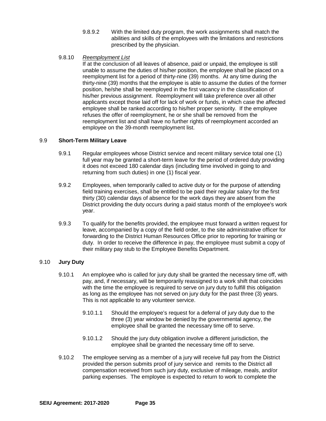- 9.8.9.2 With the limited duty program, the work assignments shall match the abilities and skills of the employees with the limitations and restrictions prescribed by the physician.
- 9.8.10 *Reemployment List*

If at the conclusion of all leaves of absence, paid or unpaid, the employee is still unable to assume the duties of his/her position, the employee shall be placed on a reemployment list for a period of thirty-nine (39) months. At any time during the thirty-nine (39) months that the employee is able to assume the duties of the former position, he/she shall be reemployed in the first vacancy in the classification of his/her previous assignment. Reemployment will take preference over all other applicants except those laid off for lack of work or funds, in which case the affected employee shall be ranked according to his/her proper seniority. If the employee refuses the offer of reemployment, he or she shall be removed from the reemployment list and shall have no further rights of reemployment accorded an employee on the 39-month reemployment list.

## 9.9 **Short-Term Military Leave**

- 9.9.1 Regular employees whose District service and recent military service total one (1) full year may be granted a short-term leave for the period of ordered duty providing it does not exceed 180 calendar days (including time involved in going to and returning from such duties) in one (1) fiscal year.
- 9.9.2 Employees, when temporarily called to active duty or for the purpose of attending field training exercises, shall be entitled to be paid their regular salary for the first thirty (30) calendar days of absence for the work days they are absent from the District providing the duty occurs during a paid status month of the employee's work year.
- 9.9.3 To qualify for the benefits provided, the employee must forward a written request for leave, accompanied by a copy of the field order, to the site administrative officer for forwarding to the District Human Resources Office prior to reporting for training or duty. In order to receive the difference in pay, the employee must submit a copy of their military pay stub to the Employee Benefits Department.

## 9.10 **Jury Duty**

- 9.10.1 An employee who is called for jury duty shall be granted the necessary time off, with pay, and, if necessary, will be temporarily reassigned to a work shift that coincides with the time the employee is required to serve on jury duty to fulfill this obligation as long as the employee has not served on jury duty for the past three (3) years. This is not applicable to any volunteer service.
	- 9.10.1.1 Should the employee's request for a deferral of jury duty due to the three (3) year window be denied by the governmental agency, the employee shall be granted the necessary time off to serve.
	- 9.10.1.2 Should the jury duty obligation involve a different jurisdiction, the employee shall be granted the necessary time off to serve.
- 9.10.2 The employee serving as a member of a jury will receive full pay from the District provided the person submits proof of jury service and remits to the District all compensation received from such jury duty, exclusive of mileage, meals, and/or parking expenses. The employee is expected to return to work to complete the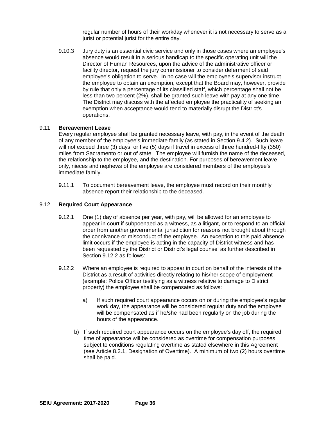regular number of hours of their workday whenever it is not necessary to serve as a jurist or potential jurist for the entire day.

9.10.3 Jury duty is an essential civic service and only in those cases where an employee's absence would result in a serious handicap to the specific operating unit will the Director of Human Resources, upon the advice of the administrative officer or facility director, request the jury commissioner to consider deferment of said employee's obligation to serve. In no case will the employee's supervisor instruct the employee to obtain an exemption, except that the Board may, however, provide by rule that only a percentage of its classified staff, which percentage shall not be less than two percent (2%), shall be granted such leave with pay at any one time. The District may discuss with the affected employee the practicality of seeking an exemption when acceptance would tend to materially disrupt the District's operations.

#### 9.11 **Bereavement Leave**

Every regular employee shall be granted necessary leave, with pay, in the event of the death of any member of the employee's immediate family (as stated in Section 9.4.2). Such leave will not exceed three (3) days, or five (5) days if travel in excess of three hundred-fifty (350) miles from Sacramento or out of state. The employee will furnish the name of the deceased, the relationship to the employee, and the destination. For purposes of bereavement leave only, nieces and nephews of the employee are considered members of the employee's immediate family.

9.11.1 To document bereavement leave, the employee must record on their monthly absence report their relationship to the deceased.

## 9.12 **Required Court Appearance**

- 9.12.1 One (1) day of absence per year, with pay, will be allowed for an employee to appear in court if subpoenaed as a witness, as a litigant, or to respond to an official order from another governmental jurisdiction for reasons not brought about through the connivance or misconduct of the employee. An exception to this paid absence limit occurs if the employee is acting in the capacity of District witness and has been requested by the District or District's legal counsel as further described in Section 9.12.2 as follows:
- 9.12.2 Where an employee is required to appear in court on behalf of the interests of the District as a result of activities directly relating to his/her scope of employment (example: Police Officer testifying as a witness relative to damage to District property) the employee shall be compensated as follows:
	- a) If such required court appearance occurs on or during the employee's regular work day, the appearance will be considered regular duty and the employee will be compensated as if he/she had been regularly on the job during the hours of the appearance.
	- b) If such required court appearance occurs on the employee's day off, the required time of appearance will be considered as overtime for compensation purposes, subject to conditions regulating overtime as stated elsewhere in this Agreement (see Article 8.2.1, Designation of Overtime). A minimum of two (2) hours overtime shall be paid.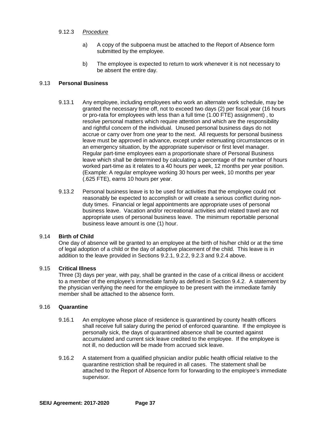## 9.12.3 *Procedure*

- a) A copy of the subpoena must be attached to the Report of Absence form submitted by the employee.
- b) The employee is expected to return to work whenever it is not necessary to be absent the entire day.

### 9.13 **Personal Business**

- 9.13.1 Any employee, including employees who work an alternate work schedule, may be granted the necessary time off, not to exceed two days (2) per fiscal year (16 hours or pro-rata for employees with less than a full time (1.00 FTE) assignment) , to resolve personal matters which require attention and which are the responsibility and rightful concern of the individual. Unused personal business days do not accrue or carry over from one year to the next. All requests for personal business leave must be approved in advance, except under extenuating circumstances or in an emergency situation, by the appropriate supervisor or first level manager. Regular part-time employees earn a proportionate share of Personal Business leave which shall be determined by calculating a percentage of the number of hours worked part-time as it relates to a 40 hours per week, 12 months per year position. (Example: A regular employee working 30 hours per week, 10 months per year (.625 FTE), earns 10 hours per year.
- 9.13.2 Personal business leave is to be used for activities that the employee could not reasonably be expected to accomplish or will create a serious conflict during nonduty times. Financial or legal appointments are appropriate uses of personal business leave. Vacation and/or recreational activities and related travel are not appropriate uses of personal business leave. The minimum reportable personal business leave amount is one (1) hour.

#### 9.14 **Birth of Child**

One day of absence will be granted to an employee at the birth of his/her child or at the time of legal adoption of a child or the day of adoptive placement of the child. This leave is in addition to the leave provided in Sections 9.2.1, 9.2.2, 9.2.3 and 9.2.4 above.

#### 9.15 **Critical Illness**

Three (3) days per year, with pay, shall be granted in the case of a critical illness or accident to a member of the employee's immediate family as defined in Section 9.4.2. A statement by the physician verifying the need for the employee to be present with the immediate family member shall be attached to the absence form.

#### 9.16 **Quarantine**

- 9.16.1 An employee whose place of residence is quarantined by county health officers shall receive full salary during the period of enforced quarantine. If the employee is personally sick, the days of quarantined absence shall be counted against accumulated and current sick leave credited to the employee. If the employee is not ill, no deduction will be made from accrued sick leave.
- 9.16.2 A statement from a qualified physician and/or public health official relative to the quarantine restriction shall be required in all cases. The statement shall be attached to the Report of Absence form for forwarding to the employee's immediate supervisor.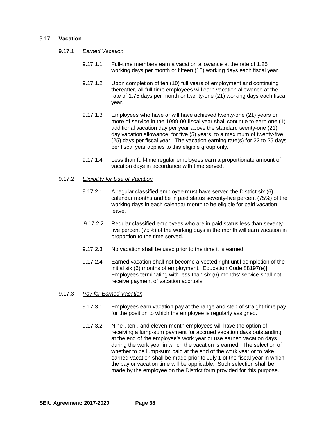#### 9.17 **Vacation**

- 9.17.1 *Earned Vacation*
	- 9.17.1.1 Full-time members earn a vacation allowance at the rate of 1.25 working days per month or fifteen (15) working days each fiscal year.
	- 9.17.1.2 Upon completion of ten (10) full years of employment and continuing thereafter, all full-time employees will earn vacation allowance at the rate of 1.75 days per month or twenty-one (21) working days each fiscal year.
	- 9.17.1.3 Employees who have or will have achieved twenty-one (21) years or more of service in the 1999-00 fiscal year shall continue to earn one (1) additional vacation day per year above the standard twenty-one (21) day vacation allowance, for five (5) years, to a maximum of twenty-five (25) days per fiscal year. The vacation earning rate(s) for 22 to 25 days per fiscal year applies to this eligible group only.
	- 9.17.1.4 Less than full-time regular employees earn a proportionate amount of vacation days in accordance with time served.
- 9.17.2 *Eligibility for Use of Vacation*
	- 9.17.2.1 A regular classified employee must have served the District six (6) calendar months and be in paid status seventy-five percent (75%) of the working days in each calendar month to be eligible for paid vacation leave.
	- 9.17.2.2 Regular classified employees who are in paid status less than seventyfive percent (75%) of the working days in the month will earn vacation in proportion to the time served.
	- 9.17.2.3 No vacation shall be used prior to the time it is earned.
	- 9.17.2.4 Earned vacation shall not become a vested right until completion of the initial six (6) months of employment. [Education Code 88197(e)]. Employees terminating with less than six (6) months' service shall not receive payment of vacation accruals.
- 9.17.3 *Pay for Earned Vacation*
	- 9.17.3.1 Employees earn vacation pay at the range and step of straight-time pay for the position to which the employee is regularly assigned.
	- 9.17.3.2 Nine-, ten-, and eleven-month employees will have the option of receiving a lump-sum payment for accrued vacation days outstanding at the end of the employee's work year or use earned vacation days during the work year in which the vacation is earned. The selection of whether to be lump-sum paid at the end of the work year or to take earned vacation shall be made prior to July 1 of the fiscal year in which the pay or vacation time will be applicable. Such selection shall be made by the employee on the District form provided for this purpose.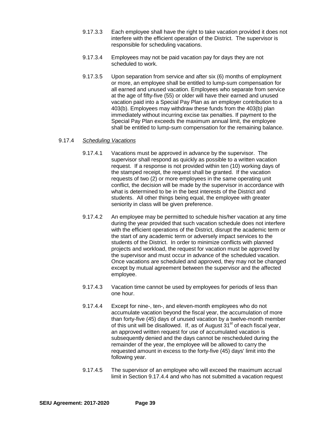- 9.17.3.3 Each employee shall have the right to take vacation provided it does not interfere with the efficient operation of the District. The supervisor is responsible for scheduling vacations.
- 9.17.3.4 Employees may not be paid vacation pay for days they are not scheduled to work.
- 9.17.3.5 Upon separation from service and after six (6) months of employment or more, an employee shall be entitled to lump-sum compensation for all earned and unused vacation. Employees who separate from service at the age of fifty-five (55) or older will have their earned and unused vacation paid into a Special Pay Plan as an employer contribution to a 403(b). Employees may withdraw these funds from the 403(b) plan immediately without incurring excise tax penalties. If payment to the Special Pay Plan exceeds the maximum annual limit, the employee shall be entitled to lump-sum compensation for the remaining balance.

## 9.17.4 *Scheduling Vacations*

- 9.17.4.1 Vacations must be approved in advance by the supervisor. The supervisor shall respond as quickly as possible to a written vacation request. If a response is not provided within ten (10) working days of the stamped receipt, the request shall be granted. If the vacation requests of two (2) or more employees in the same operating unit conflict, the decision will be made by the supervisor in accordance with what is determined to be in the best interests of the District and students. All other things being equal, the employee with greater seniority in class will be given preference.
- 9.17.4.2 An employee may be permitted to schedule his/her vacation at any time during the year provided that such vacation schedule does not interfere with the efficient operations of the District, disrupt the academic term or the start of any academic term or adversely impact services to the students of the District. In order to minimize conflicts with planned projects and workload, the request for vacation must be approved by the supervisor and must occur in advance of the scheduled vacation. Once vacations are scheduled and approved, they may not be changed except by mutual agreement between the supervisor and the affected employee.
- 9.17.4.3 Vacation time cannot be used by employees for periods of less than one hour.
- 9.17.4.4 Except for nine-, ten-, and eleven-month employees who do not accumulate vacation beyond the fiscal year, the accumulation of more than forty-five (45) days of unused vacation by a twelve-month member of this unit will be disallowed. If, as of August 31<sup>st</sup> of each fiscal year, an approved written request for use of accumulated vacation is subsequently denied and the days cannot be rescheduled during the remainder of the year, the employee will be allowed to carry the requested amount in excess to the forty-five (45) days' limit into the following year.
- 9.17.4.5 The supervisor of an employee who will exceed the maximum accrual limit in Section 9.17.4.4 and who has not submitted a vacation request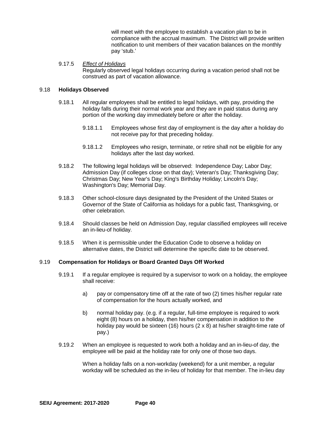will meet with the employee to establish a vacation plan to be in compliance with the accrual maximum. The District will provide written notification to unit members of their vacation balances on the monthly pay 'stub.'

#### 9.17.5 *Effect of Holidays* Regularly observed legal holidays occurring during a vacation period shall not be construed as part of vacation allowance.

#### 9.18 **Holidays Observed**

- 9.18.1 All regular employees shall be entitled to legal holidays, with pay, providing the holiday falls during their normal work year and they are in paid status during any portion of the working day immediately before or after the holiday.
	- 9.18.1.1 Employees whose first day of employment is the day after a holiday do not receive pay for that preceding holiday.
	- 9.18.1.2 Employees who resign, terminate, or retire shall not be eligible for any holidays after the last day worked.
- 9.18.2 The following legal holidays will be observed: Independence Day; Labor Day; Admission Day (if colleges close on that day); Veteran's Day; Thanksgiving Day; Christmas Day; New Year's Day; King's Birthday Holiday; Lincoln's Day; Washington's Day; Memorial Day.
- 9.18.3 Other school-closure days designated by the President of the United States or Governor of the State of California as holidays for a public fast, Thanksgiving, or other celebration.
- 9.18.4 Should classes be held on Admission Day, regular classified employees will receive an in-lieu-of holiday.
- 9.18.5 When it is permissible under the Education Code to observe a holiday on alternative dates, the District will determine the specific date to be observed.

#### 9.19 **Compensation for Holidays or Board Granted Days Off Worked**

- 9.19.1 If a regular employee is required by a supervisor to work on a holiday, the employee shall receive:
	- a) pay or compensatory time off at the rate of two (2) times his/her regular rate of compensation for the hours actually worked, and
	- b) normal holiday pay. (e.g. if a regular, full-time employee is required to work eight (8) hours on a holiday, then his/her compensation in addition to the holiday pay would be sixteen (16) hours ( $2 \times 8$ ) at his/her straight-time rate of pay.)
- 9.19.2 When an employee is requested to work both a holiday and an in-lieu-of day, the employee will be paid at the holiday rate for only one of those two days.

When a holiday falls on a non-workday (weekend) for a unit member, a regular workday will be scheduled as the in-lieu of holiday for that member. The in-lieu day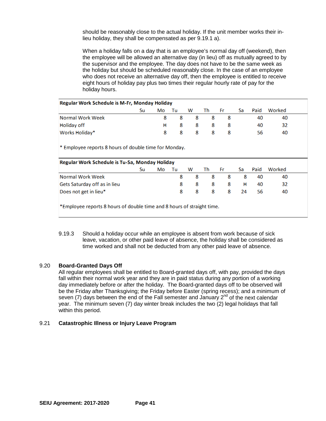should be reasonably close to the actual holiday. If the unit member works their inlieu holiday, they shall be compensated as per 9.19.1 a).

When a holiday falls on a day that is an employee's normal day off (weekend), then the employee will be allowed an alternative day (in lieu) off as mutually agreed to by the supervisor and the employee. The day does not have to be the same week as the holiday but should be scheduled reasonably close. In the case of an employee who does not receive an alternative day off, then the employee is entitled to receive eight hours of holiday pay plus two times their regular hourly rate of pay for the holiday hours.

#### Regular Work Schedule is M-Fr, Monday Holiday

|                  | Su | Mo Tu        | W | <b>Th</b> | Fr. | Sa l | Paid | Worked |  |
|------------------|----|--------------|---|-----------|-----|------|------|--------|--|
| Normal Work Week |    | 8.           |   | 8888      |     |      | 40   | 40     |  |
| Holiday off      |    | H.           |   | 8888      |     |      | 40   | 32     |  |
| Works Holiday*   |    | $\mathbf{R}$ |   | 8 8 8 8   |     |      | 56   | 40     |  |

\* Employee reports 8 hours of double time for Monday.

| Regular Work Schedule is Tu-Sa, Monday Holiday |    |    |     |          |      |          |      |      |        |  |
|------------------------------------------------|----|----|-----|----------|------|----------|------|------|--------|--|
|                                                | Su | Mo | Tul |          | W Th | Fr.      | Sa l | Paid | Worked |  |
| Normal Work Week                               |    |    |     | 8.       |      | 8 8 8 8  |      | 40   | 40     |  |
| Gets Saturday off as in lieu                   |    |    | 8.  | -8       | -8   | -8       | - H  | 40   | 32     |  |
| Does not get in lieu*                          |    |    |     | <b>R</b> |      | 8 8 8 24 |      | 56   | 40     |  |
|                                                |    |    |     |          |      |          |      |      |        |  |

\*Employee reports 8 hours of double time and 8 hours of straight time.

9.19.3 Should a holiday occur while an employee is absent from work because of sick leave, vacation, or other paid leave of absence, the holiday shall be considered as time worked and shall not be deducted from any other paid leave of absence.

#### 9.20 **Board-Granted Days Off**

All regular employees shall be entitled to Board-granted days off, with pay, provided the days fall within their normal work year and they are in paid status during any portion of a working day immediately before or after the holiday. The Board-granted days off to be observed will be the Friday after Thanksgiving; the Friday before Easter (spring recess); and a minimum of seven (7) days between the end of the Fall semester and January  $2<sup>nd</sup>$  of the next calendar year. The minimum seven (7) day winter break includes the two (2) legal holidays that fall within this period.

#### 9.21 **Catastrophic Illness or Injury Leave Program**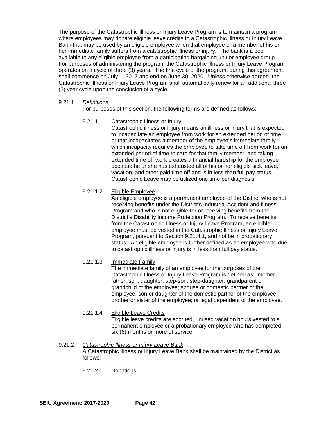The purpose of the Catastrophic Illness or Injury Leave Program is to maintain a program where employees may donate eligible leave credits to a Catastrophic Illness or Injury Leave Bank that may be used by an eligible employee when that employee or a member of his or her immediate family suffers from a catastrophic illness or injury. The bank is a pool available to any eligible employee from a participating bargaining unit or employee group. For purposes of administering the program, the Catastrophic Illness or Injury Leave Program operates on a cycle of three (3) years. The first cycle of the program, during this agreement, shall commence on July 1, 2017 and end on June 30, 2020. Unless otherwise agreed, the Catastrophic Illness or Injury Leave Program shall automatically renew for an additional three (3) year cycle upon the conclusion of a cycle.

#### 9.21.1 *Definitions*

For purposes of this section, the following terms are defined as follows:

## 9.21.1.1 Catastrophic Illness or Injury

Catastrophic illness or injury means an illness or injury that is expected to incapacitate an employee from work for an extended period of time, or that incapacitates a member of the employee's immediate family which incapacity requires the employee to take time off from work for an extended period of time to care for that family member, and taking extended time off work creates a financial hardship for the employee because he or she has exhausted all of his or her eligible sick leave, vacation, and other paid time off and is in less than full pay status. Catastrophic Leave may be utilized one time per diagnosis.

## 9.21.1.2 Eligible Employee

An eligible employee is a permanent employee of the District who is not receiving benefits under the District's Industrial Accident and Illness Program and who is not eligible for or receiving benefits from the District's Disability Income Protection Program. To receive benefits from the Catastrophic Illness or Injury Leave Program, an eligible employee must be vested in the Catastrophic Illness or Injury Leave Program, pursuant to Section 9.21.4.1, and not be in probationary status. An eligible employee is further defined as an employee who due to catastrophic illness or injury is in less than full pay status.

## 9.21.1.3 Immediate Family

The immediate family of an employee for the purposes of the Catastrophic Illness or Injury Leave Program is defined as: mother, father, son, daughter, step-son, step-daughter, grandparent or grandchild of the employee; spouse or domestic partner of the employee; son or daughter of the domestic partner of the employee; brother or sister of the employee; or legal dependent of the employee.

## 9.21.1.4 Eligible Leave Credits

Eligible leave credits are accrued, unused vacation hours vested to a permanent employee or a probationary employee who has completed six (6) months or more of service.

## 9.21.2 *Catastrophic Illness or Injury Leave Bank*

A Catastrophic Illness or Injury Leave Bank shall be maintained by the District as follows:

9.21.2.1 Donations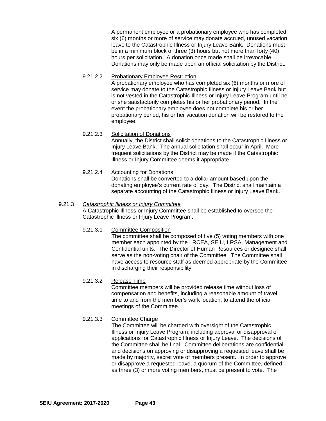A permanent employee or a probationary employee who has completed six (6) months or more of service may donate accrued, unused vacation leave to the Catastrophic Illness or Injury Leave Bank. Donations must be in a minimum block of three (3) hours but not more than forty (40) hours per solicitation. A donation once made shall be irrevocable. Donations may only be made upon an official solicitation by the District.

- 9.21.2.2 Probationary Employee Restriction A probationary employee who has completed six (6) months or more of service may donate to the Catastrophic Illness or Injury Leave Bank but is not vested in the Catastrophic Illness or Injury Leave Program until he or she satisfactorily completes his or her probationary period. In the event the probationary employee does not complete his or her probationary period, his or her vacation donation will be restored to the employee.
- 9.21.2.3 Solicitation of Donations Annually, the District shall solicit donations to the Catastrophic Illness or Injury Leave Bank. The annual solicitation shall occur in April. More frequent solicitations by the District may be made if the Catastrophic Illness or Injury Committee deems it appropriate.
- 9.21.2.4 Accounting for Donations Donations shall be converted to a dollar amount based upon the donating employee's current rate of pay. The District shall maintain a separate accounting of the Catastrophic Illness or Injury Leave Bank.

#### 9.21.3 *Catastrophic Illness or Injury Committee*

A Catastrophic Illness or Injury Committee shall be established to oversee the Catastrophic Illness or Injury Leave Program.

#### 9.21.3.1 Committee Composition

The committee shall be composed of five (5) voting members with one member each appointed by the LRCEA, SEIU, LRSA, Management and Confidential units. The Director of Human Resources or designee shall serve as the non-voting chair of the Committee. The Committee shall have access to resource staff as deemed appropriate by the Committee in discharging their responsibility.

#### 9.21.3.2 Release Time

Committee members will be provided release time without loss of compensation and benefits, including a reasonable amount of travel time to and from the member's work location, to attend the official meetings of the Committee.

## 9.21.3.3 Committee Charge

The Committee will be charged with oversight of the Catastrophic Illness or Injury Leave Program, including approval or disapproval of applications for Catastrophic Illness or Injury Leave. The decisions of the Committee shall be final. Committee deliberations are confidential and decisions on approving or disapproving a requested leave shall be made by majority, secret vote of members present. In order to approve or disapprove a requested leave, a quorum of the Committee, defined as three (3) or more voting members, must be present to vote. The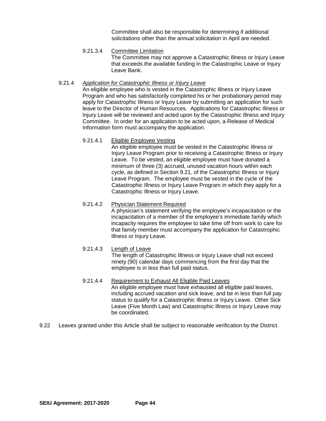Committee shall also be responsible for determining if additional solicitations other than the annual solicitation in April are needed.

9.21.3.4 Committee Limitation

The Committee may not approve a Catastrophic Illness or Injury Leave that exceeds the available funding in the Catastrophic Leave or Injury Leave Bank.

#### 9.21.4 *Application for Catastrophic Illness or Injury Leave*

An eligible employee who is vested in the Catastrophic Illness or Injury Leave Program and who has satisfactorily completed his or her probationary period may apply for Catastrophic Illness or Injury Leave by submitting an application for such leave to the Director of Human Resources. Applications for Catastrophic Illness or Injury Leave will be reviewed and acted upon by the Catastrophic Illness and Injury Committee. In order for an application to be acted upon, a Release of Medical Information form must accompany the application.

## 9.21.4.1 Eligible Employee Vesting

An eligible employee must be vested in the Catastrophic Illness or Injury Leave Program prior to receiving a Catastrophic Illness or Injury Leave. To be vested, an eligible employee must have donated a minimum of three (3) accrued, unused vacation hours within each cycle, as defined in Section 9.21, of the Catastrophic Illness or Injury Leave Program. The employee must be vested in the cycle of the Catastrophic Illness or Injury Leave Program in which they apply for a Catastrophic Illness or Injury Leave.

#### 9.21.4.2 Physician Statement Required

A physician's statement verifying the employee's incapacitation or the incapacitation of a member of the employee's immediate family which incapacity requires the employee to take time off from work to care for that family member must accompany the application for Catastrophic Illness or Injury Leave.

## 9.21.4.3 Length of Leave

The length of Catastrophic Illness or Injury Leave shall not exceed ninety (90) calendar days commencing from the first day that the employee is in less than full paid status.

#### 9.21.4.4 Requirement to Exhaust All Eligible Paid Leaves

An eligible employee must have exhausted all eligible paid leaves, including accrued vacation and sick leave, and be in less than full pay status to qualify for a Catastrophic Illness or Injury Leave. Other Sick Leave (Five Month Law) and Catastrophic Illness or Injury Leave may be coordinated.

9.22 Leaves granted under this Article shall be subject to reasonable verification by the District.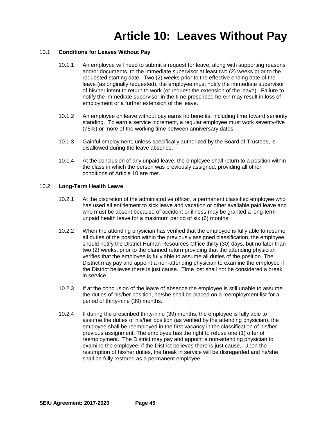## **Article 10: Leaves Without Pay**

## 10.1 **Conditions for Leaves Without Pay**

- 10.1.1 An employee will need to submit a request for leave, along with supporting reasons and/or documents, to the immediate supervisor at least two (2) weeks prior to the requested starting date. Two (2) weeks prior to the effective ending date of the leave (as originally requested), the employee must notify the immediate supervisor of his/her intent to return to work (or request the extension of the leave). Failure to notify the immediate supervisor in the time prescribed herein may result in loss of employment or a further extension of the leave.
- 10.1.2 An employee on leave without pay earns no benefits, including time toward seniority standing. To earn a service increment, a regular employee must work seventy-five (75%) or more of the working time between anniversary dates.
- 10.1.3 Gainful employment, unless specifically authorized by the Board of Trustees, is disallowed during the leave absence.
- 10.1.4 At the conclusion of any unpaid leave, the employee shall return to a position within the class in which the person was previously assigned, providing all other conditions of Article 10 are met.

#### 10.2. **Long-Term Health Leave**

- 10.2.1 At the discretion of the administrative officer, a permanent classified employee who has used all entitlement to sick leave and vacation or other available paid leave and who must be absent because of accident or illness may be granted a long-term unpaid health leave for a maximum period of six (6) months.
- 10.2.2 When the attending physician has verified that the employee is fully able to resume all duties of the position within the previously assigned classification, the employee should notify the District Human Resources Office thirty (30) days, but no later than two (2) weeks, prior to the planned return providing that the attending physician verifies that the employee is fully able to assume all duties of the position. The District may pay and appoint a non-attending physician to examine the employee if the District believes there is just cause. Time lost shall not be considered a break in service.
- 10.2.3 If at the conclusion of the leave of absence the employee is still unable to assume the duties of his/her position, he/she shall be placed on a reemployment list for a period of thirty-nine (39) months.
- 10.2.4 If during the prescribed thirty-nine (39) months, the employee is fully able to assume the duties of his/her position (as verified by the attending physician), the employee shall be reemployed in the first vacancy in the classification of his/her previous assignment. The employee has the right to refuse one (1) offer of reemployment. The District may pay and appoint a non-attending physician to examine the employee, if the District believes there is just cause. Upon the resumption of his/her duties, the break in service will be disregarded and he/she shall be fully restored as a permanent employee.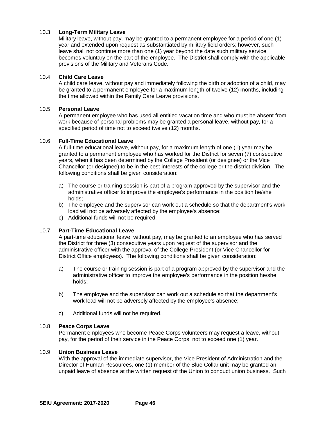## 10.3 **Long-Term Military Leave**

Military leave, without pay, may be granted to a permanent employee for a period of one (1) year and extended upon request as substantiated by military field orders; however, such leave shall not continue more than one (1) year beyond the date such military service becomes voluntary on the part of the employee. The District shall comply with the applicable provisions of the Military and Veterans Code.

## 10.4 **Child Care Leave**

A child care leave, without pay and immediately following the birth or adoption of a child, may be granted to a permanent employee for a maximum length of twelve (12) months, including the time allowed within the Family Care Leave provisions.

## 10.5 **Personal Leave**

A permanent employee who has used all entitled vacation time and who must be absent from work because of personal problems may be granted a personal leave, without pay, for a specified period of time not to exceed twelve (12) months.

#### 10.6 **Full-Time Educational Leave**

A full-time educational leave, without pay, for a maximum length of one (1) year may be granted to a permanent employee who has worked for the District for seven (7) consecutive years, when it has been determined by the College President (or designee) or the Vice Chancellor (or designee) to be in the best interests of the college or the district division. The following conditions shall be given consideration:

- a) The course or training session is part of a program approved by the supervisor and the administrative officer to improve the employee's performance in the position he/she holds;
- b) The employee and the supervisor can work out a schedule so that the department's work load will not be adversely affected by the employee's absence;
- c) Additional funds will not be required.

## 10.7 **Part-Time Educational Leave**

A part-time educational leave, without pay, may be granted to an employee who has served the District for three (3) consecutive years upon request of the supervisor and the administrative officer with the approval of the College President (or Vice Chancellor for District Office employees). The following conditions shall be given consideration:

- a) The course or training session is part of a program approved by the supervisor and the administrative officer to improve the employee's performance in the position he/she holds;
- b) The employee and the supervisor can work out a schedule so that the department's work load will not be adversely affected by the employee's absence;
- c) Additional funds will not be required.

#### 10.8 **Peace Corps Leave**

Permanent employees who become Peace Corps volunteers may request a leave, without pay, for the period of their service in the Peace Corps, not to exceed one (1) year.

## 10.9 **Union Business Leave**

With the approval of the immediate supervisor, the Vice President of Administration and the Director of Human Resources, one (1) member of the Blue Collar unit may be granted an unpaid leave of absence at the written request of the Union to conduct union business. Such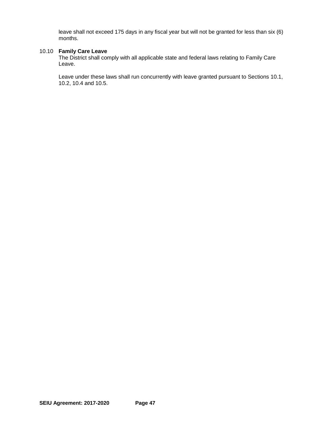leave shall not exceed 175 days in any fiscal year but will not be granted for less than six (6) months.

## 10.10 **Family Care Leave**

The District shall comply with all applicable state and federal laws relating to Family Care Leave.

Leave under these laws shall run concurrently with leave granted pursuant to Sections 10.1, 10.2, 10.4 and 10.5.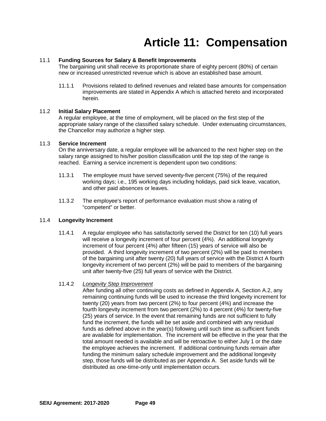## **Article 11: Compensation**

## 11.1 **Funding Sources for Salary & Benefit Improvements**

The bargaining unit shall receive its proportionate share of eighty percent (80%) of certain new or increased unrestricted revenue which is above an established base amount.

11.1.1 Provisions related to defined revenues and related base amounts for compensation improvements are stated in Appendix A which is attached hereto and incorporated herein.

#### 11.2 **Initial Salary Placement**

A regular employee, at the time of employment, will be placed on the first step of the appropriate salary range of the classified salary schedule. Under extenuating circumstances, the Chancellor may authorize a higher step.

### 11.3 **Service Increment**

On the anniversary date, a regular employee will be advanced to the next higher step on the salary range assigned to his/her position classification until the top step of the range is reached. Earning a service increment is dependent upon two conditions:

- 11.3.1 The employee must have served seventy-five percent (75%) of the required working days; i.e., 195 working days including holidays, paid sick leave, vacation, and other paid absences or leaves.
- 11.3.2 The employee's report of performance evaluation must show a rating of "competent" or better.

#### 11.4 **Longevity Increment**

11.4.1 A regular employee who has satisfactorily served the District for ten (10) full years will receive a longevity increment of four percent (4%). An additional longevity increment of four percent (4%) after fifteen (15) years of service will also be provided. A third longevity increment of two percent (2%) will be paid to members of the bargaining unit after twenty (20) full years of service with the District A fourth longevity increment of two percent (2%) will be paid to members of the bargaining unit after twenty-five (25) full years of service with the District.

## 11.4.2 *Longevity Step Improvement*

After funding all other continuing costs as defined in Appendix A, Section A.2, any remaining continuing funds will be used to increase the third longevity increment for twenty (20) years from two percent (2%) to four percent (4%) and increase the fourth longevity increment from two percent (2%) to 4 percent (4%) for twenty-five (25) years of service. In the event that remaining funds are not sufficient to fully fund the increment, the funds will be set aside and combined with any residual funds as defined above in the year(s) following until such time as sufficient funds are available for implementation. The increment will be effective in the year that the total amount needed is available and will be retroactive to either July 1 or the date the employee achieves the increment. If additional continuing funds remain after funding the minimum salary schedule improvement and the additional longevity step, those funds will be distributed as per Appendix A. Set aside funds will be distributed as one-time-only until implementation occurs.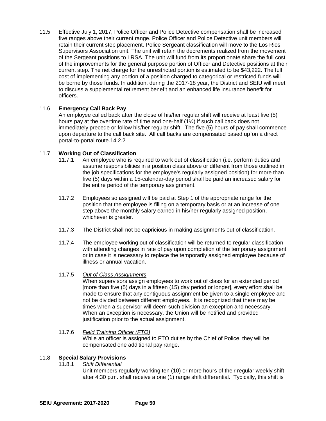11.5 Effective July 1, 2017, Police Officer and Police Detective compensation shall be increased five ranges above their current range. Police Officer and Police Detective unit members will retain their current step placement. Police Sergeant classification will move to the Los Rios Supervisors Association unit. The unit will retain the decrements realized from the movement of the Sergeant positions to LRSA. The unit will fund from its proportionate share the full cost of the improvements for the general purpose portion of Officer and Detective positions at their current step. The net charge for the unrestricted portion is estimated to be \$43,222. The full cost of implementing any portion of a position charged to categorical or restricted funds will be borne by those funds. In addition, during the 2017-18 year, the District and SEIU will meet to discuss a supplemental retirement benefit and an enhanced life insurance benefit for officers.

## 11.6 **Emergency Call Back Pay**

An employee called back after the close of his/her regular shift will receive at least five (5) hours pay at the overtime rate of time and one-half (1½) if such call back does not immediately precede or follow his/her regular shift. The five (5) hours of pay shall commence upon departure to the call back site. All call backs are compensated based up`on a direct portal-to-portal route.14.2.2

## 11.7 **Working Out of Classification**

- 11.7.1 An employee who is required to work out of classification (i.e. perform duties and assume responsibilities in a position class above or different from those outlined in the job specifications for the employee's regularly assigned position) for more than five (5) days within a 15-calendar-day period shall be paid an increased salary for the entire period of the temporary assignment.
- 11.7.2 Employees so assigned will be paid at Step 1 of the appropriate range for the position that the employee is filling on a temporary basis or at an increase of one step above the monthly salary earned in his/her regularly assigned position, whichever is greater.
- 11.7.3 The District shall not be capricious in making assignments out of classification.
- 11.7.4 The employee working out of classification will be returned to regular classification with attending changes in rate of pay upon completion of the temporary assignment or in case it is necessary to replace the temporarily assigned employee because of illness or annual vacation.

## 11.7.5 *Out of Class Assignments*

When supervisors assign employees to work out of class for an extended period [more than five (5) days in a fifteen (15) day period or longer], every effort shall be made to ensure that any contiguous assignment be given to a single employee and not be divided between different employees. It is recognized that there may be times when a supervisor will deem such division an exception and necessary. When an exception is necessary, the Union will be notified and provided justification prior to the actual assignment.

11.7.6 *Field Training Officer (FTO)* While an officer is assigned to FTO duties by the Chief of Police, they will be compensated one additional pay range.

## 11.8 **Special Salary Provisions**

**Shift Differential** 

Unit members regularly working ten (10) or more hours of their regular weekly shift after 4:30 p.m. shall receive a one (1) range shift differential. Typically, this shift is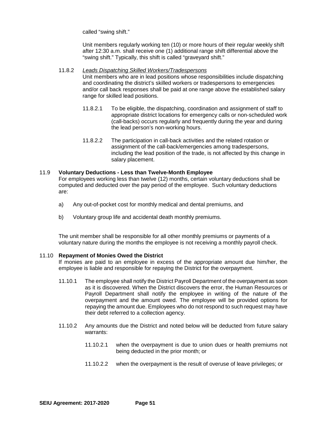called "swing shift."

Unit members regularly working ten (10) or more hours of their regular weekly shift after 12:30 a.m. shall receive one (1) additional range shift differential above the "swing shift." Typically, this shift is called "graveyard shift."

- 11.8.2 *Leads Dispatching Skilled Workers/Tradespersons* Unit members who are in lead positions whose responsibilities include dispatching and coordinating the district's skilled workers or tradespersons to emergencies and/or call back responses shall be paid at one range above the established salary range for skilled lead positions.
	- 11.8.2.1 To be eligible, the dispatching, coordination and assignment of staff to appropriate district locations for emergency calls or non-scheduled work (call-backs) occurs regularly and frequently during the year and during the lead person's non-working hours.
	- 11.8.2.2 The participation in call-back activities and the related rotation or assignment of the call-back/emergencies among tradespersons, including the lead position of the trade, is not affected by this change in salary placement.

#### 11.9 **Voluntary Deductions - Less than Twelve-Month Employee**

For employees working less than twelve (12) months, certain voluntary deductions shall be computed and deducted over the pay period of the employee. Such voluntary deductions are:

- a) Any out-of-pocket cost for monthly medical and dental premiums, and
- b) Voluntary group life and accidental death monthly premiums.

The unit member shall be responsible for all other monthly premiums or payments of a voluntary nature during the months the employee is not receiving a monthly payroll check.

#### 11.10 **Repayment of Monies Owed the District**

If monies are paid to an employee in excess of the appropriate amount due him/her, the employee is liable and responsible for repaying the District for the overpayment.

- 11.10.1 The employee shall notify the District Payroll Department of the overpayment as soon as it is discovered. When the District discovers the error, the Human Resources or Payroll Department shall notify the employee in writing of the nature of the overpayment and the amount owed. The employee will be provided options for repaying the amount due. Employees who do not respond to such request may have their debt referred to a collection agency.
- 11.10.2 Any amounts due the District and noted below will be deducted from future salary warrants:
	- 11.10.2.1 when the overpayment is due to union dues or health premiums not being deducted in the prior month; or
	- 11.10.2.2 when the overpayment is the result of overuse of leave privileges; or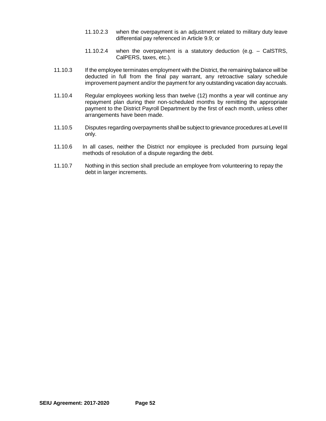- 11.10.2.3 when the overpayment is an adjustment related to military duty leave differential pay referenced in Article 9.9; or
- 11.10.2.4 when the overpayment is a statutory deduction (e.g. CalSTRS, CalPERS, taxes, etc.).
- 11.10.3 If the employee terminates employment with the District, the remaining balance will be deducted in full from the final pay warrant, any retroactive salary schedule improvement payment and/or the payment for any outstanding vacation day accruals.
- 11.10.4 Regular employees working less than twelve (12) months a year will continue any repayment plan during their non-scheduled months by remitting the appropriate payment to the District Payroll Department by the first of each month, unless other arrangements have been made.
- 11.10.5 Disputes regarding overpayments shall be subject to grievance procedures at Level III only.
- 11.10.6 In all cases, neither the District nor employee is precluded from pursuing legal methods of resolution of a dispute regarding the debt.
- 11.10.7 Nothing in this section shall preclude an employee from volunteering to repay the debt in larger increments.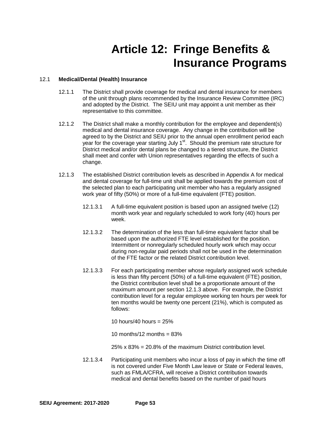## **Article 12: Fringe Benefits & Insurance Programs**

## 12.1 **Medical/Dental (Health) Insurance**

- 12.1.1 The District shall provide coverage for medical and dental insurance for members of the unit through plans recommended by the Insurance Review Committee (IRC) and adopted by the District. The SEIU unit may appoint a unit member as their representative to this committee.
- 12.1.2 The District shall make a monthly contribution for the employee and dependent(s) medical and dental insurance coverage. Any change in the contribution will be agreed to by the District and SEIU prior to the annual open enrollment period each year for the coverage year starting July 1<sup>st</sup>. Should the premium rate structure for District medical and/or dental plans be changed to a tiered structure, the District shall meet and confer with Union representatives regarding the effects of such a change.
- 12.1.3 The established District contribution levels as described in Appendix A for medical and dental coverage for full-time unit shall be applied towards the premium cost of the selected plan to each participating unit member who has a regularly assigned work year of fifty (50%) or more of a full-time equivalent (FTE) position.
	- 12.1.3.1 A full-time equivalent position is based upon an assigned twelve (12) month work year and regularly scheduled to work forty (40) hours per week.
	- 12.1.3.2 The determination of the less than full-time equivalent factor shall be based upon the authorized FTE level established for the position. Intermittent or nonregularly scheduled hourly work which may occur during non-regular paid periods shall not be used in the determination of the FTE factor or the related District contribution level.
	- 12.1.3.3 For each participating member whose regularly assigned work schedule is less than fifty percent (50%) of a full-time equivalent (FTE) position, the District contribution level shall be a proportionate amount of the maximum amount per section 12.1.3 above. For example, the District contribution level for a regular employee working ten hours per week for ten months would be twenty one percent (21%), which is computed as follows:

10 hours/40 hours =  $25%$ 

10 months/12 months  $= 83\%$ 

- 25% x  $83\% = 20.8\%$  of the maximum District contribution level
- 12.1.3.4 Participating unit members who incur a loss of pay in which the time off is not covered under Five Month Law leave or State or Federal leaves, such as FMLA/CFRA, will receive a District contribution towards medical and dental benefits based on the number of paid hours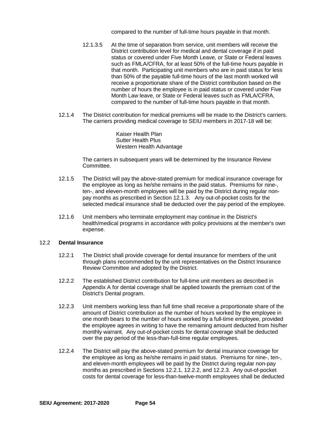compared to the number of full-time hours payable in that month.

- 12.1.3.5 At the time of separation from service, unit members will receive the District contribution level for medical and dental coverage if in paid status or covered under Five Month Leave, or State or Federal leaves such as FMLA/CFRA, for at least 50% of the full-time hours payable in that month. Participating unit members who are in paid status for less than 50% of the payable full-time hours of the last month worked will receive a proportionate share of the District contribution based on the number of hours the employee is in paid status or covered under Five Month Law leave, or State or Federal leaves such as FMLA/CFRA, compared to the number of full-time hours payable in that month.
- 12.1.4 The District contribution for medical premiums will be made to the District's carriers. The carriers providing medical coverage to SEIU members in 2017-18 will be:

Kaiser Health Plan Sutter Health Plus Western Health Advantage

The carriers in subsequent years will be determined by the Insurance Review Committee.

- 12.1.5 The District will pay the above-stated premium for medical insurance coverage for the employee as long as he/she remains in the paid status. Premiums for nine-, ten-, and eleven-month employees will be paid by the District during regular nonpay months as prescribed in Section 12.1.3. Any out-of-pocket costs for the selected medical insurance shall be deducted over the pay period of the employee.
- 12.1.6 Unit members who terminate employment may continue in the District's health/medical programs in accordance with policy provisions at the member's own expense.

#### 12.2 **Dental Insurance**

- 12.2.1 The District shall provide coverage for dental insurance for members of the unit through plans recommended by the unit representatives on the District Insurance Review Committee and adopted by the District.
- 12.2.2 The established District contribution for full-time unit members as described in Appendix A for dental coverage shall be applied towards the premium cost of the District's Dental program.
- 12.2.3 Unit members working less than full time shall receive a proportionate share of the amount of District contribution as the number of hours worked by the employee in one month bears to the number of hours worked by a full-time employee, provided the employee agrees in writing to have the remaining amount deducted from his/her monthly warrant. Any out-of-pocket costs for dental coverage shall be deducted over the pay period of the less-than-full-time regular employees.
- 12.2.4 The District will pay the above-stated premium for dental insurance coverage for the employee as long as he/she remains in paid status. Premiums for nine-, ten-, and eleven-month employees will be paid by the District during regular non-pay months as prescribed in Sections 12.2.1, 12.2.2, and 12.2.3. Any out-of-pocket costs for dental coverage for less-than-twelve-month employees shall be deducted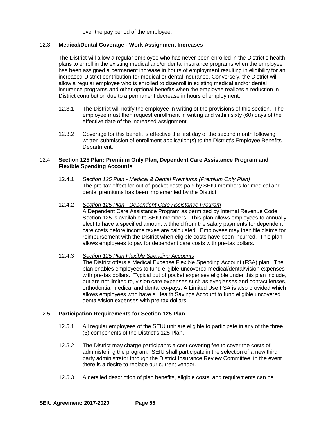over the pay period of the employee.

## 12.3 **Medical/Dental Coverage - Work Assignment Increases**

The District will allow a regular employee who has never been enrolled in the District's health plans to enroll in the existing medical and/or dental insurance programs when the employee has been assigned a permanent increase in hours of employment resulting in eligibility for an increased District contribution for medical or dental insurance. Conversely, the District will allow a regular employee who is enrolled to disenroll in existing medical and/or dental insurance programs and other optional benefits when the employee realizes a reduction in District contribution due to a permanent decrease in hours of employment.

- 12.3.1 The District will notify the employee in writing of the provisions of this section. The employee must then request enrollment in writing and within sixty (60) days of the effective date of the increased assignment.
- 12.3.2 Coverage for this benefit is effective the first day of the second month following written submission of enrollment application(s) to the District's Employee Benefits Department.

## 12.4 **Section 125 Plan: Premium Only Plan, Dependent Care Assistance Program and Flexible Spending Accounts**

- 12.4.1 *Section 125 Plan - Medical & Dental Premiums (Premium Only Plan)* The pre-tax effect for out-of-pocket costs paid by SEIU members for medical and dental premiums has been implemented by the District.
- 12.4.2 *Section 125 Plan - Dependent Care Assistance Program* A Dependent Care Assistance Program as permitted by Internal Revenue Code

Section 125 is available to SEIU members. This plan allows employees to annually elect to have a specified amount withheld from the salary payments for dependent care costs before income taxes are calculated. Employees may then file claims for reimbursement with the District when eligible costs have been incurred. This plan allows employees to pay for dependent care costs with pre-tax dollars.

## 12.4.3 *Section 125 Plan Flexible Spending Accounts*

The District offers a Medical Expense Flexible Spending Account (FSA) plan. The plan enables employees to fund eligible uncovered medical/dental/vision expenses with pre-tax dollars. Typical out of pocket expenses eligible under this plan include, but are not limited to, vision care expenses such as eyeglasses and contact lenses, orthodontia, medical and dental co-pays. A Limited Use FSA is also provided which allows employees who have a Health Savings Account to fund eligible uncovered dental/vision expenses with pre-tax dollars.

## 12.5 **Participation Requirements for Section 125 Plan**

- 12.5.1 All regular employees of the SEIU unit are eligible to participate in any of the three (3) components of the District's 125 Plan.
- 12.5.2 The District may charge participants a cost-covering fee to cover the costs of administering the program. SEIU shall participate in the selection of a new third party administrator through the District Insurance Review Committee, in the event there is a desire to replace our current vendor.
- 12.5.3 A detailed description of plan benefits, eligible costs, and requirements can be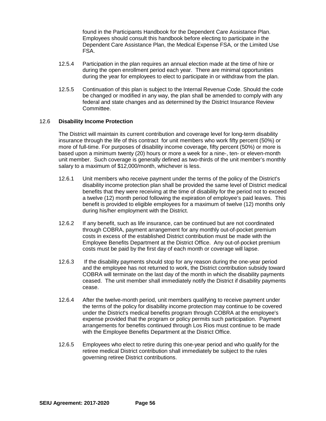found in the Participants Handbook for the Dependent Care Assistance Plan. Employees should consult this handbook before electing to participate in the Dependent Care Assistance Plan, the Medical Expense FSA, or the Limited Use FSA.

- 12.5.4 Participation in the plan requires an annual election made at the time of hire or during the open enrollment period each year. There are minimal opportunities during the year for employees to elect to participate in or withdraw from the plan.
- 12.5.5 Continuation of this plan is subject to the Internal Revenue Code. Should the code be changed or modified in any way, the plan shall be amended to comply with any federal and state changes and as determined by the District Insurance Review Committee.

#### 12.6 **Disability Income Protection**

The District will maintain its current contribution and coverage level for long-term disability insurance through the life of this contract for unit members who work fifty percent (50%) or more of full-time. For purposes of disability income coverage, fifty percent (50%) or more is based upon a minimum twenty (20) hours or more a week for a nine-, ten- or eleven-month unit member. Such coverage is generally defined as two-thirds of the unit member's monthly salary to a maximum of \$12,000/month, whichever is less.

- 12.6.1 Unit members who receive payment under the terms of the policy of the District's disability income protection plan shall be provided the same level of District medical benefits that they were receiving at the time of disability for the period not to exceed a twelve (12) month period following the expiration of employee's paid leaves. This benefit is provided to eligible employees for a maximum of twelve (12) months only during his/her employment with the District.
- 12.6.2 If any benefit, such as life insurance, can be continued but are not coordinated through COBRA, payment arrangement for any monthly out-of-pocket premium costs in excess of the established District contribution must be made with the Employee Benefits Department at the District Office. Any out-of-pocket premium costs must be paid by the first day of each month or coverage will lapse.
- 12.6.3 If the disability payments should stop for any reason during the one-year period and the employee has not returned to work, the District contribution subsidy toward COBRA will terminate on the last day of the month in which the disability payments ceased. The unit member shall immediately notify the District if disability payments cease.
- 12.6.4 After the twelve-month period, unit members qualifying to receive payment under the terms of the policy for disability income protection may continue to be covered under the District's medical benefits program through COBRA at the employee's expense provided that the program or policy permits such participation. Payment arrangements for benefits continued through Los Rios must continue to be made with the Employee Benefits Department at the District Office.
- 12.6.5 Employees who elect to retire during this one-year period and who qualify for the retiree medical District contribution shall immediately be subject to the rules governing retiree District contributions.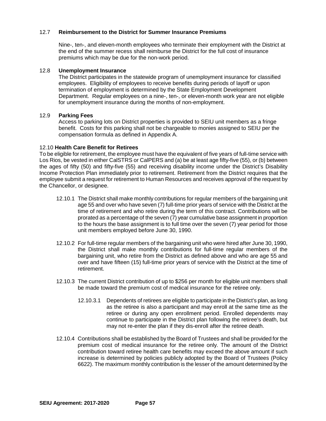## 12.7 **Reimbursement to the District for Summer Insurance Premiums**

Nine-, ten-, and eleven-month employees who terminate their employment with the District at the end of the summer recess shall reimburse the District for the full cost of insurance premiums which may be due for the non-work period.

## 12.8 **Unemployment Insurance**

The District participates in the statewide program of unemployment insurance for classified employees. Eligibility of employees to receive benefits during periods of layoff or upon termination of employment is determined by the State Employment Development Department. Regular employees on a nine-, ten-, or eleven-month work year are not eligible for unemployment insurance during the months of non-employment.

#### 12.9 **Parking Fees**

Access to parking lots on District properties is provided to SEIU unit members as a fringe benefit. Costs for this parking shall not be chargeable to monies assigned to SEIU per the compensation formula as defined in Appendix A.

#### 12.10 **Health Care Benefit for Retirees**

To be eligible for retirement, the employee must have the equivalent of five years of full-time service with Los Rios, be vested in either CalSTRS or CalPERS and (a) be at least age fifty-five (55), or (b) between the ages of fifty (50) and fifty-five (55) and receiving disability income under the District's Disability Income Protection Plan immediately prior to retirement. Retirement from the District requires that the employee submit a request for retirement to Human Resources and receives approval of the request by the Chancellor, or designee.

- 12.10.1 The District shall make monthly contributions for regular members of the bargaining unit age 55 and over who have seven (7) full-time prior years of service with the District at the time of retirement and who retire during the term of this contract. Contributions will be prorated as a percentage of the seven (7) year cumulative base assignment in proportion to the hours the base assignment is to full time over the seven (7) year period for those unit members employed before June 30, 1990.
- 12.10.2 For full-time regular members of the bargaining unit who were hired after June 30, 1990, the District shall make monthly contributions for full-time regular members of the bargaining unit, who retire from the District as defined above and who are age 55 and over and have fifteen (15) full-time prior years of service with the District at the time of retirement.
- 12.10.3 The current District contribution of up to \$256 per month for eligible unit members shall be made toward the premium cost of medical insurance for the retiree only.
	- 12.10.3.1 Dependents of retirees are eligible to participate in the District's plan, as long as the retiree is also a participant and may enroll at the same time as the retiree or during any open enrollment period. Enrolled dependents may continue to participate in the District plan following the retiree's death, but may not re-enter the plan if they dis-enroll after the retiree death.
- 12.10.4 Contributions shall be established by the Board of Trustees and shall be provided for the premium cost of medical insurance for the retiree only. The amount of the District contribution toward retiree health care benefits may exceed the above amount if such increase is determined by policies publicly adopted by the Board of Trustees (Policy 6622). The maximum monthly contribution is the lesser of the amount determined by the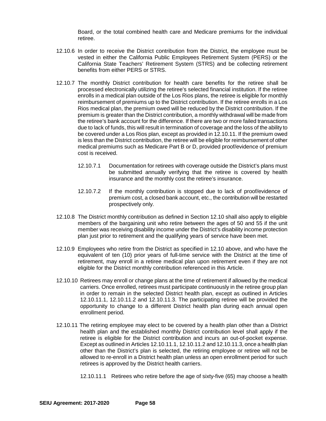Board, or the total combined health care and Medicare premiums for the individual retiree.

- 12.10.6 In order to receive the District contribution from the District, the employee must be vested in either the California Public Employees Retirement System (PERS) or the California State Teachers' Retirement System (STRS) and be collecting retirement benefits from either PERS or STRS.
- 12.10.7 The monthly District contribution for health care benefits for the retiree shall be processed electronically utilizing the retiree's selected financial institution. If the retiree enrolls in a medical plan outside of the Los Rios plans, the retiree is eligible for monthly reimbursement of premiums up to the District contribution. If the retiree enrolls in a Los Rios medical plan, the premium owed will be reduced by the District contribution. If the premium is greater than the District contribution, a monthly withdrawal will be made from the retiree's bank account for the difference. If there are two or more failed transactions due to lack of funds, this will result in termination of coverage and the loss of the ability to be covered under a Los Rios plan, except as provided in 12.10.11. If the premium owed is less than the District contribution, the retiree will be eligible for reimbursement of other medical premiums such as Medicare Part B or D, provided proof/evidence of premium cost is received.
	- 12.10.7.1 Documentation for retirees with coverage outside the District's plans must be submitted annually verifying that the retiree is covered by health insurance and the monthly cost the retiree's insurance.
	- 12.10.7.2 If the monthly contribution is stopped due to lack of proof/evidence of premium cost, a closed bank account, etc., the contribution will be restarted prospectively only.
- 12.10.8 The District monthly contribution as defined in Section 12.10 shall also apply to eligible members of the bargaining unit who retire between the ages of 50 and 55 if the unit member was receiving disability income under the District's disability income protection plan just prior to retirement and the qualifying years of service have been met.
- 12.10.9 Employees who retire from the District as specified in 12.10 above, and who have the equivalent of ten (10) prior years of full-time service with the District at the time of retirement, may enroll in a retiree medical plan upon retirement even if they are not eligible for the District monthly contribution referenced in this Article.
- 12.10.10 Retirees may enroll or change plans at the time of retirement if allowed by the medical carriers. Once enrolled, retirees must participate continuously in the retiree group plan in order to remain in the selected District health plan, except as outlined in Articles 12.10.11.1, 12.10.11.2 and 12.10.11.3. The participating retiree will be provided the opportunity to change to a different District health plan during each annual open enrollment period.
- 12.10.11 The retiring employee may elect to be covered by a health plan other than a District health plan and the established monthly District contribution level shall apply if the retiree is eligible for the District contribution and incurs an out-of-pocket expense. Except as outlined in Articles 12.10.11.1, 12.10.11.2 and 12.10.11.3, once a health plan other than the District's plan is selected, the retiring employee or retiree will not be allowed to re-enroll in a District health plan unless an open enrollment period for such retirees is approved by the District health carriers.

12.10.11.1 Retirees who retire before the age of sixty-five (65) may choose a health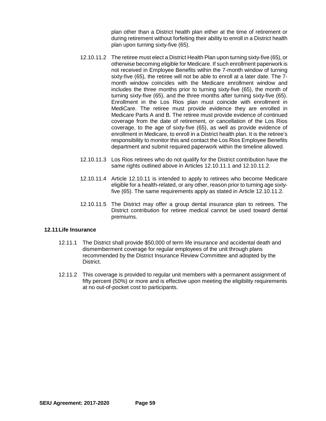plan other than a District health plan either at the time of retirement or during retirement without forfeiting their ability to enroll in a District health plan upon turning sixty-five (65).

- 12.10.11.2 The retiree must elect a District Health Plan upon turning sixty-five (65), or otherwise becoming eligible for Medicare. If such enrollment paperwork is not received in Employee Benefits within the 7-month window of turning sixty-five (65), the retiree will not be able to enroll at a later date. The 7 month window coincides with the Medicare enrollment window and includes the three months prior to turning sixty-five (65), the month of turning sixty-five (65), and the three months after turning sixty-five (65). Enrollment in the Los Rios plan must coincide with enrollment in MediCare. The retiree must provide evidence they are enrolled in Medicare Parts A and B. The retiree must provide evidence of continued coverage from the date of retirement, or cancellation of the Los Rios coverage, to the age of sixty-five (65), as well as provide evidence of enrollment in Medicare, to enroll in a District health plan. It is the retiree's responsibility to monitor this and contact the Los Rios Employee Benefits department and submit required paperwork within the timeline allowed.
- 12.10.11.3 Los Rios retirees who do not qualify for the District contribution have the same rights outlined above in Articles 12.10.11.1 and 12.10.11.2.
- 12.10.11.4 Article 12.10.11 is intended to apply to retirees who become Medicare eligible for a health-related, or any other, reason prior to turning age sixtyfive (65). The same requirements apply as stated in Article 12.10.11.2.
- 12.10.11.5 The District may offer a group dental insurance plan to retirees. The District contribution for retiree medical cannot be used toward dental premiums.

### **12.11Life Insurance**

- 12.11.1 The District shall provide \$50,000 of term life insurance and accidental death and dismemberment coverage for regular employees of the unit through plans recommended by the District Insurance Review Committee and adopted by the District.
- 12.11.2 This coverage is provided to regular unit members with a permanent assignment of fifty percent (50%) or more and is effective upon meeting the eligibility requirements at no out-of-pocket cost to participants.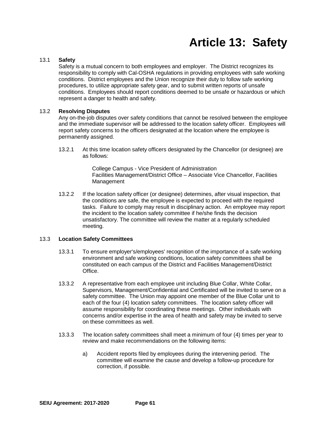# **Article 13: Safety**

## 13.1 **Safety**

Safety is a mutual concern to both employees and employer. The District recognizes its responsibility to comply with Cal-OSHA regulations in providing employees with safe working conditions. District employees and the Union recognize their duty to follow safe working procedures, to utilize appropriate safety gear, and to submit written reports of unsafe conditions. Employees should report conditions deemed to be unsafe or hazardous or which represent a danger to health and safety.

#### 13.2 **Resolving Disputes**

Any on-the-job disputes over safety conditions that cannot be resolved between the employee and the immediate supervisor will be addressed to the location safety officer. Employees will report safety concerns to the officers designated at the location where the employee is permanently assigned.

13.2.1 At this time location safety officers designated by the Chancellor (or designee) are as follows:

> College Campus - Vice President of Administration Facilities Management/District Office – Associate Vice Chancellor, Facilities Management

13.2.2 If the location safety officer (or designee) determines, after visual inspection, that the conditions are safe, the employee is expected to proceed with the required tasks. Failure to comply may result in disciplinary action. An employee may report the incident to the location safety committee if he/she finds the decision unsatisfactory. The committee will review the matter at a regularly scheduled meeting.

## 13.3 **Location Safety Committees**

- 13.3.1 To ensure employer's/employees' recognition of the importance of a safe working environment and safe working conditions, location safety committees shall be constituted on each campus of the District and Facilities Management/District Office.
- 13.3.2 A representative from each employee unit including Blue Collar, White Collar, Supervisors, Management/Confidential and Certificated will be invited to serve on a safety committee. The Union may appoint one member of the Blue Collar unit to each of the four (4) location safety committees. The location safety officer will assume responsibility for coordinating these meetings. Other individuals with concerns and/or expertise in the area of health and safety may be invited to serve on these committees as well.
- 13.3.3 The location safety committees shall meet a minimum of four (4) times per year to review and make recommendations on the following items:
	- a) Accident reports filed by employees during the intervening period. The committee will examine the cause and develop a follow-up procedure for correction, if possible.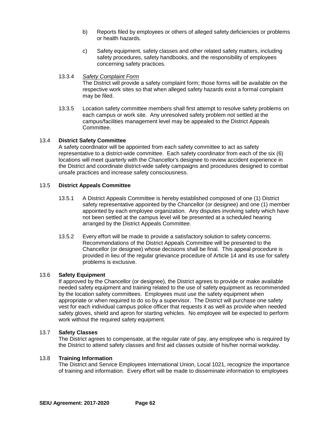- b) Reports filed by employees or others of alleged safety deficiencies or problems or health hazards.
- c) Safety equipment, safety classes and other related safety matters, including safety procedures, safety handbooks, and the responsibility of employees concerning safety practices.
- 13.3.4 *Safety Complaint Form* The District will provide a safety complaint form; those forms will be available on the respective work sites so that when alleged safety hazards exist a formal complaint may be filed.
- 13.3.5 Location safety committee members shall first attempt to resolve safety problems on each campus or work site. Any unresolved safety problem not settled at the campus/facilities management level may be appealed to the District Appeals Committee.

## 13.4 **District Safety Committee**

A safety coordinator will be appointed from each safety committee to act as safety representative to a district-wide committee. Each safety coordinator from each of the six (6) locations will meet quarterly with the Chancellor's designee to review accident experience in the District and coordinate district-wide safety campaigns and procedures designed to combat unsafe practices and increase safety consciousness.

## 13.5 **District Appeals Committee**

- 13.5.1 A District Appeals Committee is hereby established composed of one (1) District safety representative appointed by the Chancellor (or designee) and one (1) member appointed by each employee organization. Any disputes involving safety which have not been settled at the campus level will be presented at a scheduled hearing arranged by the District Appeals Committee.
- 13.5.2 Every effort will be made to provide a satisfactory solution to safety concerns. Recommendations of the District Appeals Committee will be presented to the Chancellor (or designee) whose decisions shall be final. This appeal procedure is provided in lieu of the regular grievance procedure of Article 14 and its use for safety problems is exclusive.

## 13.6 **Safety Equipment**

If approved by the Chancellor (or designee), the District agrees to provide or make available needed safety equipment and training related to the use of safety equipment as recommended by the location safety committees. Employees must use the safety equipment when appropriate or when required to do so by a supervisor. The District will purchase one safety vest for each individual campus police officer that requests it as well as provide when needed safety gloves, shield and apron for starting vehicles. No employee will be expected to perform work without the required safety equipment.

## 13.7 **Safety Classes**

The District agrees to compensate, at the regular rate of pay, any employee who is required by the District to attend safety classes and first aid classes outside of his/her normal workday.

## 13.8 **Training Information**

The District and Service Employees International Union, Local 1021, recognize the importance of training and information. Every effort will be made to disseminate information to employees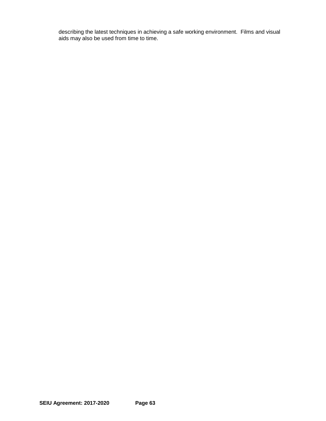describing the latest techniques in achieving a safe working environment. Films and visual aids may also be used from time to time.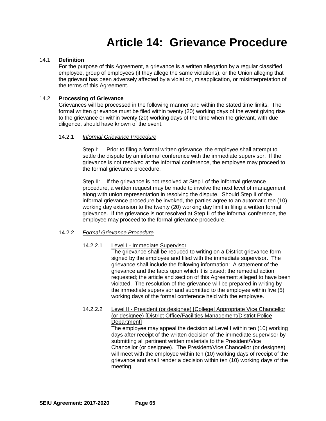## **Article 14: Grievance Procedure**

#### 14.1 **Definition**

For the purpose of this Agreement, a grievance is a written allegation by a regular classified employee, group of employees (if they allege the same violations), or the Union alleging that the grievant has been adversely affected by a violation, misapplication, or misinterpretation of the terms of this Agreement.

#### 14.2 **Processing of Grievance**

Grievances will be processed in the following manner and within the stated time limits. The formal written grievance must be filed within twenty (20) working days of the event giving rise to the grievance or within twenty (20) working days of the time when the grievant, with due diligence, should have known of the event.

#### 14.2.1 *Informal Grievance Procedure*

Step I: Prior to filing a formal written grievance, the employee shall attempt to settle the dispute by an informal conference with the immediate supervisor. If the grievance is not resolved at the informal conference, the employee may proceed to the formal grievance procedure.

Step II: If the grievance is not resolved at Step I of the informal grievance procedure, a written request may be made to involve the next level of management along with union representation in resolving the dispute. Should Step II of the informal grievance procedure be invoked, the parties agree to an automatic ten (10) working day extension to the twenty (20) working day limit in filing a written formal grievance. If the grievance is not resolved at Step II of the informal conference, the employee may proceed to the formal grievance procedure.

## 14.2.2 *Formal Grievance Procedure*

#### 14.2.2.1 Level I - Immediate Supervisor

The grievance shall be reduced to writing on a District grievance form signed by the employee and filed with the immediate supervisor. The grievance shall include the following information: A statement of the grievance and the facts upon which it is based; the remedial action requested; the article and section of this Agreement alleged to have been violated. The resolution of the grievance will be prepared in writing by the immediate supervisor and submitted to the employee within five (5) working days of the formal conference held with the employee.

## 14.2.2.2 Level II - President (or designee) [College] Appropriate Vice Chancellor (or designee) [District Office/Facilities Management/District Police Department]

The employee may appeal the decision at Level I within ten (10) working days after receipt of the written decision of the immediate supervisor by submitting all pertinent written materials to the President/Vice Chancellor (or designee). The President/Vice Chancellor (or designee) will meet with the employee within ten (10) working days of receipt of the grievance and shall render a decision within ten (10) working days of the meeting.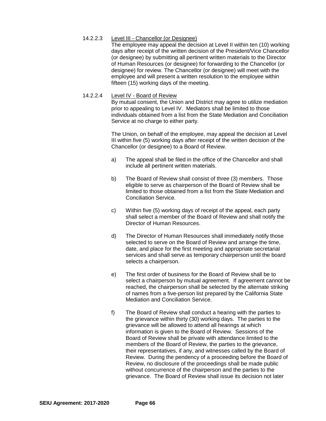## 14.2.2.3 Level III - Chancellor (or Designee)

The employee may appeal the decision at Level II within ten (10) working days after receipt of the written decision of the President/Vice Chancellor (or designee) by submitting all pertinent written materials to the Director of Human Resources (or designee) for forwarding to the Chancellor (or designee) for review. The Chancellor (or designee) will meet with the employee and will present a written resolution to the employee within fifteen (15) working days of the meeting.

## 14.2.2.4 Level IV - Board of Review

By mutual consent, the Union and District may agree to utilize mediation prior to appealing to Level IV. Mediators shall be limited to those individuals obtained from a list from the State Mediation and Conciliation Service at no charge to either party.

The Union, on behalf of the employee, may appeal the decision at Level III within five (5) working days after receipt of the written decision of the Chancellor (or designee) to a Board of Review.

- a) The appeal shall be filed in the office of the Chancellor and shall include all pertinent written materials.
- b) The Board of Review shall consist of three (3) members. Those eligible to serve as chairperson of the Board of Review shall be limited to those obtained from a list from the State Mediation and Conciliation Service.
- c) Within five (5) working days of receipt of the appeal, each party shall select a member of the Board of Review and shall notify the Director of Human Resources.
- d) The Director of Human Resources shall immediately notify those selected to serve on the Board of Review and arrange the time, date, and place for the first meeting and appropriate secretarial services and shall serve as temporary chairperson until the board selects a chairperson.
- e) The first order of business for the Board of Review shall be to select a chairperson by mutual agreement. If agreement cannot be reached, the chairperson shall be selected by the alternate striking of names from a five-person list prepared by the California State Mediation and Conciliation Service.
- f) The Board of Review shall conduct a hearing with the parties to the grievance within thirty (30) working days. The parties to the grievance will be allowed to attend all hearings at which information is given to the Board of Review. Sessions of the Board of Review shall be private with attendance limited to the members of the Board of Review, the parties to the grievance, their representatives, if any, and witnesses called by the Board of Review. During the pendency of a proceeding before the Board of Review, no disclosure of the proceedings shall be made public without concurrence of the chairperson and the parties to the grievance. The Board of Review shall issue its decision not later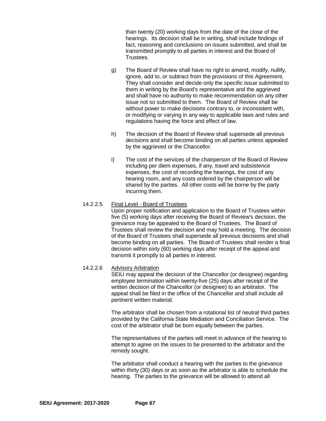than twenty (20) working days from the date of the close of the hearings. Its decision shall be in writing, shall include findings of fact, reasoning and conclusions on issues submitted, and shall be transmitted promptly to all parties in interest and the Board of Trustees.

- g) The Board of Review shall have no right to amend, modify, nullify, ignore, add to, or subtract from the provisions of this Agreement. They shall consider and decide only the specific issue submitted to them in writing by the Board's representative and the aggrieved and shall have no authority to make recommendation on any other issue not so submitted to them. The Board of Review shall be without power to make decisions contrary to, or inconsistent with, or modifying or varying in any way to applicable laws and rules and regulations having the force and effect of law.
- h) The decision of the Board of Review shall supersede all previous decisions and shall become binding on all parties unless appealed by the aggrieved or the Chancellor.
- i) The cost of the services of the chairperson of the Board of Review including per diem expenses, if any, travel and subsistence expenses, the cost of recording the hearings, the cost of any hearing room, and any costs ordered by the chairperson will be shared by the parties. All other costs will be borne by the party incurring them.

## 14.2.2.5 Final Level - Board of Trustees

Upon proper notification and application to the Board of Trustees within five (5) working days after receiving the Board of Review's decision, the grievance may be appealed to the Board of Trustees. The Board of Trustees shall review the decision and may hold a meeting. The decision of the Board of Trustees shall supersede all previous decisions and shall become binding on all parties. The Board of Trustees shall render a final decision within sixty (60) working days after receipt of the appeal and transmit it promptly to all parties in interest.

## 14.2.2.6 Advisory Arbitration

SEIU may appeal the decision of the Chancellor (or designee) regarding employee termination within twenty-five (25) days after receipt of the written decision of the Chancellor (or designee) to an arbitrator. The appeal shall be filed in the office of the Chancellor and shall include all pertinent written material.

The arbitrator shall be chosen from a rotational list of neutral third parties provided by the California State Mediation and Conciliation Service. The cost of the arbitrator shall be born equally between the parties.

The representatives of the parties will meet in advance of the hearing to attempt to agree on the issues to be presented to the arbitrator and the remedy sought.

The arbitrator shall conduct a hearing with the parties to the grievance within thirty (30) days or as soon as the arbitrator is able to schedule the hearing. The parties to the grievance will be allowed to attend all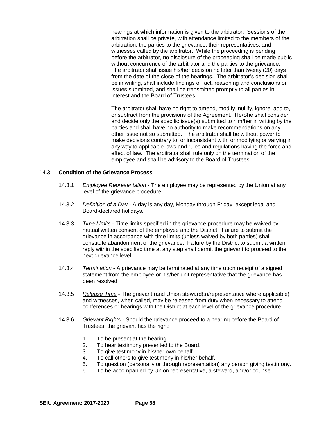hearings at which information is given to the arbitrator. Sessions of the arbitration shall be private, with attendance limited to the members of the arbitration, the parties to the grievance, their representatives, and witnesses called by the arbitrator. While the proceeding is pending before the arbitrator, no disclosure of the proceeding shall be made public without concurrence of the arbitrator and the parties to the grievance. The arbitrator shall issue his/her decision no later than twenty (20) days from the date of the close of the hearings. The arbitrator's decision shall be in writing, shall include findings of fact, reasoning and conclusions on issues submitted, and shall be transmitted promptly to all parties in interest and the Board of Trustees.

The arbitrator shall have no right to amend, modify, nullify, ignore, add to, or subtract from the provisions of the Agreement. He/She shall consider and decide only the specific issue(s) submitted to him/her in writing by the parties and shall have no authority to make recommendations on any other issue not so submitted. The arbitrator shall be without power to make decisions contrary to, or inconsistent with, or modifying or varying in any way to applicable laws and rules and regulations having the force and effect of law. The arbitrator shall rule only on the termination of the employee and shall be advisory to the Board of Trustees.

#### 14.3 **Condition of the Grievance Process**

- 14.3.1 *Employee Representation* The employee may be represented by the Union at any level of the grievance procedure.
- 14.3.2 *Definition of a Day* A day is any day, Monday through Friday, except legal and Board-declared holidays.
- 14.3.3 *Time Limits* Time limits specified in the grievance procedure may be waived by mutual written consent of the employee and the District. Failure to submit the grievance in accordance with time limits (unless waived by both parties) shall constitute abandonment of the grievance. Failure by the District to submit a written reply within the specified time at any step shall permit the grievant to proceed to the next grievance level.
- 14.3.4 *Termination* A grievance may be terminated at any time upon receipt of a signed statement from the employee or his/her unit representative that the grievance has been resolved.
- 14.3.5 *Release Time* The grievant (and Union steward(s)/representative where applicable) and witnesses, when called, may be released from duty when necessary to attend conferences or hearings with the District at each level of the grievance procedure.
- 14.3.6 *Grievant Rights* Should the grievance proceed to a hearing before the Board of Trustees, the grievant has the right:
	- 1. To be present at the hearing.<br>2. To hear testimony presented
	- To hear testimony presented to the Board.
	- 3. To give testimony in his/her own behalf.
	- 4. To call others to give testimony in his/her behalf.
	- 5. To question (personally or through representation) any person giving testimony.
	- 6. To be accompanied by Union representative, a steward, and/or counsel.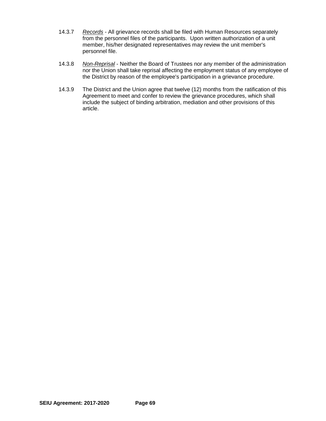- 14.3.7 *Records* All grievance records shall be filed with Human Resources separately from the personnel files of the participants. Upon written authorization of a unit member, his/her designated representatives may review the unit member's personnel file.
- 14.3.8 *Non-Reprisal* Neither the Board of Trustees nor any member of the administration nor the Union shall take reprisal affecting the employment status of any employee of the District by reason of the employee's participation in a grievance procedure.
- 14.3.9 The District and the Union agree that twelve (12) months from the ratification of this Agreement to meet and confer to review the grievance procedures, which shall include the subject of binding arbitration, mediation and other provisions of this article.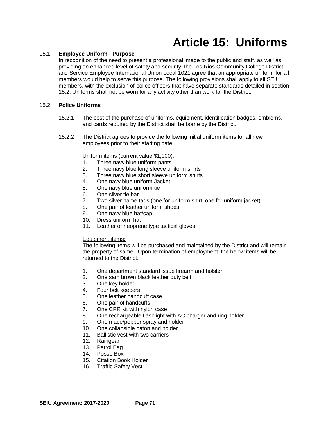### **Article 15: Uniforms**

### 15.1 **Employee Uniform - Purpose**

In recognition of the need to present a professional image to the public and staff, as well as providing an enhanced level of safety and security, the Los Rios Community College District and Service Employee International Union Local 1021 agree that an appropriate uniform for all members would help to serve this purpose. The following provisions shall apply to all SEIU members, with the exclusion of police officers that have separate standards detailed in section 15.2. Uniforms shall not be worn for any activity other than work for the District.

### 15.2 **Police Uniforms**

- 15.2.1 The cost of the purchase of uniforms, equipment, identification badges, emblems, and cards required by the District shall be borne by the District.
- 15.2.2 The District agrees to provide the following initial uniform items for all new employees prior to their starting date.

### Uniform items (current value \$1,000):

- 1. Three navy blue uniform pants
- 2. Three navy blue long sleeve uniform shirts
- 3. Three navy blue short sleeve uniform shirts
- 4. One navy blue uniform Jacket<br>5. One navy blue uniform tie
- 5. One navy blue uniform tie
- 6. One silver tie bar
- 7. Two silver name tags (one for uniform shirt, one for uniform jacket)<br>8. One pair of leather uniform shoes
- One pair of leather uniform shoes
- 9. One navy blue hat/cap
- 10. Dress uniform hat
- 11. Leather or neoprene type tactical gloves

### Equipment items:

The following items will be purchased and maintained by the District and will remain the property of same. Upon termination of employment, the below items will be returned to the District.

- 1. One department standard issue firearm and holster
- 2. One sam brown black leather duty belt<br>3. One key holder
- 3. One key holder<br>4. Four belt keepe
- Four belt keepers
- 5. One leather handcuff case
- 6. One pair of handcuffs
- 7. One CPR kit with nylon case
- 8. One rechargeable flashlight with AC charger and ring holder
- 9. One mace/pepper spray and holder
- 10. One collapsible baton and holder
- 11. Ballistic vest with two carriers
- 12. Raingear
- 13. Patrol Bag
- 14. Posse Box
- 15. Citation Book Holder
- 16. Traffic Safety Vest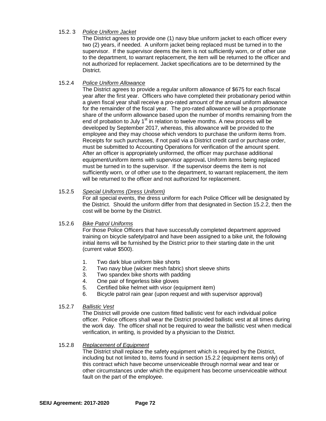### 15.2. 3 *Police Uniform Jacket*

The District agrees to provide one (1) navy blue uniform jacket to each officer every two (2) years, if needed. A uniform jacket being replaced must be turned in to the supervisor. If the supervisor deems the item is not sufficiently worn, or of other use to the department, to warrant replacement, the item will be returned to the officer and not authorized for replacement. Jacket specifications are to be determined by the District.

### 15.2.4 *Police Uniform Allowance*

The District agrees to provide a regular uniform allowance of \$675 for each fiscal year after the first year. Officers who have completed their probationary period within a given fiscal year shall receive a pro-rated amount of the annual uniform allowance for the remainder of the fiscal year. The pro-rated allowance will be a proportionate share of the uniform allowance based upon the number of months remaining from the end of probation to July  $1<sup>st</sup>$  in relation to twelve months. A new process will be developed by September 2017, whereas, this allowance will be provided to the employee and they may choose which vendors to purchase the uniform items from. Receipts for such purchases, if not paid via a District credit card or purchase order, must be submitted to Accounting Operations for verification of the amount spent. After an officer is appropriately uniformed, the officer may purchase additional equipment/uniform items with supervisor approval**.** Uniform items being replaced must be turned in to the supervisor. If the supervisor deems the item is not sufficiently worn, or of other use to the department, to warrant replacement, the item will be returned to the officer and not authorized for replacement.

### 15.2.5 *Special Uniforms (Dress Uniform)*

For all special events, the dress uniform for each Police Officer will be designated by the District. Should the uniform differ from that designated in Section 15.2.2, then the cost will be borne by the District.

### 15.2.6 *Bike Patrol Uniforms*

For those Police Officers that have successfully completed department approved training on bicycle safety/patrol and have been assigned to a bike unit, the following initial items will be furnished by the District prior to their starting date in the unit (current value \$500).

- 1. Two dark blue uniform bike shorts
- 2. Two navy blue (wicker mesh fabric) short sleeve shirts
- 3. Two spandex bike shorts with padding
- 4. One pair of fingerless bike gloves
- 5. Certified bike helmet with visor (equipment item)
- 6. Bicycle patrol rain gear (upon request and with supervisor approval)

### 15.2.7 *Ballistic Vest*

The District will provide one custom fitted ballistic vest for each individual police officer. Police officers shall wear the District provided ballistic vest at all times during the work day. The officer shall not be required to wear the ballistic vest when medical verification, in writing, is provided by a physician to the District.

### 15.2.8 *Replacement of Equipment*

The District shall replace the safety equipment which is required by the District, including but not limited to, items found in section 15.2.2 (equipment items only) of this contract which have become unserviceable through normal wear and tear or other circumstances under which the equipment has become unserviceable without fault on the part of the employee.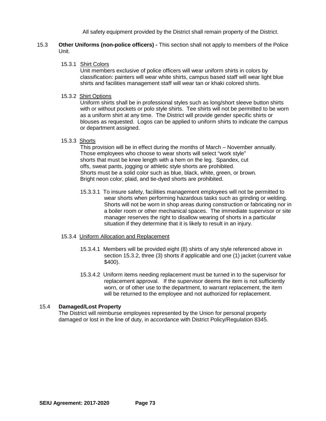All safety equipment provided by the District shall remain property of the District.

- 15.3 **Other Uniforms (non-police officers) -** This section shall not apply to members of the Police Unit.
	- 15.3.1 Shirt Colors

Unit members exclusive of police officers will wear uniform shirts in colors by classification: painters will wear white shirts, campus based staff will wear light blue shirts and facilities management staff will wear tan or khaki colored shirts.

15.3.2 Shirt Options

Uniform shirts shall be in professional styles such as long/short sleeve button shirts with or without pockets or polo style shirts. Tee shirts will not be permitted to be worn as a uniform shirt at any time. The District will provide gender specific shirts or blouses as requested. Logos can be applied to uniform shirts to indicate the campus or department assigned.

15.3.3 Shorts

This provision will be in effect during the months of March – November annually. Those employees who choose to wear shorts will select "work style" shorts that must be knee length with a hem on the leg. Spandex, cut offs, sweat pants, jogging or athletic style shorts are prohibited. Shorts must be a solid color such as blue, black, white, green, or brown. Bright neon color, plaid, and tie-dyed shorts are prohibited.

- 15.3.3.1 To insure safety, facilities management employees will not be permitted to wear shorts when performing hazardous tasks such as grinding or welding. Shorts will not be worn in shop areas during construction or fabricating nor in a boiler room or other mechanical spaces. The immediate supervisor or site manager reserves the right to disallow wearing of shorts in a particular situation if they determine that it is likely to result in an injury.
- 15.3.4 Uniform Allocation and Replacement
	- 15.3.4.1 Members will be provided eight (8) shirts of any style referenced above in section 15.3.2, three (3) shorts if applicable and one (1) jacket (current value \$400).
	- 15.3.4.2 Uniform items needing replacement must be turned in to the supervisor for replacement approval. If the supervisor deems the item is not sufficiently worn, or of other use to the department, to warrant replacement, the item will be returned to the employee and not authorized for replacement.

### 15.4 **Damaged/Lost Property**

The District will reimburse employees represented by the Union for personal property damaged or lost in the line of duty, in accordance with District Policy/Regulation 8345.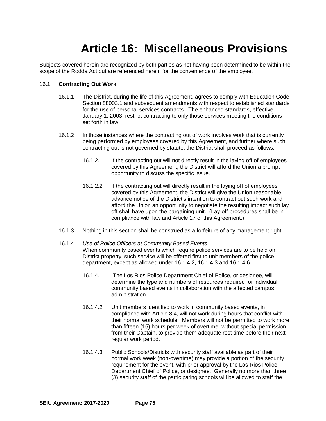### **Article 16: Miscellaneous Provisions**

Subjects covered herein are recognized by both parties as not having been determined to be within the scope of the Rodda Act but are referenced herein for the convenience of the employee.

### 16.1 **Contracting Out Work**

- 16.1.1 The District, during the life of this Agreement, agrees to comply with Education Code Section 88003.1 and subsequent amendments with respect to established standards for the use of personal services contracts. The enhanced standards, effective January 1, 2003, restrict contracting to only those services meeting the conditions set forth in law.
- 16.1.2 In those instances where the contracting out of work involves work that is currently being performed by employees covered by this Agreement, and further where such contracting out is not governed by statute, the District shall proceed as follows:
	- 16.1.2.1 If the contracting out will not directly result in the laying off of employees covered by this Agreement, the District will afford the Union a prompt opportunity to discuss the specific issue.
	- 16.1.2.2 If the contracting out will directly result in the laying off of employees covered by this Agreement, the District will give the Union reasonable advance notice of the District's intention to contract out such work and afford the Union an opportunity to negotiate the resulting impact such lay off shall have upon the bargaining unit. (Lay-off procedures shall be in compliance with law and Article 17 of this Agreement.)
- 16.1.3 Nothing in this section shall be construed as a forfeiture of any management right.
- 16.1.4 *Use of Police Officers at Community Based Events* When community based events which require police services are to be held on District property, such service will be offered first to unit members of the police department, except as allowed under 16.1.4.2, 16.1.4.3 and 16.1.4.6.
	- 16.1.4.1 The Los Rios Police Department Chief of Police, or designee, will determine the type and numbers of resources required for individual community based events in collaboration with the affected campus administration.
	- 16.1.4.2 Unit members identified to work in community based events, in compliance with Article 8.4, will not work during hours that conflict with their normal work schedule. Members will not be permitted to work more than fifteen (15) hours per week of overtime, without special permission from their Captain, to provide them adequate rest time before their next regular work period.
	- 16.1.4.3 Public Schools/Districts with security staff available as part of their normal work week (non-overtime) may provide a portion of the security requirement for the event, with prior approval by the Los Rios Police Department Chief of Police, or designee. Generally no more than three (3) security staff of the participating schools will be allowed to staff the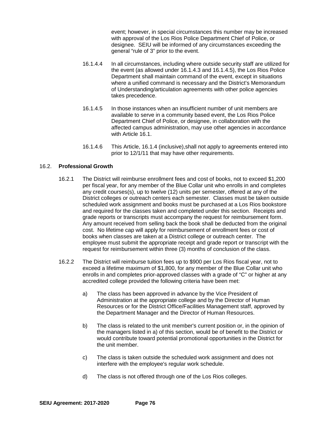event; however, in special circumstances this number may be increased with approval of the Los Rios Police Department Chief of Police, or designee. SEIU will be informed of any circumstances exceeding the general "rule of 3" prior to the event.

- 16.1.4.4 In all circumstances, including where outside security staff are utilized for the event (as allowed under 16.1.4.3 and 16.1.4.5), the Los Rios Police Department shall maintain command of the event, except in situations where a unified command is necessary and the District's Memorandum of Understanding/articulation agreements with other police agencies takes precedence.
- 16.1.4.5 In those instances when an insufficient number of unit members are available to serve in a community based event, the Los Rios Police Department Chief of Police, or designee, in collaboration with the affected campus administration, may use other agencies in accordance with Article 16.1.
- 16.1.4.6 This Article, 16.1.4 (inclusive),shall not apply to agreements entered into prior to 12/1/11 that may have other requirements.

### 16.2. **Professional Growth**

- 16.2.1 The District will reimburse enrollment fees and cost of books, not to exceed \$1,200 per fiscal year, for any member of the Blue Collar unit who enrolls in and completes any credit courses(s), up to twelve (12) units per semester, offered at any of the District colleges or outreach centers each semester. Classes must be taken outside scheduled work assignment and books must be purchased at a Los Rios bookstore and required for the classes taken and completed under this section. Receipts and grade reports or transcripts must accompany the request for reimbursement form. Any amount received from selling back the book shall be deducted from the original cost. No lifetime cap will apply for reimbursement of enrollment fees or cost of books when classes are taken at a District college or outreach center. The employee must submit the appropriate receipt and grade report or transcript with the request for reimbursement within three (3) months of conclusion of the class.
- 16.2.2 The District will reimburse tuition fees up to \$900 per Los Rios fiscal year, not to exceed a lifetime maximum of \$1,800, for any member of the Blue Collar unit who enrolls in and completes prior-approved classes with a grade of "C" or higher at any accredited college provided the following criteria have been met:
	- a) The class has been approved in advance by the Vice President of Administration at the appropriate college and by the Director of Human Resources or for the District Office/Facilities Management staff, approved by the Department Manager and the Director of Human Resources.
	- b) The class is related to the unit member's current position or, in the opinion of the managers listed in a) of this section, would be of benefit to the District or would contribute toward potential promotional opportunities in the District for the unit member.
	- c) The class is taken outside the scheduled work assignment and does not interfere with the employee's regular work schedule.
	- d) The class is not offered through one of the Los Rios colleges.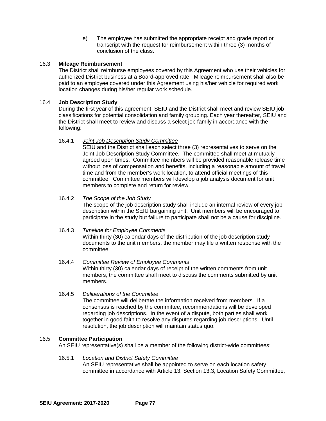e) The employee has submitted the appropriate receipt and grade report or transcript with the request for reimbursement within three (3) months of conclusion of the class.

### 16.3 **Mileage Reimbursement**

The District shall reimburse employees covered by this Agreement who use their vehicles for authorized District business at a Board-approved rate. Mileage reimbursement shall also be paid to an employee covered under this Agreement using his/her vehicle for required work location changes during his/her regular work schedule.

### 16.4 **Job Description Study**

During the first year of this agreement, SEIU and the District shall meet and review SEIU job classifications for potential consolidation and family grouping. Each year thereafter, SEIU and the District shall meet to review and discuss a select job family in accordance with the following:

### 16.4.1 *Joint Job Description Study Committee*

SEIU and the District shall each select three (3) representatives to serve on the Joint Job Description Study Committee. The committee shall meet at mutually agreed upon times. Committee members will be provided reasonable release time without loss of compensation and benefits, including a reasonable amount of travel time and from the member's work location, to attend official meetings of this committee. Committee members will develop a job analysis document for unit members to complete and return for review.

### 16.4.2 *The Scope of the Job Study*

The scope of the job description study shall include an internal review of every job description within the SEIU bargaining unit. Unit members will be encouraged to participate in the study but failure to participate shall not be a cause for discipline.

### 16.4.3 *Timeline for Employee Comments*

Within thirty (30) calendar days of the distribution of the job description study documents to the unit members, the member may file a written response with the committee.

- 16.4.4 *Committee Review of Employee Comments* Within thirty (30) calendar days of receipt of the written comments from unit members, the committee shall meet to discuss the comments submitted by unit members.
- 16.4.5 *Deliberations of the Committee*

The committee will deliberate the information received from members. If a consensus is reached by the committee, recommendations will be developed regarding job descriptions. In the event of a dispute, both parties shall work together in good faith to resolve any disputes regarding job descriptions. Until resolution, the job description will maintain status quo.

### 16.5 **Committee Participation**

An SEIU representative(s) shall be a member of the following district-wide committees:

### 16.5.1 *Location and District Safety Committee*

An SEIU representative shall be appointed to serve on each location safety committee in accordance with Article 13, Section 13.3, Location Safety Committee,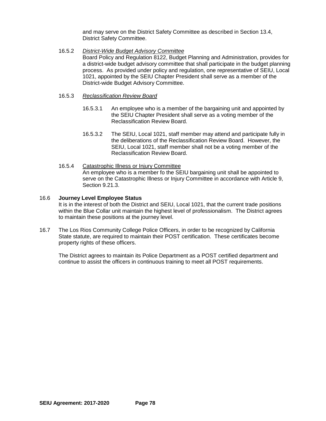and may serve on the District Safety Committee as described in Section 13.4, District Safety Committee.

### 16.5.2 *District-Wide Budget Advisory Committee*

Board Policy and Regulation 8122, Budget Planning and Administration, provides for a district-wide budget advisory committee that shall participate in the budget planning process. As provided under policy and regulation, one representative of SEIU, Local 1021, appointed by the SEIU Chapter President shall serve as a member of the District-wide Budget Advisory Committee.

- 16.5.3 *Reclassification Review Board*
	- 16.5.3.1 An employee who is a member of the bargaining unit and appointed by the SEIU Chapter President shall serve as a voting member of the Reclassification Review Board.
	- 16.5.3.2 The SEIU, Local 1021, staff member may attend and participate fully in the deliberations of the Reclassification Review Board. However, the SEIU, Local 1021, staff member shall not be a voting member of the Reclassification Review Board.
- 16.5.4 Catastrophic Illness or Injury Committee An employee who is a member fo the SEIU bargaining unit shall be appointed to serve on the Catastrophic Illness or Injury Committee in accordance with Article 9, Section 9.21.3.

### 16.6 **Journey Level Employee Status**

It is in the interest of both the District and SEIU, Local 1021, that the current trade positions within the Blue Collar unit maintain the highest level of professionalism. The District agrees to maintain these positions at the journey level.

16.7 The Los Rios Community College Police Officers, in order to be recognized by California State statute, are required to maintain their POST certification. These certificates become property rights of these officers.

The District agrees to maintain its Police Department as a POST certified department and continue to assist the officers in continuous training to meet all POST requirements.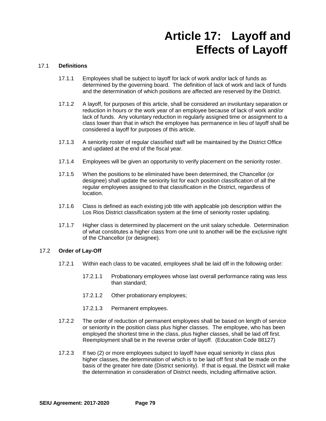### **Article 17: Layoff and Effects of Layoff**

### 17.1 **Definitions**

- 17.1.1 Employees shall be subject to layoff for lack of work and/or lack of funds as determined by the governing board. The definition of lack of work and lack of funds and the determination of which positions are affected are reserved by the District.
- 17.1.2 A layoff, for purposes of this article, shall be considered an involuntary separation or reduction in hours or the work year of an employee because of lack of work and/or lack of funds. Any voluntary reduction in regularly assigned time or assignment to a class lower than that in which the employee has permanence in lieu of layoff shall be considered a layoff for purposes of this article.
- 17.1.3 A seniority roster of regular classified staff will be maintained by the District Office and updated at the end of the fiscal year.
- 17.1.4 Employees will be given an opportunity to verify placement on the seniority roster.
- 17.1.5 When the positions to be eliminated have been determined, the Chancellor (or designee) shall update the seniority list for each position classification of all the regular employees assigned to that classification in the District, regardless of location.
- 17.1.6 Class is defined as each existing job title with applicable job description within the Los Rios District classification system at the time of seniority roster updating.
- 17.1.7 Higher class is determined by placement on the unit salary schedule. Determination of what constitutes a higher class from one unit to another will be the exclusive right of the Chancellor (or designee).

#### 17.2 **Order of Lay-Off**

- 17.2.1 Within each class to be vacated, employees shall be laid off in the following order:
	- 17.2.1.1 Probationary employees whose last overall performance rating was less than standard;
	- 17.2.1.2 Other probationary employees;
	- 17.2.1.3 Permanent employees.
- 17.2.2 The order of reduction of permanent employees shall be based on length of service or seniority in the position class plus higher classes. The employee, who has been employed the shortest time in the class, plus higher classes, shall be laid off first. Reemployment shall be in the reverse order of layoff. (Education Code 88127)
- 17.2.3 If two (2) or more employees subject to layoff have equal seniority in class plus higher classes, the determination of which is to be laid off first shall be made on the basis of the greater hire date (District seniority). If that is equal, the District will make the determination in consideration of District needs, including affirmative action.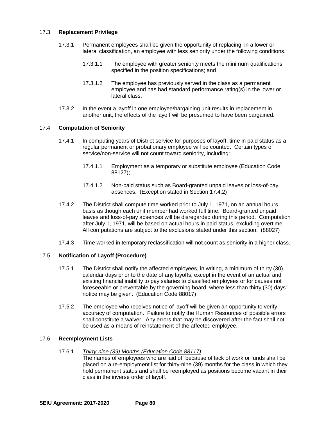### 17.3 **Replacement Privilege**

- 17.3.1 Permanent employees shall be given the opportunity of replacing, in a lower or lateral classification, an employee with less seniority under the following conditions.
	- 17.3.1.1 The employee with greater seniority meets the minimum qualifications specified in the position specifications; and
	- 17.3.1.2 The employee has previously served in the class as a permanent employee and has had standard performance rating(s) in the lower or lateral class.
- 17.3.2 In the event a layoff in one employee/bargaining unit results in replacement in another unit, the effects of the layoff will be presumed to have been bargained.

### 17.4 **Computation of Seniority**

- 17.4.1 In computing years of District service for purposes of layoff, time in paid status as a regular permanent or probationary employee will be counted. Certain types of service/non-service will not count toward seniority, including:
	- 17.4.1.1 Employment as a temporary or substitute employee (Education Code 88127);
	- 17.4.1.2 Non-paid status such as Board-granted unpaid leaves or loss-of-pay absences. (Exception stated in Section 17.4.2)
- 17.4.2 The District shall compute time worked prior to July 1, 1971, on an annual hours basis as though each unit member had worked full time. Board-granted unpaid leaves and loss-of-pay absences will be disregarded during this period. Computation after July 1, 1971, will be based on actual hours in paid status, excluding overtime. All computations are subject to the exclusions stated under this section. (88027)
- 17.4.3 Time worked in temporary reclassification will not count as seniority in a higher class.

### 17.5 **Notification of Layoff (Procedure)**

- 17.5.1 The District shall notify the affected employees, in writing, a minimum of thirty (30) calendar days prior to the date of any layoffs, except in the event of an actual and existing financial inability to pay salaries to classified employees or for causes not foreseeable or preventable by the governing board, where less than thirty (30) days' notice may be given. (Education Code 88017)
- 17.5.2 The employee who receives notice of layoff will be given an opportunity to verify accuracy of computation. Failure to notify the Human Resources of possible errors shall constitute a waiver. Any errors that may be discovered after the fact shall not be used as a means of reinstatement of the affected employee.

### 17.6 **Reemployment Lists**

### 17.6.1 *Thirty-nine (39) Months (Education Code 88117)*

The names of employees who are laid off because of lack of work or funds shall be placed on a re-employment list for thirty-nine (39) months for the class in which they hold permanent status and shall be reemployed as positions become vacant in their class in the inverse order of layoff.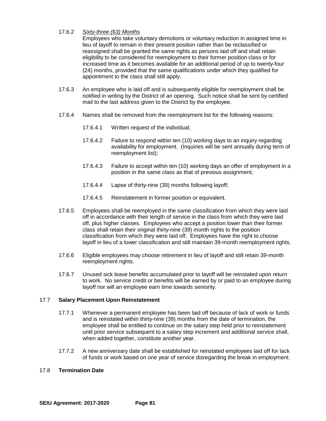### 17.6.2 *Sixty-three (63) Months*

Employees who take voluntary demotions or voluntary reduction in assigned time in lieu of layoff to remain in their present position rather than be reclassified or reassigned shall be granted the same rights as persons laid off and shall retain eligibility to be considered for reemployment to their former position class or for increased time as it becomes available for an additional period of up to twenty-four (24) months, provided that the same qualifications under which they qualified for appointment to the class shall still apply.

- 17.6.3 An employee who is laid off and is subsequently eligible for reemployment shall be notified in writing by the District of an opening. Such notice shall be sent by certified mail to the last address given to the District by the employee.
- 17.6.4 Names shall be removed from the reemployment list for the following reasons:
	- 17.6.4.1 Written request of the individual;
	- 17.6.4.2 Failure to respond within ten (10) working days to an inquiry regarding availability for employment. (Inquiries will be sent annually during term of reemployment list);
	- 17.6.4.3 Failure to accept within ten (10) working days an offer of employment in a position in the same class as that of previous assignment;
	- 17.6.4.4 Lapse of thirty-nine (39) months following layoff;
	- 17.6.4.5 Reinstatement in former position or equivalent.
- 17.6.5 Employees shall be reemployed in the same classification from which they were laid off in accordance with their length of service in the class from which they were laid off, plus higher classes. Employees who accept a position lower than their former class shall retain their original thirty-nine (39) month rights to the position classification from which they were laid off. Employees have the right to choose layoff in lieu of a lower classification and still maintain 39-month reemployment rights.
- 17.6.6 Eligible employees may choose retirement in lieu of layoff and still retain 39-month reemployment rights.
- 17.6.7 Unused sick leave benefits accumulated prior to layoff will be reinstated upon return to work. No service credit or benefits will be earned by or paid to an employee during layoff nor will an employee earn time towards seniority.

### 17.7 **Salary Placement Upon Reinstatement**

- 17.7.1 Whenever a permanent employee has been laid off because of lack of work or funds and is reinstated within thirty-nine (39) months from the date of termination, the employee shall be entitled to continue on the salary step held prior to reinstatement until prior service subsequent to a salary step increment and additional service shall, when added together, constitute another year.
- 17.7.2 A new anniversary date shall be established for reinstated employees laid off for lack of funds or work based on one year of service disregarding the break in employment.

### 17.8 **Termination Date**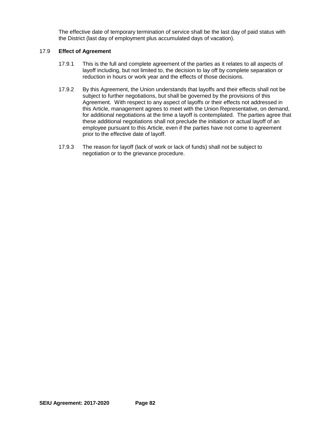The effective date of temporary termination of service shall be the last day of paid status with the District (last day of employment plus accumulated days of vacation).

### 17.9 **Effect of Agreement**

- 17.9.1 This is the full and complete agreement of the parties as it relates to all aspects of layoff including, but not limited to, the decision to lay off by complete separation or reduction in hours or work year and the effects of those decisions.
- 17.9.2 By this Agreement, the Union understands that layoffs and their effects shall not be subject to further negotiations, but shall be governed by the provisions of this Agreement. With respect to any aspect of layoffs or their effects not addressed in this Article, management agrees to meet with the Union Representative, on demand, for additional negotiations at the time a layoff is contemplated. The parties agree that these additional negotiations shall not preclude the initiation or actual layoff of an employee pursuant to this Article, even if the parties have not come to agreement prior to the effective date of layoff.
- 17.9.3 The reason for layoff (lack of work or lack of funds) shall not be subject to negotiation or to the grievance procedure.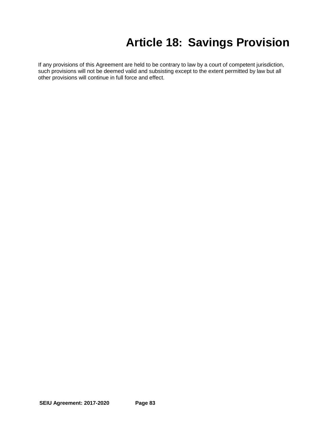### **Article 18: Savings Provision**

If any provisions of this Agreement are held to be contrary to law by a court of competent jurisdiction, such provisions will not be deemed valid and subsisting except to the extent permitted by law but all other provisions will continue in full force and effect.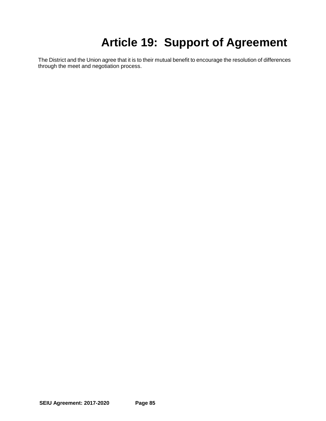## **Article 19: Support of Agreement**

The District and the Union agree that it is to their mutual benefit to encourage the resolution of differences through the meet and negotiation process.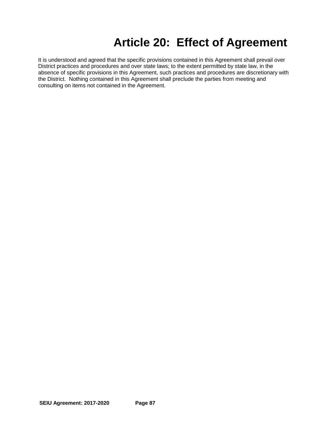### **Article 20: Effect of Agreement**

It is understood and agreed that the specific provisions contained in this Agreement shall prevail over District practices and procedures and over state laws; to the extent permitted by state law, in the absence of specific provisions in this Agreement, such practices and procedures are discretionary with the District. Nothing contained in this Agreement shall preclude the parties from meeting and consulting on items not contained in the Agreement.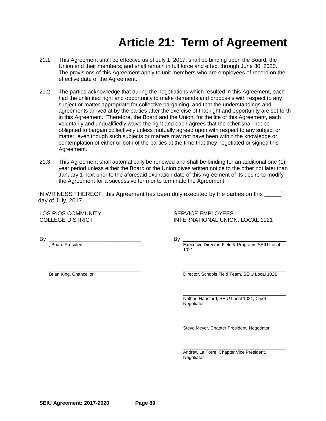### **Article 21: Term of Agreement**

- 21.1 This Agreement shall be effective as of July 1, 2017; shall be binding upon the Board, the Union and their members; and shall remain in full force and effect through June 30, 2020. The provisions of this Agreement apply to unit members who are employees of record on the effective date of the Agreement.
- 21.2 The parties acknowledge that during the negotiations which resulted in this Agreement, each had the unlimited right and opportunity to make demands and proposals with respect to any subject or matter appropriate for collective bargaining, and that the understandings and agreements arrived at by the parties after the exercise of that right and opportunity are set forth in this Agreement. Therefore, the Board and the Union, for the life of this Agreement, each voluntarily and unqualifiedly waive the right and each agrees that the other shall not be obligated to bargain collectively unless mutually agreed upon with respect to any subject or matter, even though such subjects or matters may not have been within the knowledge or contemplation of either or both of the parties at the time that they negotiated or signed this Agreement.
- 21.3 This Agreement shall automatically be renewed and shall be binding for an additional one (1) year period unless either the Board or the Union gives written notice to the other not later than January 1 next prior to the aforesaid expiration date of this Agreement of its desire to modify the Agreement for a successive term or to terminate the Agreement.

IN WITNESS THEREOF, this Agreement has been duly executed by the parties on this th day of July, 2017.

LOS RIOS COMMUNITY<br>COLLEGE DISTRICT COLLEGE DISTRICT

INTERNATIONAL UNION, LOCAL 1021

By \_\_\_\_\_\_\_\_\_\_\_\_\_\_\_\_\_\_\_\_\_\_\_\_\_\_\_\_\_\_ By

, Board President Executive Director, Field & Programs SEIU Local 1021

\_\_\_\_\_\_\_\_\_\_\_\_\_\_\_\_\_\_\_\_\_\_\_\_\_\_\_\_\_\_

Brian King, Chancellor Director, Schools Field Team, SEIU Local 1021

Nathan Hansford, SEIU Local 1021, Chief Negotiator

Steve Meyer, Chapter President, Negotiator

Andrew La Torre, Chapter Vice President, Negotiator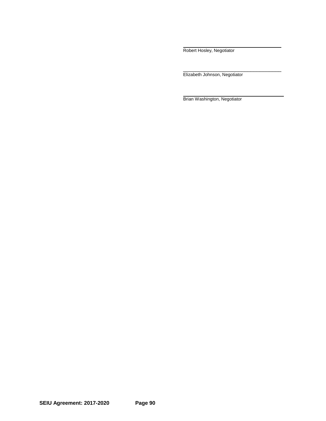Robert Hosley, Negotiator

\_\_\_\_\_\_\_\_\_\_\_\_\_\_\_\_\_\_\_\_\_\_\_\_\_\_\_\_\_\_\_\_ Elizabeth Johnson, Negotiator

Brian Washington, Negotiator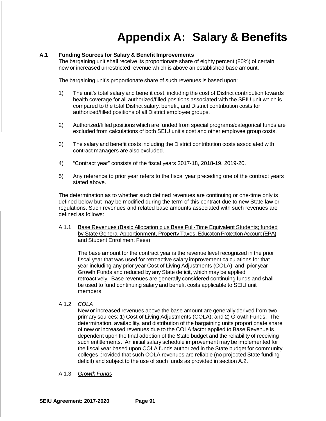### **Appendix A: Salary & Benefits**

### **A.1 Funding Sources for Salary & Benefit Improvements**

The bargaining unit shall receive its proportionate share of eighty percent (80%) of certain new or increased unrestricted revenue which is above an established base amount.

The bargaining unit's proportionate share of such revenues is based upon:

- 1) The unit's total salary and benefit cost, including the cost of District contribution towards health coverage for all authorized/filled positions associated with the SEIU unit which is compared to the total District salary, benefit, and District contribution costs for authorized/filled positions of all District employee groups.
- 2) Authorized/filled positions which are funded from special programs/categorical funds are excluded from calculations of both SEIU unit's cost and other employee group costs.
- 3) The salary and benefit costs including the District contribution costs associated with contract managers are also excluded.
- 4) "Contract year" consists of the fiscal years 2017-18, 2018-19, 2019-20.
- 5) Any reference to prior year refers to the fiscal year preceding one of the contract years stated above.

The determination as to whether such defined revenues are continuing or one-time only is defined below but may be modified during the term of this contract due to new State law or regulations. Such revenues and related base amounts associated with such revenues are defined as follows:

A.1.1 Base Revenues (Basic Allocation plus Base Full-Time Equivalent Students; funded by State General Apportionment, Property Taxes, Education Protection Account (EPA) and Student Enrollment Fees)

The base amount for the contract year is the revenue level recognized in the prior fiscal year that was used for retroactive salary improvement calculations for that year including any prior year Cost of Living Adjustments (COLA), and prior year Growth Funds and reduced by any State deficit, which may be applied retroactively. Base revenues are generally considered continuing funds and shall be used to fund continuing salary and benefit costs applicable to SEIU unit members.

A.1.2 *COLA*

New or increased revenues above the base amount are generally derived from two primary sources: 1) Cost of Living Adjustments (COLA); and 2) Growth Funds. The determination, availability, and distribution of the bargaining units proportionate share of new or increased revenues due to the COLA factor applied to Base Revenue is dependent upon the final adoption of the State budget and the reliability of receiving such entitlements. An initial salary schedule improvement may be implemented for the fiscal year based upon COLA funds authorized in the State budget for community colleges provided that such COLA revenues are reliable (no projected State funding deficit) and subject to the use of such funds as provided in section A.2.

### A.1.3 *Growth Funds*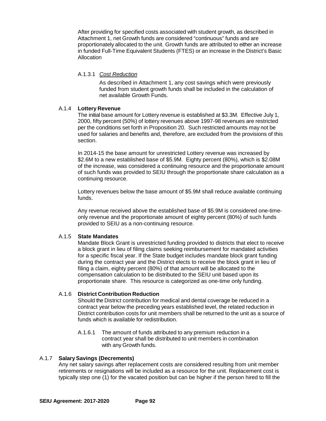After providing for specified costs associated with student growth, as described in Attachment 1, net Growth funds are considered "continuous" funds and are proportionately allocated to the unit. Growth funds are attributed to either an increase in funded Full-Time Equivalent Students (FTES) or an increase in the District's Basic Allocation

### A.1.3.1 *Cost Reduction*

As described in Attachment 1, any cost savings which were previously funded from student growth funds shall be included in the calculation of net available Growth Funds.

### A.1.4 **Lottery Revenue**

The initial base amount for Lottery revenue is established at \$3.3M. Effective July 1, 2000, fifty percent (50%) of lottery revenues above 1997-98 revenues are restricted per the conditions set forth in Proposition 20. Such restricted amounts may not be used for salaries and benefits and, therefore, are excluded from the provisions of this section.

In 2014-15 the base amount for unrestricted Lottery revenue was increased by \$2.6M to a new established base of \$5.9M. Eighty percent (80%), which is \$2.08M of the increase, was considered a continuing resource and the proportionate amount of such funds was provided to SEIU through the proportionate share calculation as a continuing resource.

Lottery revenues below the base amount of \$5.9M shall reduce available continuing funds.

Any revenue received above the established base of \$5.9M is considered one-timeonly revenue and the proportionate amount of eighty percent (80%) of such funds provided to SEIU as a non-continuing resource.

### A.1.5 **State Mandates**

Mandate Block Grant is unrestricted funding provided to districts that elect to receive a block grant in lieu of filing claims seeking reimbursement for mandated activities for a specific fiscal year. If the State budget includes mandate block grant funding during the contract year and the District elects to receive the block grant in lieu of filing a claim, eighty percent (80%) of that amount will be allocated to the compensation calculation to be distributed to the SEIU unit based upon its proportionate share. This resource is categorized as one-time only funding.

### A.1.6 **District Contribution Reduction**

Should the District contribution for medical and dental coverage be reduced in a contract year below the preceding years established level, the related reduction in District contribution costs for unit members shall be returned to the unit as a source of funds which is available for redistribution.

A.1.6.1 The amount of funds attributed to any premium reduction in a contract year shall be distributed to unit members in combination with any Growth funds.

### A.1.7 **Salary Savings (Decrements)**

Any net salary savings after replacement costs are considered resulting from unit member retirements or resignations will be included as a resource for the unit. Replacement cost is typically step one (1) for the vacated position but can be higher if the person hired to fill the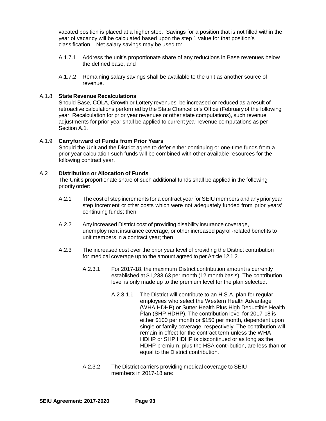vacated position is placed at a higher step. Savings for a position that is not filled within the year of vacancy will be calculated based upon the step 1 value for that position's classification. Net salary savings may be used to:

- A.1.7.1 Address the unit's proportionate share of any reductions in Base revenues below the defined base, and
- A.1.7.2 Remaining salary savings shall be available to the unit as another source of revenue.

### A.1.8 **State Revenue Recalculations**

Should Base, COLA, Growth or Lottery revenues be increased or reduced as a result of retroactive calculations performed by the State Chancellor's Office (February of the following year. Recalculation for prior year revenues or other state computations), such revenue adjustments for prior year shall be applied to current year revenue computations as per Section A.1.

### A.1.9 **Carryforward of Funds from Prior Years**

Should the Unit and the District agree to defer either continuing or one-time funds from a prior year calculation such funds will be combined with other available resources for the following contract year.

### A.2 **Distribution or Allocation of Funds**

The Unit's proportionate share of such additional funds shall be applied in the following priority order:

- A.2.1 The cost of step increments for a contract year for SEIU members and any prior year step increment or other costs which were not adequately funded from prior years' continuing funds; then
- A.2.2 Any increased District cost of providing disability insurance coverage, unemployment insurance coverage, or other increased payroll-related benefits to unit members in a contract year; then
- A.2.3 The increased cost over the prior year level of providing the District contribution for medical coverage up to the amount agreed to per Article 12.1.2.
	- A.2.3.1 For 2017-18, the maximum District contribution amount is currently established at \$1,233.63 per month (12 month basis). The contribution level is only made up to the premium level for the plan selected.
		- A.2.3.1.1 The District will contribute to an H.S.A. plan for regular employees who select the Western Health Advantage (WHA HDHP) or Sutter Health Plus High Deductible Health Plan (SHP HDHP). The contribution level for 2017-18 is either \$100 per month or \$150 per month, dependent upon single or family coverage, respectively. The contribution will remain in effect for the contract term unless the WHA HDHP or SHP HDHP is discontinued or as long as the HDHP premium, plus the HSA contribution, are less than or equal to the District contribution.
	- A.2.3.2 The District carriers providing medical coverage to SEIU members in 2017-18 are: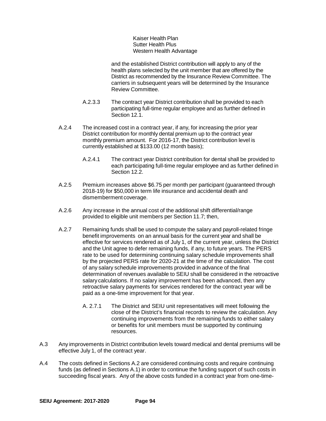Kaiser Health Plan Sutter Health Plus Western Health Advantage

and the established District contribution will apply to any of the health plans selected by the unit member that are offered by the District as recommended by the Insurance Review Committee. The carriers in subsequent years will be determined by the Insurance Review Committee.

- A.2.3.3 The contract year District contribution shall be provided to each participating full-time regular employee and as further defined in Section 12.1.
- A.2.4 The increased cost in a contract year, if any, for increasing the prior year District contribution for monthly dental premium up to the contract year monthly premium amount. For 2016-17, the District contribution level is currently established at \$133.00 (12 month basis);
	- A.2.4.1 The contract year District contribution for dental shall be provided to each participating full-time regular employee and as further defined in Section 12.2.
- A.2.5 Premium increases above \$6.75 per month per participant (guaranteed through 2018-19) for \$50,000 in term life insurance and accidental death and dismemberment coverage.
- A.2.6 Any increase in the annual cost of the additional shift differential/range provided to eligible unit members per Section 11.7; then,
- A.2.7 Remaining funds shall be used to compute the salary and payroll-related fringe benefit improvements on an annual basis for the current year and shall be effective for services rendered as of July 1, of the current year, unless the District and the Unit agree to defer remaining funds, if any, to future years. The PERS rate to be used for determining continuing salary schedule improvements shall by the projected PERS rate for 2020-21 at the time of the calculation. The cost of any salary schedule improvements provided in advance of the final determination of revenues available to SEIU shall be considered in the retroactive salary calculations. If no salary improvement has been advanced, then any retroactive salary payments for services rendered for the contract year will be paid as a one-time improvement for that year.
	- A. 2.7.1 The District and SEIU unit representatives will meet following the close of the District's financial records to review the calculation. Any continuing improvements from the remaining funds to either salary or benefits for unit members must be supported by continuing resources.
- A.3 Any improvements in District contribution levels toward medical and dental premiums will be effective July 1, of the contract year.
- A.4 The costs defined in Sections A.2 are considered continuing costs and require continuing funds (as defined in Sections A.1) in order to continue the funding support of such costs in succeeding fiscal years. Any of the above costs funded in a contract year from one-time-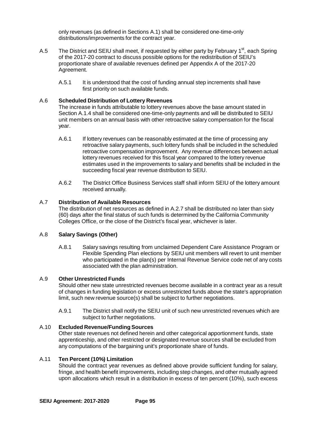only revenues (as defined in Sections A.1) shall be considered one-time-only distributions/improvements for the contract year.

- A.5 The District and SEIU shall meet, if requested by either party by February 1<sup>st</sup>, each Spring of the 2017-20 contract to discuss possible options for the redistribution of SEIU's proportionate share of available revenues defined per Appendix A of the 2017-20 Agreement.
	- A.5.1 It is understood that the cost of funding annual step increments shall have first priority on such available funds.

### A.6 **Scheduled Distribution of Lottery Revenues**

The increase in funds attributable to lottery revenues above the base amount stated in Section A.1.4 shall be considered one-time-only payments and will be distributed to SEIU unit members on an annual basis with other retroactive salary compensation for the fiscal year.

- A.6.1 If lottery revenues can be reasonably estimated at the time of processing any retroactive salary payments, such lottery funds shall be included in the scheduled retroactive compensation improvement. Any revenue differences between actual lottery revenues received for this fiscal year compared to the lottery revenue estimates used in the improvements to salary and benefits shall be included in the succeeding fiscal year revenue distribution to SEIU.
- A.6.2 The District Office Business Services staff shall inform SEIU of the lottery amount received annually.

### A.7 **Distribution of Available Resources**

The distribution of net resources as defined in A.2.7 shall be distributed no later than sixty (60) days after the final status of such funds is determined by the California Community Colleges Office, or the close of the District's fiscal year, whichever is later.

### A.8 **Salary Savings (Other)**

A.8.1 Salary savings resulting from unclaimed Dependent Care Assistance Program or Flexible Spending Plan elections by SEIU unit members will revert to unit member who participated in the plan(s) per Internal Revenue Service code net of any costs associated with the plan administration.

### A.9 **Other Unrestricted Funds**

Should other new state unrestricted revenues become available in a contract year as a result of changes in funding legislation or excess unrestricted funds above the state's appropriation limit, such new revenue source(s) shall be subject to further negotiations.

A.9.1 The District shall notify the SEIU unit of such new unrestricted revenues which are subject to further negotiations.

#### A.10 **Excluded Revenue/Funding Sources**

Other state revenues not defined herein and other categorical apportionment funds, state apprenticeship, and other restricted or designated revenue sources shall be excluded from any computations of the bargaining unit's proportionate share of funds.

### A.11 **Ten Percent (10%) Limitation**

Should the contract year revenues as defined above provide sufficient funding for salary, fringe, and health benefit improvements, including step changes, and other mutually agreed upon allocations which result in a distribution in excess of ten percent (10%), such excess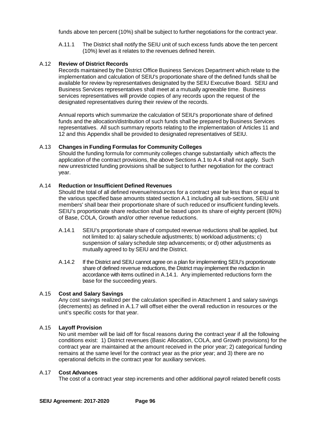funds above ten percent (10%) shall be subject to further negotiations for the contract year.

A.11.1 The District shall notify the SEIU unit of such excess funds above the ten percent (10%) level as it relates to the revenues defined herein.

### A.12 **Review of District Records**

Records maintained by the District Office Business Services Department which relate to the implementation and calculation of SEIU's proportionate share of the defined funds shall be available for review by representatives designated by the SEIU Executive Board. SEIU and Business Services representatives shall meet at a mutually agreeable time. Business services representatives will provide copies of any records upon the request of the designated representatives during their review of the records.

Annual reports which summarize the calculation of SEIU's proportionate share of defined funds and the allocation/distribution of such funds shall be prepared by Business Services representatives. All such summary reports relating to the implementation of Articles 11 and 12 and this Appendix shall be provided to designated representatives of SEIU.

### A.13 **Changes in Funding Formulas for Community Colleges**

Should the funding formula for community colleges change substantially which affects the application of the contract provisions, the above Sections A.1 to A.4 shall not apply. Such new unrestricted funding provisions shall be subject to further negotiation for the contract year.

### A.14 **Reduction or Insufficient Defined Revenues**

Should the total of all defined revenue/resources for a contract year be less than or equal to the various specified base amounts stated section A.1 including all sub-sections, SEIU unit members' shall bear their proportionate share of such reduced or insufficient funding levels. SEIU's proportionate share reduction shall be based upon its share of eighty percent (80%) of Base, COLA, Growth and/or other revenue reductions.

- A.14.1 SEIU's proportionate share of computed revenue reductions shall be applied, but not limited to: a) salary schedule adjustments; b) workload adjustments; c) suspension of salary schedule step advancements; or d) other adjustments as mutually agreed to by SEIU and the District.
- A.14.2 If the District and SEIU cannot agree on a plan for implementing SEIU's proportionate share of defined revenue reductions, the District may implement the reduction in accordance with items outlined in A.14.1. Any implemented reductions form the base for the succeeding years.

### A.15 **Cost and Salary Savings**

Any cost savings realized per the calculation specified in Attachment 1 and salary savings (decrements) as defined in A.1.7 will offset either the overall reduction in resources or the unit's specific costs for that year.

### A.15 **Layoff Provision**

No unit member will be laid off for fiscal reasons during the contract year if all the following conditions exist: 1) District revenues (Basic Allocation, COLA, and Growth provisions) for the contract year are maintained at the amount received in the prior year; 2) categorical funding remains at the same level for the contract year as the prior year; and 3) there are no operational deficits in the contract year for auxiliary services.

### A.17 **Cost Advances**

The cost of a contract year step increments and other additional payroll related benefit costs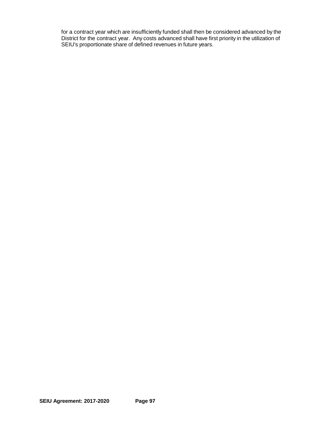for a contract year which are insufficiently funded shall then be considered advanced by the District for the contract year. Any costs advanced shall have first priority in the utilization of SEIU's proportionate share of defined revenues in future years.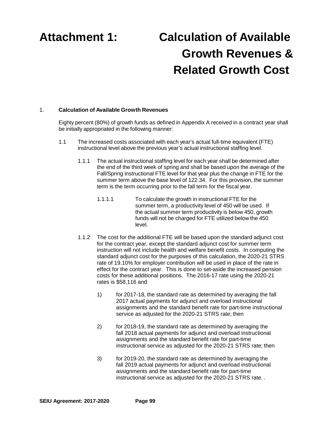# **Attachment 1: Calculation of Available Growth Revenues & Related Growth Cost**

### 1. **Calculation of Available Growth Revenues**

Eighty percent (80%) of growth funds as defined in Appendix A received in a contract year shall be initially appropriated in the following manner:

- 1.1 The increased costs associated with each year's actual full-time equivalent (FTE) instructional level above the previous year's actual instructional staffing level.
	- 1.1.1 The actual instructional staffing level for each year shall be determined after the end of the third week of spring and shall be based upon the average of the Fall/Spring instructional FTE level for that year plus the change in FTE for the summer term above the base level of 122.34. For this provision, the summer term is the term occurring prior to the fall term for the fiscal year.
		- 1.1.1.1 To calculate the growth in instructional FTE for the summer term, a productivity level of 450 will be used. If the actual summer term productivity is below 450, growth funds will not be charged for FTE utilized below the 450 level.
	- 1.1.2 The cost for the additional FTE will be based upon the standard adjunct cost for the contract year, except the standard adjunct cost for summer term instruction will not include health and welfare benefit costs. In computing the standard adjunct cost for the purposes of this calculation, the 2020-21 STRS rate of 19.10% for employer contribution will be used in place of the rate in effect for the contract year. This is done to set-aside the increased pension costs for these additional positions. The 2016-17 rate using the 2020-21 rates is \$58,116 and
		- 1) for 2017-18, the standard rate as determined by averaging the fall 2017 actual payments for adjunct and overload instructional assignments and the standard benefit rate for part-time instructional service as adjusted for the 2020-21 STRS rate; then
		- 2) for 2018-19, the standard rate as determined by averaging the fall 2018 actual payments for adjunct and overload instructional assignments and the standard benefit rate for part-time instructional service as adjusted for the 2020-21 STRS rate; then
		- 3) for 2019-20, the standard rate as determined by averaging the fall 2019 actual payments for adjunct and overload instructional assignments and the standard benefit rate for part-time instructional service as adjusted for the 2020-21 STRS rate. .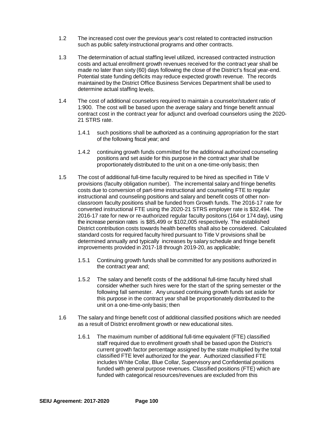- 1.2 The increased cost over the previous year's cost related to contracted instruction such as public safety instructional programs and other contracts.
- 1.3 The determination of actual staffing level utilized, increased contracted instruction costs and actual enrollment growth revenues received for the contract year shall be made no later than sixty (60) days following the close of the District's fiscal year-end. Potential state funding deficits may reduce expected growth revenue. The records maintained by the District Office Business Services Department shall be used to determine actual staffing levels.
- 1.4 The cost of additional counselors required to maintain a counselor/student ratio of 1:900. The cost will be based upon the average salary and fringe benefit annual contract cost in the contract year for adjunct and overload counselors using the 2020- 21 STRS rate.
	- 1.4.1 such positions shall be authorized as a continuing appropriation for the start of the following fiscal year; and
	- 1.4.2 continuing growth funds committed for the additional authorized counseling positions and set aside for this purpose in the contract year shall be proportionately distributed to the unit on a one-time-only basis; then
- 1.5 The cost of additional full-time faculty required to be hired as specified in Title V provisions (faculty obligation number). The incremental salary and fringe benefits costs due to conversion of part-time instructional and counseling FTE to regular instructional and counseling positions and salary and benefit costs of other nonclassroom faculty positions shall be funded from Growth funds. The 2016-17 rate for converted instructional FTE using the 2020-21 STRS employer rate is \$32,494. The 2016-17 rate for new or re-authorized regular faculty positons (164 or 174 day), using the increase pension rates is \$85,499 or \$102,005 respectively. The established District contribution costs towards health benefits shall also be considered. Calculated standard costs for required faculty hired pursuant to Title V provisions shall be determined annually and typically increases by salary schedule and fringe benefit improvements provided in 2017-18 through 2019-20, as applicable;
	- 1.5.1 Continuing growth funds shall be committed for any positions authorized in the contract year and;
	- 1.5.2 The salary and benefit costs of the additional full-time faculty hired shall consider whether such hires were for the start of the spring semester or the following fall semester. Any unused continuing growth funds set aside for this purpose in the contract year shall be proportionately distributed to the unit on a one-time-only basis; then
- 1.6 The salary and fringe benefit cost of additional classified positions which are needed as a result of District enrollment growth or new educational sites.
	- 1.6.1 The maximum number of additional full-time equivalent (FTE) classified staff required due to enrollment growth shall be based upon the District's current growth factor percentage assigned by the state multiplied by the total classified FTE level authorized for the year. Authorized classified FTE includes White Collar, Blue Collar, Supervisory and Confidential positions funded with general purpose revenues. Classified positions (FTE) which are funded with categorical resources/revenues are excluded from this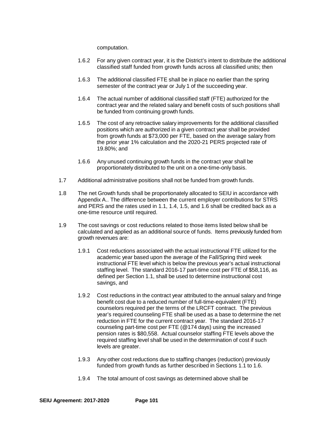computation.

- 1.6.2 For any given contract year, it is the District's intent to distribute the additional classified staff funded from growth funds across all classified units; then
- 1.6.3 The additional classified FTE shall be in place no earlier than the spring semester of the contract year or July 1 of the succeeding year.
- 1.6.4 The actual number of additional classified staff (FTE) authorized for the contract year and the related salary and benefit costs of such positions shall be funded from continuing growth funds.
- 1.6.5 The cost of any retroactive salary improvements for the additional classified positions which are authorized in a given contract year shall be provided from growth funds at \$73,000 per FTE, based on the average salary from the prior year 1% calculation and the 2020-21 PERS projected rate of 19.80%; and
- 1.6.6 Any unused continuing growth funds in the contract year shall be proportionately distributed to the unit on a one-time-only basis.
- 1.7 Additional administrative positions shall not be funded from growth funds.
- 1.8 The net Growth funds shall be proportionately allocated to SEIU in accordance with Appendix A.. The difference between the current employer contributions for STRS and PERS and the rates used in 1.1, 1.4, 1.5, and 1.6 shall be credited back as a one-time resource until required.
- 1.9 The cost savings or cost reductions related to those items listed below shall be calculated and applied as an additional source of funds. Items previously funded from growth revenues are:
	- 1.9.1 Cost reductions associated with the actual instructional FTE utilized for the academic year based upon the average of the Fall/Spring third week instructional FTE level which is below the previous year's actual instructional staffing level. The standard 2016-17 part-time cost per FTE of \$58,116, as defined per Section 1.1, shall be used to determine instructional cost savings, and
	- 1.9.2 Cost reductions in the contract year attributed to the annual salary and fringe benefit cost due to a reduced number of full-time-equivalent (FTE) counselors required per the terms of the LRCFT contract. The previous year's required counseling FTE shall be used as a base to determine the net reduction in FTE for the current contract year. The standard 2016-17 counseling part-time cost per FTE (@174 days) using the increased pension rates is \$80,558. Actual counselor staffing FTE levels above the required staffing level shall be used in the determination of cost if such levels are greater.
	- 1.9.3 Any other cost reductions due to staffing changes (reduction) previously funded from growth funds as further described in Sections 1.1 to 1.6.
	- 1.9.4 The total amount of cost savings as determined above shall be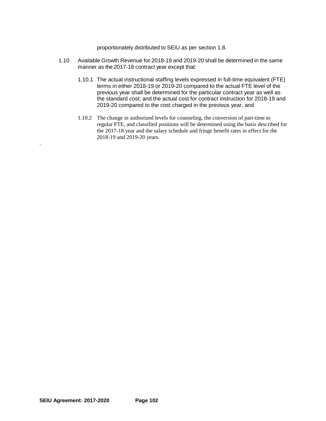proportionately distributed to SEIU as per section 1.8.

- 1.10 Available Growth Revenue for 2018-19 and 2019-20 shall be determined in the same manner as the 2017-18 contract year except that:
	- 1.10.1 The actual instructional staffing levels expressed in full-time equivalent (FTE) terms in either 2018-19 or 2019-20 compared to the actual FTE level of the previous year shall be determined for the particular contract year as well as the standard cost; and the actual cost for contract instruction for 2018-19 and 2019-20 compared to the cost charged in the previous year, and
	- 1.10.2 The change in authorized levels for counseling, the conversion of part-time to regular FTE, and classified positions will be determined using the basis described for the 2017-18 year and the salary schedule and fringe benefit rates in effect for the 2018-19 and 2019-20 years.

.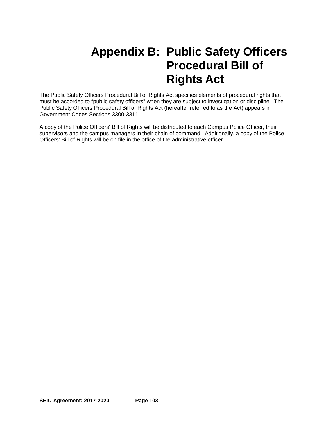### **Appendix B: Public Safety Officers Procedural Bill of Rights Act**

The Public Safety Officers Procedural Bill of Rights Act specifies elements of procedural rights that must be accorded to "public safety officers" when they are subject to investigation or discipline. The Public Safety Officers Procedural Bill of Rights Act (hereafter referred to as the Act) appears in Government Codes Sections 3300-3311.

A copy of the Police Officers' Bill of Rights will be distributed to each Campus Police Officer, their supervisors and the campus managers in their chain of command. Additionally, a copy of the Police Officers' Bill of Rights will be on file in the office of the administrative officer.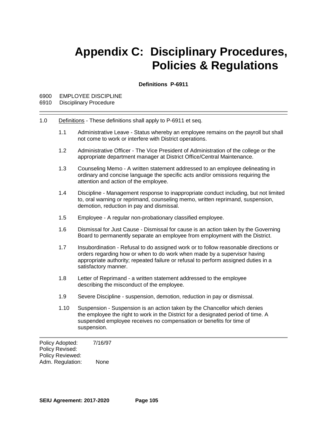# **Appendix C: Disciplinary Procedures, Policies & Regulations**

**Definitions P-6911**

#### 6900 EMPLOYEE DISCIPLINE

- 6910 Disciplinary Procedure
- 1.0 Definitions These definitions shall apply to P-6911 et seq.
	- 1.1 Administrative Leave Status whereby an employee remains on the payroll but shall not come to work or interfere with District operations.
	- 1.2 Administrative Officer The Vice President of Administration of the college or the appropriate department manager at District Office/Central Maintenance.
	- 1.3 Counseling Memo A written statement addressed to an employee delineating in ordinary and concise language the specific acts and/or omissions requiring the attention and action of the employee.
	- 1.4 Discipline Management response to inappropriate conduct including, but not limited to, oral warning or reprimand, counseling memo, written reprimand, suspension, demotion, reduction in pay and dismissal.
	- 1.5 Employee A regular non-probationary classified employee.
	- 1.6 Dismissal for Just Cause Dismissal for cause is an action taken by the Governing Board to permanently separate an employee from employment with the District.
	- 1.7 Insubordination Refusal to do assigned work or to follow reasonable directions or orders regarding how or when to do work when made by a supervisor having appropriate authority; repeated failure or refusal to perform assigned duties in a satisfactory manner.
	- 1.8 Letter of Reprimand a written statement addressed to the employee describing the misconduct of the employee.
	- 1.9 Severe Discipline suspension, demotion, reduction in pay or dismissal.
	- 1.10 Suspension Suspension is an action taken by the Chancellor which denies the employee the right to work in the District for a designated period of time. A suspended employee receives no compensation or benefits for time of suspension.

Policy Adopted: 7/16/97 Policy Revised: Policy Reviewed: Adm. Regulation: None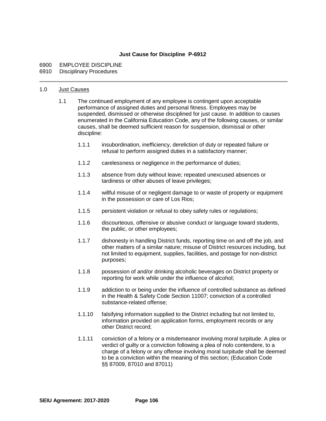## **Just Cause for Discipline P-6912**

#### 6900 EMPLOYEE DISCIPLINE 6910 Disciplinary Procedures

#### 1.0 Just Causes

- 1.1 The continued employment of any employee is contingent upon acceptable performance of assigned duties and personal fitness. Employees may be suspended, dismissed or otherwise disciplined for just cause. In addition to causes enumerated in the California Education Code, any of the following causes, or similar causes, shall be deemed sufficient reason for suspension, dismissal or other discipline:
	- 1.1.1 insubordination, inefficiency, dereliction of duty or repeated failure or refusal to perform assigned duties in a satisfactory manner;
	- 1.1.2 carelessness or negligence in the performance of duties;
	- 1.1.3 absence from duty without leave; repeated unexcused absences or tardiness or other abuses of leave privileges;
	- 1.1.4 willful misuse of or negligent damage to or waste of property or equipment in the possession or care of Los Rios;
	- 1.1.5 persistent violation or refusal to obey safety rules or regulations;
	- 1.1.6 discourteous, offensive or abusive conduct or language toward students, the public, or other employees;
	- 1.1.7 dishonesty in handling District funds, reporting time on and off the job, and other matters of a similar nature; misuse of District resources including, but not limited to equipment, supplies, facilities, and postage for non-district purposes;
	- 1.1.8 possession of and/or drinking alcoholic beverages on District property or reporting for work while under the influence of alcohol;
	- 1.1.9 addiction to or being under the influence of controlled substance as defined in the Health & Safety Code Section 11007; conviction of a controlled substance-related offense;
	- 1.1.10 falsifying information supplied to the District including but not limited to, information provided on application forms, employment records or any other District record;
	- 1.1.11 conviction of a felony or a misdemeanor involving moral turpitude. A plea or verdict of guilty or a conviction following a plea of nolo contendere, to a charge of a felony or any offense involving moral turpitude shall be deemed to be a conviction within the meaning of this section; (Education Code §§ 87009, 87010 and 87011)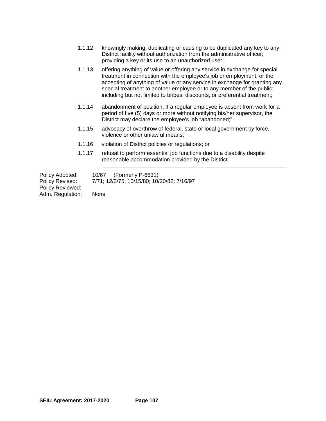- 1.1.12 knowingly making, duplicating or causing to be duplicated any key to any District facility without authorization from the administrative officer; providing a key or its use to an unauthorized user;
- 1.1.13 offering anything of value or offering any service in exchange for special treatment in connection with the employee's job or employment, or the accepting of anything of value or any service in exchange for granting any special treatment to another employee or to any member of the public; including but not limited to bribes, discounts, or preferential treatment;
- 1.1.14 abandonment of position: If a regular employee is absent from work for a period of five (5) days or more without notifying his/her supervisor, the District may declare the employee's job "abandoned;"
- 1.1.15 advocacy of overthrow of federal, state or local government by force, violence or other unlawful means;
- 1.1.16 violation of District policies or regulations; or
- 1.1.17 refusal to perform essential job functions due to a disability despite reasonable accommodation provided by the District.

Policy Adopted: 10/67 (Formerly P-6631)<br>Policy Revised: 7/71; 12/3/75; 10/15/80; 10/

Policy Revised: 7/71; 12/3/75; 10/15/80; 10/20/82; 7/16/97

Policy Reviewed: Adm. Regulation: None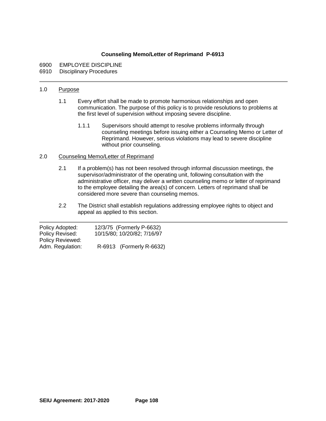## **Counseling Memo/Letter of Reprimand P-6913**

- 6900 EMPLOYEE DISCIPLINE<br>6910 Disciplinary Procedures
- **Disciplinary Procedures**

#### 1.0 Purpose

- 1.1 Every effort shall be made to promote harmonious relationships and open communication. The purpose of this policy is to provide resolutions to problems at the first level of supervision without imposing severe discipline.
	- 1.1.1 Supervisors should attempt to resolve problems informally through counseling meetings before issuing either a Counseling Memo or Letter of Reprimand. However, serious violations may lead to severe discipline without prior counseling.

#### 2.0 Counseling Memo/Letter of Reprimand

- 2.1 If a problem(s) has not been resolved through informal discussion meetings, the supervisor/administrator of the operating unit, following consultation with the administrative officer, may deliver a written counseling memo or letter of reprimand to the employee detailing the area(s) of concern. Letters of reprimand shall be considered more severe than counseling memos.
- 2.2 The District shall establish regulations addressing employee rights to object and appeal as applied to this section.

| Policy Adopted:  | 12/3/75 (Formerly P-6632)   |
|------------------|-----------------------------|
| Policy Revised:  | 10/15/80; 10/20/82; 7/16/97 |
| Policy Reviewed: |                             |
| Adm. Regulation: | R-6913 (Formerly R-6632)    |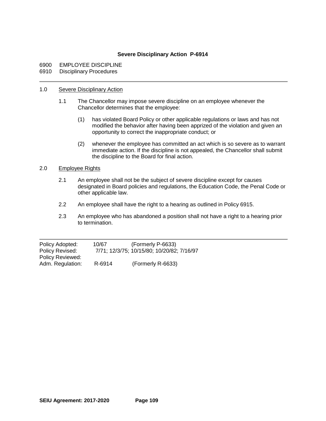## **Severe Disciplinary Action P-6914**

## 6900 EMPLOYEE DISCIPLINE<br>6910 Disciplinary Procedures

**Disciplinary Procedures** 

#### 1.0 Severe Disciplinary Action

- 1.1 The Chancellor may impose severe discipline on an employee whenever the Chancellor determines that the employee:
	- (1) has violated Board Policy or other applicable regulations or laws and has not modified the behavior after having been apprized of the violation and given an opportunity to correct the inappropriate conduct; or
	- (2) whenever the employee has committed an act which is so severe as to warrant immediate action. If the discipline is not appealed, the Chancellor shall submit the discipline to the Board for final action.

#### 2.0 Employee Rights

- 2.1 An employee shall not be the subject of severe discipline except for causes designated in Board policies and regulations, the Education Code, the Penal Code or other applicable law.
- 2.2 An employee shall have the right to a hearing as outlined in Policy 6915.
- 2.3 An employee who has abandoned a position shall not have a right to a hearing prior to termination.

| Policy Adopted:<br>Policy Revised: | 10/67  | (Formerly P-6633)<br>7/71; 12/3/75; 10/15/80; 10/20/82; 7/16/97 |
|------------------------------------|--------|-----------------------------------------------------------------|
| <b>Policy Reviewed:</b>            |        |                                                                 |
| Adm. Regulation:                   | R-6914 | (Formerly R-6633)                                               |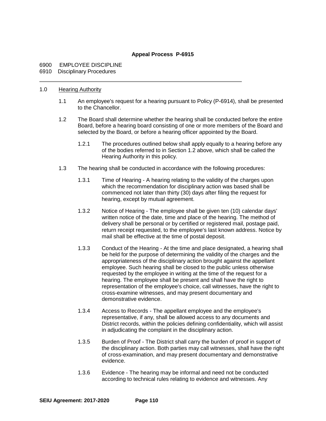## **Appeal Process P-6915**

## 6900 EMPLOYEE DISCIPLINE

#### 6910 Disciplinary Procedures

#### 1.0 Hearing Authority

- 1.1 An employee's request for a hearing pursuant to Policy (P-6914), shall be presented to the Chancellor.
- 1.2 The Board shall determine whether the hearing shall be conducted before the entire Board, before a hearing board consisting of one or more members of the Board and selected by the Board, or before a hearing officer appointed by the Board.
	- 1.2.1 The procedures outlined below shall apply equally to a hearing before any of the bodies referred to in Section 1.2 above, which shall be called the Hearing Authority in this policy.
- 1.3 The hearing shall be conducted in accordance with the following procedures:
	- 1.3.1 Time of Hearing A hearing relating to the validity of the charges upon which the recommendation for disciplinary action was based shall be commenced not later than thirty (30) days after filing the request for hearing, except by mutual agreement.
	- 1.3.2 Notice of Hearing The employee shall be given ten (10) calendar days' written notice of the date, time and place of the hearing. The method of delivery shall be personal or by certified or registered mail, postage paid, return receipt requested, to the employee's last known address. Notice by mail shall be effective at the time of postal deposit.
	- 1.3.3 Conduct of the Hearing At the time and place designated, a hearing shall be held for the purpose of determining the validity of the charges and the appropriateness of the disciplinary action brought against the appellant employee. Such hearing shall be closed to the public unless otherwise requested by the employee in writing at the time of the request for a hearing. The employee shall be present and shall have the right to representation of the employee's choice, call witnesses, have the right to cross-examine witnesses, and may present documentary and demonstrative evidence.
	- 1.3.4 Access to Records The appellant employee and the employee's representative, if any, shall be allowed access to any documents and District records, within the policies defining confidentiality, which will assist in adjudicating the complaint in the disciplinary action.
	- 1.3.5 Burden of Proof The District shall carry the burden of proof in support of the disciplinary action. Both parties may call witnesses, shall have the right of cross-examination, and may present documentary and demonstrative evidence.
	- 1.3.6 Evidence The hearing may be informal and need not be conducted according to technical rules relating to evidence and witnesses. Any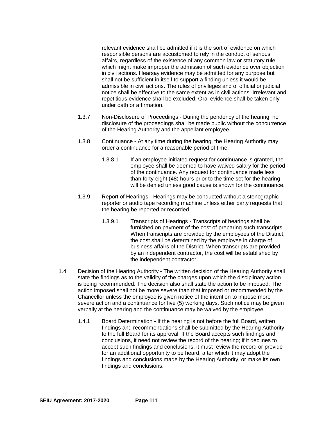relevant evidence shall be admitted if it is the sort of evidence on which responsible persons are accustomed to rely in the conduct of serious affairs, regardless of the existence of any common law or statutory rule which might make improper the admission of such evidence over objection in civil actions. Hearsay evidence may be admitted for any purpose but shall not be sufficient in itself to support a finding unless it would be admissible in civil actions. The rules of privileges and of official or judicial notice shall be effective to the same extent as in civil actions. Irrelevant and repetitious evidence shall be excluded. Oral evidence shall be taken only under oath or affirmation.

- 1.3.7 Non-Disclosure of Proceedings During the pendency of the hearing, no disclosure of the proceedings shall be made public without the concurrence of the Hearing Authority and the appellant employee.
- 1.3.8 Continuance At any time during the hearing, the Hearing Authority may order a continuance for a reasonable period of time.
	- 1.3.8.1 If an employee-initiated request for continuance is granted, the employee shall be deemed to have waived salary for the period of the continuance. Any request for continuance made less than forty-eight (48) hours prior to the time set for the hearing will be denied unless good cause is shown for the continuance.
- 1.3.9 Report of Hearings Hearings may be conducted without a stenographic reporter or audio tape recording machine unless either party requests that the hearing be reported or recorded.
	- 1.3.9.1 Transcripts of Hearings Transcripts of hearings shall be furnished on payment of the cost of preparing such transcripts. When transcripts are provided by the employees of the District, the cost shall be determined by the employee in charge of business affairs of the District. When transcripts are provided by an independent contractor, the cost will be established by the independent contractor.
- 1.4 Decision of the Hearing Authority The written decision of the Hearing Authority shall state the findings as to the validity of the charges upon which the disciplinary action is being recommended. The decision also shall state the action to be imposed. The action imposed shall not be more severe than that imposed or recommended by the Chancellor unless the employee is given notice of the intention to impose more severe action and a continuance for five (5) working days. Such notice may be given verbally at the hearing and the continuance may be waived by the employee.
	- 1.4.1 Board Determination If the hearing is not before the full Board, written findings and recommendations shall be submitted by the Hearing Authority to the full Board for its approval. If the Board accepts such findings and conclusions, it need not review the record of the hearing; if it declines to accept such findings and conclusions, it must review the record or provide for an additional opportunity to be heard, after which it may adopt the findings and conclusions made by the Hearing Authority, or make its own findings and conclusions.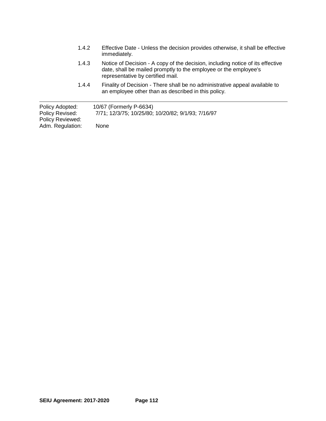| 1.4.2                                                  | Effective Date - Unless the decision provides otherwise, it shall be effective<br>immediately.                                                                                          |
|--------------------------------------------------------|-----------------------------------------------------------------------------------------------------------------------------------------------------------------------------------------|
| 1.4.3                                                  | Notice of Decision - A copy of the decision, including notice of its effective<br>date, shall be mailed promptly to the employee or the employee's<br>representative by certified mail. |
| 1.4.4                                                  | Finality of Decision - There shall be no administrative appeal available to<br>an employee other than as described in this policy.                                                      |
| Policy Adopted:<br>Policy Revised:<br>Policy Reviewed: | 10/67 (Formerly P-6634)<br>7/71; 12/3/75; 10/25/80; 10/20/82; 9/1/93; 7/16/97                                                                                                           |
| Adm. Regulation:                                       | None                                                                                                                                                                                    |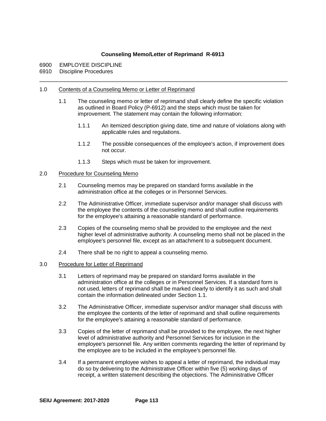## **Counseling Memo/Letter of Reprimand R-6913**

- 6900 EMPLOYEE DISCIPLINE<br>6910 Discipline Procedures
- Discipline Procedures

#### 1.0 Contents of a Counseling Memo or Letter of Reprimand

- 1.1 The counseling memo or letter of reprimand shall clearly define the specific violation as outlined in Board Policy (P-6912) and the steps which must be taken for improvement. The statement may contain the following information:
	- 1.1.1 An itemized description giving date, time and nature of violations along with applicable rules and regulations.
	- 1.1.2 The possible consequences of the employee's action, if improvement does not occur.
	- 1.1.3 Steps which must be taken for improvement.

#### 2.0 Procedure for Counseling Memo

- 2.1 Counseling memos may be prepared on standard forms available in the administration office at the colleges or in Personnel Services.
- 2.2 The Administrative Officer, immediate supervisor and/or manager shall discuss with the employee the contents of the counseling memo and shall outline requirements for the employee's attaining a reasonable standard of performance.
- 2.3 Copies of the counseling memo shall be provided to the employee and the next higher level of administrative authority. A counseling memo shall not be placed in the employee's personnel file, except as an attachment to a subsequent document.
- 2.4 There shall be no right to appeal a counseling memo.
- 3.0 Procedure for Letter of Reprimand
	- 3.1 Letters of reprimand may be prepared on standard forms available in the administration office at the colleges or in Personnel Services. If a standard form is not used, letters of reprimand shall be marked clearly to identify it as such and shall contain the information delineated under Section 1.1.
	- 3.2 The Administrative Officer, immediate supervisor and/or manager shall discuss with the employee the contents of the letter of reprimand and shall outline requirements for the employee's attaining a reasonable standard of performance.
	- 3.3 Copies of the letter of reprimand shall be provided to the employee, the next higher level of administrative authority and Personnel Services for inclusion in the employee's personnel file. Any written comments regarding the letter of reprimand by the employee are to be included in the employee's personnel file.
	- 3.4 If a permanent employee wishes to appeal a letter of reprimand, the individual may do so by delivering to the Administrative Officer within five (5) working days of receipt, a written statement describing the objections. The Administrative Officer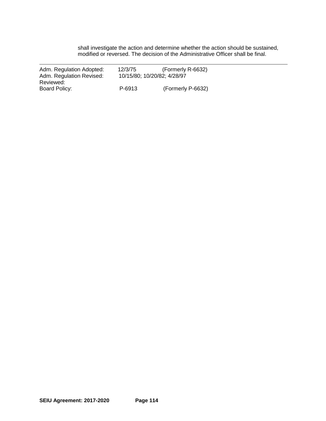shall investigate the action and determine whether the action should be sustained, modified or reversed. The decision of the Administrative Officer shall be final.

| Adm. Regulation Adopted: | 12/3/75 | (Formerly R-6632)           |
|--------------------------|---------|-----------------------------|
| Adm. Regulation Revised: |         | 10/15/80; 10/20/82; 4/28/97 |
| Reviewed:                |         |                             |
| Board Policy:            | P-6913  | (Formerly P-6632)           |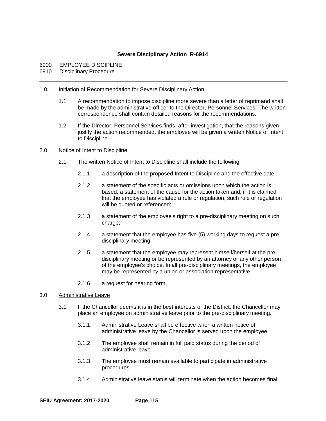## **Severe Disciplinary Action R-6914**

- 6900 EMPLOYEE DISCIPLINE
- 6910 Disciplinary Procedure

#### 1.0 Initiation of Recommendation for Severe Disciplinary Action

- 1.1 A recommendation to impose discipline more severe than a letter of reprimand shall be made by the administrative officer to the Director, Personnel Services. The written correspondence shall contain detailed reasons for the recommendations.
- 1.2 If the Director, Personnel Services finds, after investigation, that the reasons given justify the action recommended, the employee will be given a written Notice of Intent to Discipline.

#### 2.0 Notice of Intent to Discipline

- 2.1 The written Notice of Intent to Discipline shall include the following:
	- 2.1.1 a description of the proposed Intent to Discipline and the effective date;
	- 2.1.2 a statement of the specific acts or omissions upon which the action is based; a statement of the cause for the action taken and, if it is claimed that the employee has violated a rule or regulation, such rule or regulation will be quoted or referenced;
	- 2.1.3 a statement of the employee's right to a pre-disciplinary meeting on such charge;
	- 2.1.4 a statement that the employee has five (5) working days to request a predisciplinary meeting;
	- 2.1.5 a statement that the employee may represent himself/herself at the predisciplinary meeting or be represented by an attorney or any other person of the employee's choice. In all pre-disciplinary meetings, the employee may be represented by a union or association representative.
	- 2.1.6 a request for hearing form.
- 3.0 Administrative Leave
	- 3.1 If the Chancellor deems it is in the best interests of the District, the Chancellor may place an employee on administrative leave prior to the pre-disciplinary meeting.
		- 3.1.1 Administrative Leave shall be effective when a written notice of administrative leave by the Chancellor is served upon the employee.
		- 3.1.2 The employee shall remain in full paid status during the period of administrative leave.
		- 3.1.3 The employee must remain available to participate in administrative procedures.
		- 3.1.4 Administrative leave status will terminate when the action becomes final.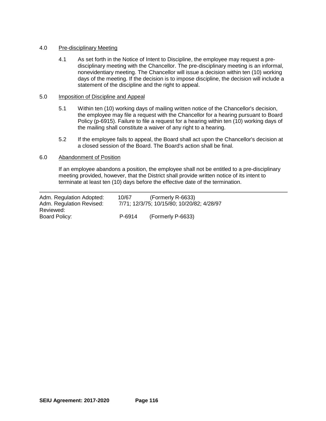#### 4.0 Pre-disciplinary Meeting

4.1 As set forth in the Notice of Intent to Discipline, the employee may request a predisciplinary meeting with the Chancellor. The pre-disciplinary meeting is an informal, nonevidentiary meeting. The Chancellor will issue a decision within ten (10) working days of the meeting. If the decision is to impose discipline, the decision will include a statement of the discipline and the right to appeal.

#### 5.0 Imposition of Discipline and Appeal

- 5.1 Within ten (10) working days of mailing written notice of the Chancellor's decision, the employee may file a request with the Chancellor for a hearing pursuant to Board Policy (p-6915). Failure to file a request for a hearing within ten (10) working days of the mailing shall constitute a waiver of any right to a hearing.
- 5.2 If the employee fails to appeal, the Board shall act upon the Chancellor's decision at a closed session of the Board. The Board's action shall be final.

### 6.0 Abandonment of Position

If an employee abandons a position, the employee shall not be entitled to a pre-disciplinary meeting provided, however, that the District shall provide written notice of its intent to terminate at least ten (10) days before the effective date of the termination.

| Adm. Regulation Adopted:<br>Adm. Regulation Revised: | (Formerly R-6633)<br>10/67<br>7/71; 12/3/75; 10/15/80; 10/20/82; 4/28/97 |                   |  |
|------------------------------------------------------|--------------------------------------------------------------------------|-------------------|--|
| Reviewed:                                            |                                                                          |                   |  |
| Board Policy:                                        | P-6914                                                                   | (Formerly P-6633) |  |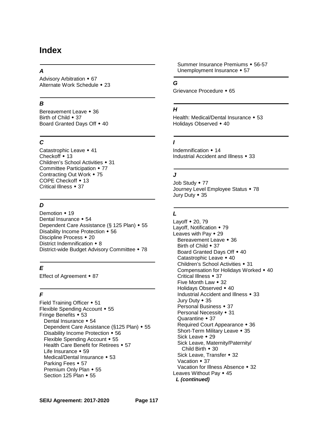## **Index**

## *A*

Advisory Arbitration  $\div$  67 Alternate Work Schedule • 23

## *B*

Bereavement Leave • 36 Birth of Child  $\bullet$  37 Board Granted Days Off  $\div$  40

## *C*

Catastrophic Leave • 41 Checkoff  $\cdot$  13 Children's School Activities • 31 Committee Participation • 77 Contracting Out Work  $\star$  75 COPE Checkoff  $\cdot$  13 Critical Illness • 37

## *D*

Demotion  $\div$ Dental Insurance  $\textstyle\bullet$ Dependent Care Assistance (§ 125 Plan)  $\rightarrow$ Disability Income Protection • 56 Discipline Process  $\div$ District Indemnification  $\triangle$ District-wide Budget Advisory Committee  $\rightarrow$ 

## *E*

Effect of Agreement  $\div$  87

## *F*

Field Training Officer  $\div$  51 Flexible Spending Account • 55 Fringe Benefits  $\div$  53 Dental Insurance • 54 Dependent Care Assistance (§125 Plan)  $\cdot$  55 Disability Income Protection • 56 Flexible Spending Account • 55 Health Care Benefit for Retirees  $\div$  57 Life Insurance  $\textstyle\bullet$  59 Medical/Dental Insurance • 53 Parking Fees  $\div$  57 Premium Only Plan • 55 Section 125 Plan  $\star$  55

Summer Insurance Premiums • 56-57 Unemployment Insurance • 57

## *G*

Grievance Procedure • 65

### *H*

Health: Medical/Dental Insurance • 53 Holidays Observed  $\div$  40

## *I*

Indemnification  $\div$  14 Industrial Accident and Illness • 33

## *J*

Job Study • 77 Journey Level Employee Status • 78 Jury Duty  $\cdot$  35

## *L*

Layoff  $\bullet$  20, 79 Layoff, Notification  $\div$  79 Leaves with Pay  $\div$  29 Bereavement Leave • 36 Birth of Child  $\textcolor{red}{\bullet}$  37 Board Granted Days Off  $\triangle$  40 Catastrophic Leave  $\div$  40 Children's School Activities • 31 Compensation for Holidays Worked  $\div$  40 Critical Illness • 37 Five Month Law  $\star$  32 Holidays Observed • 40 Industrial Accident and Illness  $\div$  33 Jury Duty • 35 Personal Business • 37 Personal Necessity • 31 Quarantine  $\div$  37 Required Court Appearance • 36 Short-Term Military Leave • 35 Sick Leave  $\star$  29 Sick Leave, Maternity/Paternity/ Child Birth  $\star$  30 Sick Leave, Transfer • 32 Vacation  $\div$  37 Vacation for Illness Absence • 32 Leaves Without Pay  $\div$  45 *L (continued)*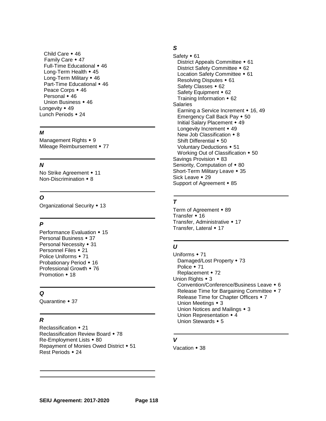Child Care  $\div$ Family Care  $\div$ Full-Time Educational  $\div$ Long-Term Health  $\div$ Long-Term Military  $\div$ Part-Time Educational  $\triangle$ Peace Corps  $\div$ Personal  $\div$ Union Business  $\div$ Longevity  $\div$ Lunch Periods • 24

#### *M*

Management Rights  $\div$  9 Mileage Reimbursement • 77

## *N*

No Strike Agreement • 11 Non-Discrimination  $\cdot$  8

## *O*

Organizational Security • 13

## *P*

Performance Evaluation • 15 Personal Business  $\div$  37 Personal Necessity • 31 Personnel Files • 21 Police Uniforms  $\div$  71 Probationary Period • 16 Professional Growth  $\div$  76 Promotion  $\cdot$  18

## *Q*

Quarantine  $\div$  37

## *R*

Reclassification  $\div$ Reclassification Review Board • 78  $Re$ -Employment Lists  $\cdot$ Repayment of Monies Owed District  $\cdot$ Rest Periods  $\cdot$ 

## *S*

Safety  $\cdot$ District Appeals Committee  $\div$ District Safety Committee  $\div$ Location Safety Committee  $\div$ Resolving Disputes  $\div$ Safety Classes • 62 Safety Equipment • 62 Training Information  $\div$ Salaries Earning a Service Increment  $\cdot$  16, 49 Emergency Call Back Pay  $\div$ Initial Salary Placement  $\div$ Longevity Increment  $\div$ New Job Classification  $\triangle$ Shift Differential  $\div$ Voluntary Deductions  $\div$ Working Out of Classification  $\div$ Savings Provision • 83 Seniority, Computation of  $\triangle$ Short-Term Military Leave • 35 Sick Leave  $\div$ Support of Agreement • 85

## *T*

Term of Agreement • 89 Transfer  $\div$  16 Transfer, Administrative • 17 Transfer, Lateral • 17

## *U*

Uniforms  $\cdot$ Damaged/Lost Property • 73 Police  $\div$ Replacement • 72 Union Rights  $\cdot$  Convention/Conference/Business Leave 6 Release Time for Bargaining Committee  $\bullet$ Release Time for Chapter Officers  $\div$ Union Meetings  $\cdot$ Union Notices and Mailings  $\cdot$ Union Representation  $\cdot$ Union Stewards  $\div$ 

## *V*

Vacation • 38